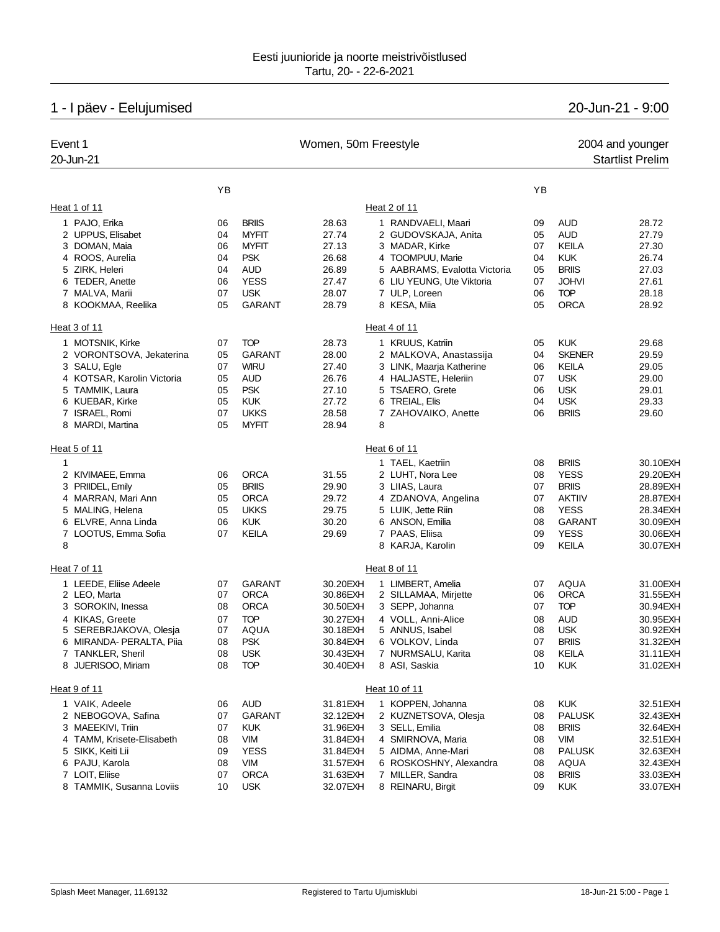# 1 - I päev - Eelujumised 20-Jun-21 - 9:00

| Event 1<br>20-Jun-21       |    |               | Women, 50m Freestyle |                              |    | 2004 and younger<br><b>Startlist Prelim</b> |           |  |
|----------------------------|----|---------------|----------------------|------------------------------|----|---------------------------------------------|-----------|--|
|                            | YB |               |                      |                              | YB |                                             |           |  |
| Heat 1 of 11               |    |               |                      | Heat 2 of 11                 |    |                                             |           |  |
| 1 PAJO, Erika              | 06 | <b>BRIIS</b>  | 28.63                | 1 RANDVAELI, Maari           | 09 | <b>AUD</b>                                  | 28.72     |  |
| 2 UPPUS, Elisabet          | 04 | <b>MYFIT</b>  | 27.74                | 2 GUDOVSKAJA, Anita          | 05 | <b>AUD</b>                                  | 27.79     |  |
| 3 DOMAN, Maia              | 06 | <b>MYFIT</b>  | 27.13                | 3 MADAR, Kirke               | 07 | KEILA                                       | 27.30     |  |
| 4 ROOS, Aurelia            | 04 | <b>PSK</b>    | 26.68                | 4 TOOMPUU, Marie             | 04 | <b>KUK</b>                                  | 26.74     |  |
| 5 ZIRK, Heleri             | 04 | <b>AUD</b>    | 26.89                | 5 AABRAMS, Evalotta Victoria | 05 | <b>BRIIS</b>                                | 27.03     |  |
| 6 TEDER, Anette            | 06 | <b>YESS</b>   | 27.47                | 6 LIU YEUNG, Ute Viktoria    | 07 | <b>JOHVI</b>                                | 27.61     |  |
| 7 MALVA, Marii             | 07 | <b>USK</b>    | 28.07                | 7 ULP, Loreen                | 06 | <b>TOP</b>                                  | 28.18     |  |
| 8 KOOKMAA, Reelika         | 05 | <b>GARANT</b> | 28.79                | 8 KESA, Miia                 | 05 | <b>ORCA</b>                                 | 28.92     |  |
| Heat 3 of 11               |    |               |                      | Heat 4 of 11                 |    |                                             |           |  |
| 1 MOTSNIK, Kirke           | 07 | <b>TOP</b>    | 28.73                | 1 KRUUS, Katriin             | 05 | <b>KUK</b>                                  | 29.68     |  |
| 2 VORONTSOVA, Jekaterina   | 05 | <b>GARANT</b> | 28.00                | 2 MALKOVA, Anastassija       | 04 | <b>SKENER</b>                               | 29.59     |  |
| 3 SALU, Egle               | 07 | <b>WIRU</b>   | 27.40                | 3 LINK, Maarja Katherine     | 06 | KEILA                                       | 29.05     |  |
| 4 KOTSAR, Karolin Victoria | 05 | <b>AUD</b>    | 26.76                | 4 HALJASTE, Heleriin         | 07 | <b>USK</b>                                  | 29.00     |  |
| 5 TAMMIK, Laura            | 05 | <b>PSK</b>    | 27.10                | 5 TSAERO, Grete              | 06 | <b>USK</b>                                  | 29.01     |  |
| 6 KUEBAR, Kirke            | 05 | <b>KUK</b>    | 27.72                | 6 TREIAL, Elis               | 04 | <b>USK</b>                                  | 29.33     |  |
| 7 ISRAEL, Romi             | 07 | <b>UKKS</b>   | 28.58                | 7 ZAHOVAIKO, Anette          | 06 | <b>BRIIS</b>                                | 29.60     |  |
| 8 MARDI, Martina           | 05 | <b>MYFIT</b>  | 28.94                | 8                            |    |                                             |           |  |
| Heat 5 of 11               |    |               |                      | Heat 6 of 11                 |    |                                             |           |  |
| 1                          |    |               |                      | 1 TAEL, Kaetriin             | 08 | <b>BRIIS</b>                                | 30.10EXH  |  |
| 2 KIVIMAEE, Emma           | 06 | <b>ORCA</b>   | 31.55                | 2 LUHT, Nora Lee             | 08 | <b>YESS</b>                                 | 29.20EXH  |  |
| 3 PRIIDEL, Emily           | 05 | <b>BRIIS</b>  | 29.90                | 3 LIIAS, Laura               | 07 | <b>BRIIS</b>                                | 28.89EXH  |  |
| 4 MARRAN, Mari Ann         | 05 | <b>ORCA</b>   | 29.72                | 4 ZDANOVA, Angelina          | 07 | <b>AKTIIV</b>                               | 28.87EXH  |  |
| 5 MALING, Helena           | 05 | <b>UKKS</b>   | 29.75                | 5 LUIK, Jette Riin           | 08 | <b>YESS</b>                                 | 28.34EXH  |  |
| 6 ELVRE, Anna Linda        | 06 | <b>KUK</b>    | 30.20                | 6 ANSON, Emilia              | 08 | <b>GARANT</b>                               | 30.09EXH  |  |
| 7 LOOTUS, Emma Sofia       | 07 | <b>KEILA</b>  | 29.69                | 7 PAAS, Eliisa               | 09 | <b>YESS</b>                                 | 30.06EXH  |  |
| 8                          |    |               |                      | 8 KARJA, Karolin             | 09 | KEILA                                       | 30.07EXH  |  |
| Heat 7 of 11               |    |               |                      | Heat 8 of 11                 |    |                                             |           |  |
| 1 LEEDE, Eliise Adeele     | 07 | <b>GARANT</b> | 30.20EXH             | 1 LIMBERT, Amelia            | 07 | AQUA                                        | 31.00EXH  |  |
| 2 LEO, Marta               | 07 | <b>ORCA</b>   | 30.86EXH             | 2 SILLAMAA, Mirjette         | 06 | <b>ORCA</b>                                 | 31.55EXH  |  |
| 3 SOROKIN, Inessa          | 08 | <b>ORCA</b>   | 30.50EXH             | 3 SEPP, Johanna              | 07 | <b>TOP</b>                                  | 30.94EXH  |  |
| 4 KIKAS, Greete            | 07 | <b>TOP</b>    | 30.27EXH             | 4 VOLL, Anni-Alice           | 08 | <b>AUD</b>                                  | 30.95EXH  |  |
| 5 SEREBRJAKOVA, Olesja     | 07 | AQUA          | 30.18EXH             | 5 ANNUS, Isabel              | 08 | <b>USK</b>                                  | 30.92EXH  |  |
| 6 MIRANDA- PERALTA, Piia   | 08 | <b>PSK</b>    | 30.84EXH             | 6 VOLKOV, Linda              | 07 | <b>BRIIS</b>                                | 31.32EXH  |  |
| 7 TANKLER, Sheril          | 08 | <b>USK</b>    | 30.43EXH             | 7 NURMSALU, Karita           | 08 | KEILA                                       | 31.11 EXH |  |
| 8 JUERISOO, Miriam         | 08 | <b>TOP</b>    | 30.40EXH             | 8 ASI, Saskia                | 10 | <b>KUK</b>                                  | 31.02EXH  |  |
| Heat 9 of 11               |    |               |                      | Heat 10 of 11                |    |                                             |           |  |
| 1 VAIK, Adeele             | 06 | <b>AUD</b>    | 31.81 EXH            | 1 KOPPEN, Johanna            | 08 | <b>KUK</b>                                  | 32.51 EXH |  |
| 2 NEBOGOVA, Safina         | 07 | GARANT        | 32.12EXH             | 2 KUZNETSOVA, Olesia         | 08 | <b>PALUSK</b>                               | 32.43EXH  |  |
| 3 MAEEKIVI, Triin          | 07 | <b>KUK</b>    | 31.96EXH             | 3 SELL, Emilia               | 08 | <b>BRIIS</b>                                | 32.64EXH  |  |
| 4 TAMM, Krisete-Elisabeth  | 08 | <b>VIM</b>    | 31.84EXH             | 4 SMIRNOVA, Maria            | 08 | <b>VIM</b>                                  | 32.51 EXH |  |
| 5 SIKK, Keiti Lii          | 09 | <b>YESS</b>   | 31.84EXH             | 5 AIDMA, Anne-Mari           | 08 | <b>PALUSK</b>                               | 32.63EXH  |  |
| 6 PAJU, Karola             | 08 | <b>VIM</b>    | 31.57EXH             | 6 ROSKOSHNY, Alexandra       | 08 | <b>AQUA</b>                                 | 32.43EXH  |  |
| 7 LOIT, Eliise             | 07 | <b>ORCA</b>   | 31.63EXH             | 7 MILLER, Sandra             | 08 | <b>BRIIS</b>                                | 33.03EXH  |  |
| 8 TAMMIK, Susanna Loviis   | 10 | <b>USK</b>    | 32.07EXH             | 8 REINARU, Birgit            | 09 | <b>KUK</b>                                  | 33.07EXH  |  |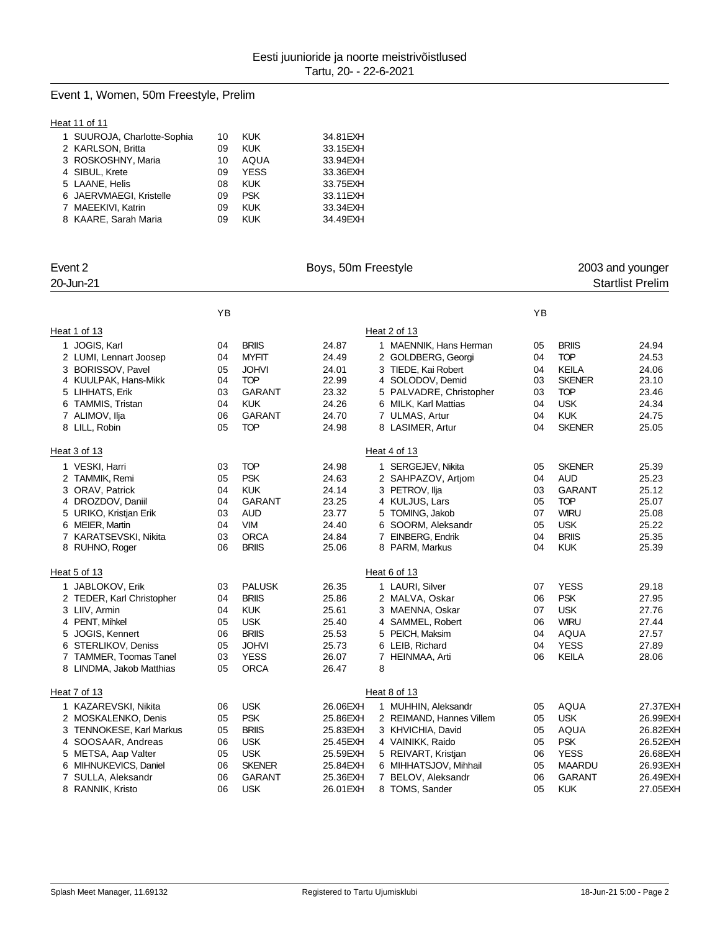# Event 1, Women, 50m Freestyle, Prelim

### **Heat 11 of 11**

| 1 SUUROJA, Charlotte-Sophia | 10 | <b>KUK</b>  | 34.81 EXH |
|-----------------------------|----|-------------|-----------|
| 2 KARLSON, Britta           | 09 | <b>KUK</b>  | 33.15EXH  |
| 3 ROSKOSHNY, Maria          | 10 | AQUA        | 33.94EXH  |
| 4 SIBUL, Krete              | 09 | <b>YESS</b> | 33.36EXH  |
| 5 LAANE, Helis              | 08 | <b>KUK</b>  | 33.75 EXH |
| 6 JAERVMAEGI, Kristelle     | 09 | <b>PSK</b>  | 33.11 EXH |
| 7 MAEEKIVI, Katrin          | 09 | <b>KUK</b>  | 33.34EXH  |
| 8 KAARE, Sarah Maria        | 09 | KUK         | 34.49EXH  |
|                             |    |             |           |

| Event 2                                   | Boys, 50m Freestyle |                            |                |              | 2003 and younger                        |          |                               |                         |
|-------------------------------------------|---------------------|----------------------------|----------------|--------------|-----------------------------------------|----------|-------------------------------|-------------------------|
| 20-Jun-21                                 |                     |                            |                |              |                                         |          |                               | <b>Startlist Prelim</b> |
|                                           | YB                  |                            |                |              |                                         | YB       |                               |                         |
| Heat 1 of 13                              |                     |                            |                | Heat 2 of 13 |                                         |          |                               |                         |
|                                           |                     |                            |                |              |                                         |          |                               |                         |
| 1 JOGIS, Karl                             | 04                  | <b>BRIIS</b>               | 24.87          |              | 1 MAENNIK, Hans Herman                  | 05       | <b>BRIIS</b><br><b>TOP</b>    | 24.94                   |
| 2 LUMI, Lennart Joosep                    | 04                  | <b>MYFIT</b>               | 24.49          |              | 2 GOLDBERG, Georgi                      | 04       |                               | 24.53                   |
| 3 BORISSOV, Pavel<br>4 KUULPAK, Hans-Mikk | 05<br>04            | <b>JOHVI</b><br><b>TOP</b> | 24.01<br>22.99 |              | 3 TIEDE, Kai Robert<br>4 SOLODOV, Demid | 04<br>03 | <b>KEILA</b><br><b>SKENER</b> | 24.06<br>23.10          |
| 5 LIHHATS, Erik                           | 03                  | <b>GARANT</b>              | 23.32          |              | 5 PALVADRE, Christopher                 | 03       | <b>TOP</b>                    | 23.46                   |
| 6 TAMMIS, Tristan                         | 04                  | <b>KUK</b>                 | 24.26          |              | 6 MILK, Karl Mattias                    | 04       | <b>USK</b>                    | 24.34                   |
| 7 ALIMOV, Ilja                            | 06                  | <b>GARANT</b>              | 24.70          |              | 7 ULMAS, Artur                          | 04       | <b>KUK</b>                    | 24.75                   |
| 8 LILL, Robin                             | 05                  | <b>TOP</b>                 | 24.98          |              | 8 LASIMER, Artur                        | 04       | <b>SKENER</b>                 | 25.05                   |
|                                           |                     |                            |                |              |                                         |          |                               |                         |
| Heat 3 of 13                              |                     |                            |                | Heat 4 of 13 |                                         |          |                               |                         |
| 1 VESKI, Harri                            | 03                  | <b>TOP</b>                 | 24.98          |              | 1 SERGEJEV, Nikita                      | 05       | <b>SKENER</b>                 | 25.39                   |
| 2 TAMMIK, Remi                            | 05                  | <b>PSK</b>                 | 24.63          |              | 2 SAHPAZOV, Artiom                      | 04       | <b>AUD</b>                    | 25.23                   |
| 3 ORAV, Patrick                           | 04                  | <b>KUK</b>                 | 24.14          |              | 3 PETROV, Ilja                          | 03       | <b>GARANT</b>                 | 25.12                   |
| 4 DROZDOV, Daniil                         | 04                  | <b>GARANT</b>              | 23.25          |              | 4 KULJUS, Lars                          | 05       | <b>TOP</b>                    | 25.07                   |
| 5 URIKO, Kristjan Erik                    | 03                  | <b>AUD</b>                 | 23.77          |              | 5 TOMING, Jakob                         | 07       | <b>WIRU</b>                   | 25.08                   |
| 6 MEIER, Martin                           | 04                  | <b>VIM</b>                 | 24.40          |              | 6 SOORM, Aleksandr                      | 05       | <b>USK</b>                    | 25.22                   |
| 7 KARATSEVSKI, Nikita                     | 03                  | <b>ORCA</b>                | 24.84          |              | 7 EINBERG, Endrik                       | 04       | <b>BRIIS</b>                  | 25.35                   |
| 8 RUHNO, Roger                            | 06                  | <b>BRIIS</b>               | 25.06          |              | 8 PARM, Markus                          | 04       | <b>KUK</b>                    | 25.39                   |
| Heat 5 of 13                              |                     |                            |                | Heat 6 of 13 |                                         |          |                               |                         |
| 1 JABLOKOV, Erik                          | 03                  | <b>PALUSK</b>              | 26.35          |              | 1 LAURI, Silver                         | 07       | <b>YESS</b>                   | 29.18                   |
| 2 TEDER, Karl Christopher                 | 04                  | <b>BRIIS</b>               | 25.86          |              | 2 MALVA, Oskar                          | 06       | <b>PSK</b>                    | 27.95                   |
| 3 LIIV, Armin                             | 04                  | <b>KUK</b>                 | 25.61          |              | 3 MAENNA, Oskar                         | 07       | <b>USK</b>                    | 27.76                   |
| 4 PENT, Mihkel                            | 05                  | <b>USK</b>                 | 25.40          |              | 4 SAMMEL, Robert                        | 06       | <b>WIRU</b>                   | 27.44                   |
| 5 JOGIS, Kennert                          | 06                  | <b>BRIIS</b>               | 25.53          |              | 5 PEICH, Maksim                         | 04       | <b>AQUA</b>                   | 27.57                   |
| 6 STERLIKOV, Deniss                       | 05                  | <b>JOHVI</b>               | 25.73          |              | 6 LEIB, Richard                         | 04       | <b>YESS</b>                   | 27.89                   |
| 7 TAMMER, Toomas Tanel                    | 03                  | <b>YESS</b>                | 26.07          |              | 7 HEINMAA, Arti                         | 06       | <b>KEILA</b>                  | 28.06                   |
| 8 LINDMA, Jakob Matthias                  | 05                  | <b>ORCA</b>                | 26.47          | 8            |                                         |          |                               |                         |
|                                           |                     |                            |                |              |                                         |          |                               |                         |
| Heat 7 of 13                              |                     |                            |                | Heat 8 of 13 |                                         |          |                               |                         |
| 1 KAZAREVSKI, Nikita                      | 06                  | <b>USK</b>                 | 26.06EXH       |              | 1 MUHHIN, Aleksandr                     | 05       | <b>AQUA</b>                   | 27.37EXH                |
| 2 MOSKALENKO, Denis                       | 05                  | <b>PSK</b>                 | 25.86EXH       |              | 2 REIMAND, Hannes Villem                | 05       | <b>USK</b>                    | 26.99EXH                |
| 3 TENNOKESE, Karl Markus                  | 05                  | <b>BRIIS</b>               | 25.83EXH       |              | 3 KHVICHIA, David                       | 05       | <b>AQUA</b>                   | 26.82EXH                |
| 4 SOOSAAR, Andreas                        | 06                  | <b>USK</b>                 | 25.45EXH       |              | 4 VAINIKK, Raido                        | 05       | <b>PSK</b>                    | 26.52EXH                |
| 5 METSA, Aap Valter                       | 05                  | <b>USK</b>                 | 25.59EXH       |              | 5 REIVART, Kristjan                     | 06       | <b>YESS</b>                   | 26.68EXH                |
| 6 MIHNUKEVICS, Daniel                     | 06                  | <b>SKENER</b>              | 25.84EXH       |              | 6 MIHHATSJOV, Mihhail                   | 05       | <b>MAARDU</b>                 | 26.93EXH                |
| 7 SULLA, Aleksandr                        | 06                  | <b>GARANT</b>              | 25.36EXH       |              | 7 BELOV, Aleksandr                      | 06       | <b>GARANT</b>                 | 26.49EXH                |
| 8 RANNIK, Kristo                          | 06                  | <b>USK</b>                 | 26.01 EXH      |              | 8 TOMS, Sander                          | 05       | <b>KUK</b>                    | 27.05EXH                |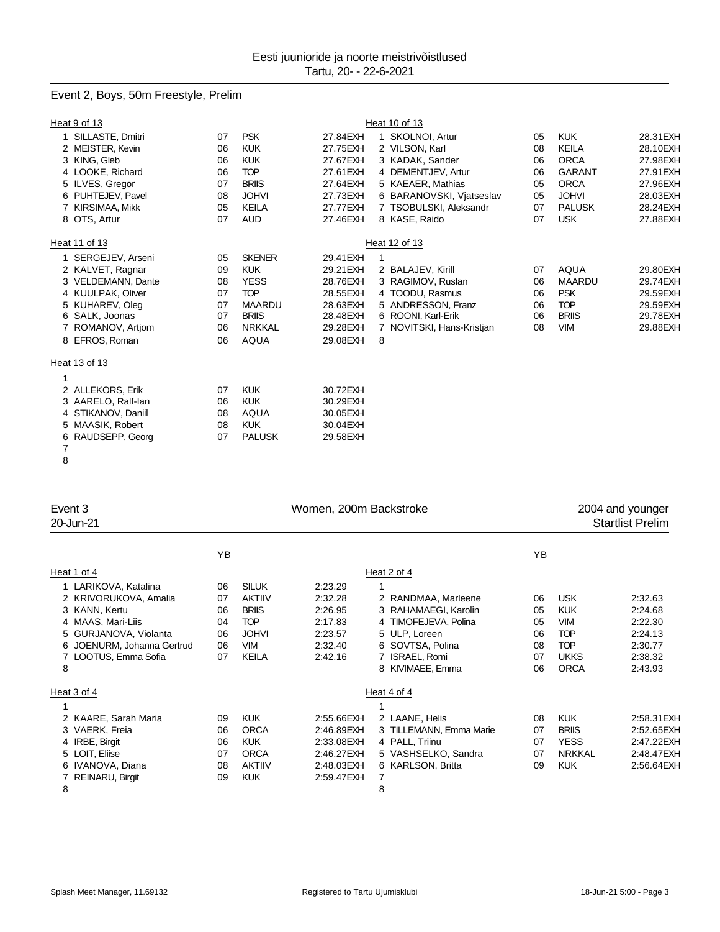# Event 2, Boys, 50m Freestyle, Prelim

| Heat 9 of 13       |                                        |                                                                                                                            |              |                                                                                                                                                                                                             |                                                                                                                                                                                                                                                                                                                                                 |               |           |
|--------------------|----------------------------------------|----------------------------------------------------------------------------------------------------------------------------|--------------|-------------------------------------------------------------------------------------------------------------------------------------------------------------------------------------------------------------|-------------------------------------------------------------------------------------------------------------------------------------------------------------------------------------------------------------------------------------------------------------------------------------------------------------------------------------------------|---------------|-----------|
| SILLASTE, Dmitri   |                                        | <b>PSK</b>                                                                                                                 |              |                                                                                                                                                                                                             | 05                                                                                                                                                                                                                                                                                                                                              | <b>KUK</b>    | 28.31 EXH |
| 2 MEISTER, Kevin   |                                        | <b>KUK</b>                                                                                                                 |              |                                                                                                                                                                                                             | 08                                                                                                                                                                                                                                                                                                                                              | <b>KEILA</b>  | 28.10EXH  |
| 3 KING, Gleb       |                                        | <b>KUK</b>                                                                                                                 |              |                                                                                                                                                                                                             | 06                                                                                                                                                                                                                                                                                                                                              | <b>ORCA</b>   | 27.98EXH  |
| 4 LOOKE, Richard   |                                        | <b>TOP</b>                                                                                                                 |              |                                                                                                                                                                                                             | 06                                                                                                                                                                                                                                                                                                                                              | <b>GARANT</b> | 27.91 EXH |
| 5 ILVES, Gregor    |                                        | <b>BRIIS</b>                                                                                                               |              |                                                                                                                                                                                                             | 05                                                                                                                                                                                                                                                                                                                                              | <b>ORCA</b>   | 27.96EXH  |
| PUHTEJEV, Pavel    |                                        |                                                                                                                            |              |                                                                                                                                                                                                             | 05                                                                                                                                                                                                                                                                                                                                              | <b>JOHVI</b>  | 28.03EXH  |
| KIRSIMAA, Mikk     |                                        | <b>KEILA</b>                                                                                                               |              |                                                                                                                                                                                                             | 07                                                                                                                                                                                                                                                                                                                                              | <b>PALUSK</b> | 28.24EXH  |
| 8 OTS, Artur       |                                        | <b>AUD</b>                                                                                                                 |              |                                                                                                                                                                                                             | 07                                                                                                                                                                                                                                                                                                                                              | <b>USK</b>    | 27.88EXH  |
| Heat 11 of 13      |                                        |                                                                                                                            |              |                                                                                                                                                                                                             |                                                                                                                                                                                                                                                                                                                                                 |               |           |
|                    |                                        | <b>SKENER</b>                                                                                                              |              |                                                                                                                                                                                                             |                                                                                                                                                                                                                                                                                                                                                 |               |           |
|                    |                                        | <b>KUK</b>                                                                                                                 |              |                                                                                                                                                                                                             | 07                                                                                                                                                                                                                                                                                                                                              | <b>AQUA</b>   | 29.80EXH  |
| 3 VELDEMANN, Dante |                                        | <b>YESS</b>                                                                                                                |              |                                                                                                                                                                                                             | 06                                                                                                                                                                                                                                                                                                                                              | <b>MAARDU</b> | 29.74EXH  |
| 4 KUULPAK, Oliver  |                                        | <b>TOP</b>                                                                                                                 |              |                                                                                                                                                                                                             | 06                                                                                                                                                                                                                                                                                                                                              | <b>PSK</b>    | 29.59EXH  |
| 5 KUHAREV, Oleg    |                                        | <b>MAARDU</b>                                                                                                              |              |                                                                                                                                                                                                             | 06                                                                                                                                                                                                                                                                                                                                              | <b>TOP</b>    | 29.59EXH  |
| 6 SALK, Joonas     |                                        | <b>BRIIS</b>                                                                                                               |              |                                                                                                                                                                                                             | 06                                                                                                                                                                                                                                                                                                                                              | <b>BRIIS</b>  | 29.78EXH  |
| ROMANOV, Artjom    |                                        | <b>NRKKAL</b>                                                                                                              |              |                                                                                                                                                                                                             | 08                                                                                                                                                                                                                                                                                                                                              | <b>VIM</b>    | 29.88EXH  |
| 8 EFROS, Roman     |                                        | <b>AQUA</b>                                                                                                                |              | 8                                                                                                                                                                                                           |                                                                                                                                                                                                                                                                                                                                                 |               |           |
| Heat 13 of 13      |                                        |                                                                                                                            |              |                                                                                                                                                                                                             |                                                                                                                                                                                                                                                                                                                                                 |               |           |
|                    |                                        |                                                                                                                            |              |                                                                                                                                                                                                             |                                                                                                                                                                                                                                                                                                                                                 |               |           |
| 2 ALLEKORS, Erik   |                                        | <b>KUK</b>                                                                                                                 | 30.72EXH     |                                                                                                                                                                                                             |                                                                                                                                                                                                                                                                                                                                                 |               |           |
| 3 AARELO, Ralf-lan |                                        | <b>KUK</b>                                                                                                                 | 30.29EXH     |                                                                                                                                                                                                             |                                                                                                                                                                                                                                                                                                                                                 |               |           |
| STIKANOV, Daniil   |                                        | <b>AQUA</b>                                                                                                                | 30.05EXH     |                                                                                                                                                                                                             |                                                                                                                                                                                                                                                                                                                                                 |               |           |
| 5 MAASIK, Robert   |                                        | <b>KUK</b>                                                                                                                 | 30.04EXH     |                                                                                                                                                                                                             |                                                                                                                                                                                                                                                                                                                                                 |               |           |
| RAUDSEPP, Georg    |                                        | <b>PALUSK</b>                                                                                                              |              |                                                                                                                                                                                                             |                                                                                                                                                                                                                                                                                                                                                 |               |           |
|                    |                                        |                                                                                                                            |              |                                                                                                                                                                                                             |                                                                                                                                                                                                                                                                                                                                                 |               |           |
|                    | 1 SERGEJEV, Arseni<br>2 KALVET, Ragnar | 07<br>06<br>06<br>06<br>07<br>08<br>05<br>07<br>05<br>09<br>08<br>07<br>07<br>07<br>06<br>06<br>07<br>06<br>08<br>08<br>07 | <b>JOHVI</b> | 27.84EXH<br>27.75EXH<br>27.67EXH<br>27.61 EXH<br>27.64EXH<br>27.73EXH<br>27.77EXH<br>27.46EXH<br>29.41 EXH<br>29.21 EXH<br>28.76EXH<br>28.55EXH<br>28.63EXH<br>28.48EXH<br>29.28EXH<br>29.08EXH<br>29.58EXH | Heat 10 of 13<br>1 SKOLNOI, Artur<br>2 VILSON, Karl<br>3 KADAK, Sander<br>4 DEMENTJEV, Artur<br>5 KAEAER, Mathias<br>6 BARANOVSKI, Vjatseslav<br>7 TSOBULSKI, Aleksandr<br>8 KASE, Raido<br>Heat 12 of 13<br>2 BALAJEV, Kirill<br>3 RAGIMOV, Ruslan<br>4 TOODU, Rasmus<br>5 ANDRESSON, Franz<br>6 ROONI, Karl-Erik<br>7 NOVITSKI, Hans-Kristjan |               |           |

| Event 3<br>20-Jun-21                                                                                                                                                        |                                        |                                                                                                           | Women, 200m Backstroke                                                           |                                                                                                                                                      |                                        | 2004 and younger<br><b>Startlist Prelim</b>                                                      |                                                                           |  |
|-----------------------------------------------------------------------------------------------------------------------------------------------------------------------------|----------------------------------------|-----------------------------------------------------------------------------------------------------------|----------------------------------------------------------------------------------|------------------------------------------------------------------------------------------------------------------------------------------------------|----------------------------------------|--------------------------------------------------------------------------------------------------|---------------------------------------------------------------------------|--|
|                                                                                                                                                                             | ΥB                                     |                                                                                                           |                                                                                  |                                                                                                                                                      | YB                                     |                                                                                                  |                                                                           |  |
| Heat 2 of 4<br>Heat 1 of 4                                                                                                                                                  |                                        |                                                                                                           |                                                                                  |                                                                                                                                                      |                                        |                                                                                                  |                                                                           |  |
| 1 LARIKOVA, Katalina<br>2 KRIVORUKOVA, Amalia<br>KANN, Kertu<br>3<br>4 MAAS, Mari-Liis<br>GURJANOVA, Violanta<br>5<br>6 JOENURM, Johanna Gertrud<br>LOOTUS, Emma Sofia<br>8 | 06<br>07<br>06<br>04<br>06<br>06<br>07 | <b>SILUK</b><br><b>AKTIIV</b><br><b>BRIIS</b><br><b>TOP</b><br><b>JOHVI</b><br><b>VIM</b><br><b>KEILA</b> | 2:23.29<br>2:32.28<br>2:26.95<br>2:17.83<br>2:23.57<br>2:32.40<br>2:42.16        | 2 RANDMAA, Marleene<br>RAHAMAEGI, Karolin<br>4 TIMOFEJEVA, Polina<br>5 ULP, Loreen<br>6 SOVTSA, Polina<br><b>ISRAEL, Romi</b><br>KIVIMAEE, Emma<br>8 | 06<br>05<br>05<br>06<br>08<br>07<br>06 | <b>USK</b><br><b>KUK</b><br><b>VIM</b><br><b>TOP</b><br><b>TOP</b><br><b>UKKS</b><br><b>ORCA</b> | 2:32.63<br>2:24.68<br>2:22.30<br>2:24.13<br>2:30.77<br>2:38.32<br>2:43.93 |  |
| Heat 3 of 4                                                                                                                                                                 |                                        |                                                                                                           |                                                                                  | Heat 4 of 4                                                                                                                                          |                                        |                                                                                                  |                                                                           |  |
| 2 KAARE, Sarah Maria<br>VAERK, Freia<br>3<br>4 IRBE, Birgit<br>5 LOIT, Eliise<br>6 IVANOVA, Diana<br>REINARU, Birgit<br>8                                                   | 09<br>06<br>06<br>07<br>08<br>09       | <b>KUK</b><br><b>ORCA</b><br><b>KUK</b><br><b>ORCA</b><br><b>AKTIIV</b><br><b>KUK</b>                     | 2:55.66EXH<br>2:46.89EXH<br>2:33.08EXH<br>2:46.27EXH<br>2:48.03EXH<br>2:59.47EXH | 2 LAANE, Helis<br>3 TILLEMANN, Emma Marie<br>4 PALL, Triinu<br>5 VASHSELKO, Sandra<br>6 KARLSON, Britta<br>7<br>8                                    | 08<br>07<br>07<br>07<br>09             | <b>KUK</b><br><b>BRIIS</b><br><b>YESS</b><br><b>NRKKAL</b><br><b>KUK</b>                         | 2:58.31 EXH<br>2:52.65EXH<br>2:47.22EXH<br>2:48.47EXH<br>2:56.64EXH       |  |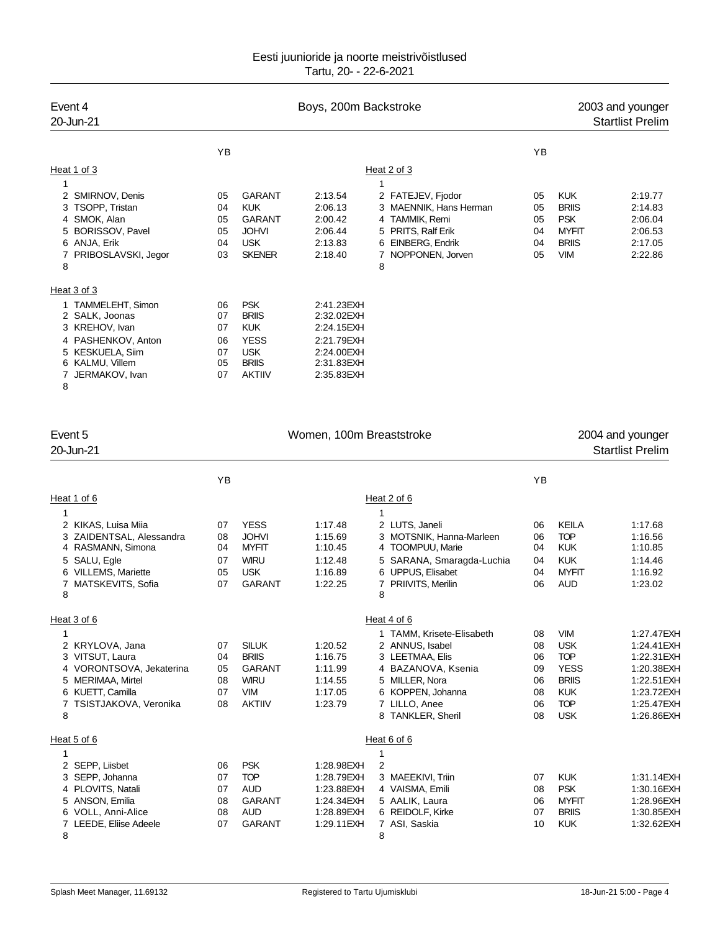| Event 4<br>20-Jun-21                                                                                                                       |                                        |                                                                                                        | Boys, 200m Backstroke                                                                          |                                                                                                                                   |                                  | 2003 and younger<br><b>Startlist Prelim</b>                                            |                                                                |  |
|--------------------------------------------------------------------------------------------------------------------------------------------|----------------------------------------|--------------------------------------------------------------------------------------------------------|------------------------------------------------------------------------------------------------|-----------------------------------------------------------------------------------------------------------------------------------|----------------------------------|----------------------------------------------------------------------------------------|----------------------------------------------------------------|--|
|                                                                                                                                            | YB                                     |                                                                                                        |                                                                                                |                                                                                                                                   | YB                               |                                                                                        |                                                                |  |
| Heat 1 of 3                                                                                                                                |                                        |                                                                                                        |                                                                                                | Heat 2 of 3                                                                                                                       |                                  |                                                                                        |                                                                |  |
| 1<br>2 SMIRNOV, Denis<br>3 TSOPP, Tristan<br>4 SMOK, Alan<br>5 BORISSOV, Pavel<br>6 ANJA, Erik<br>PRIBOSLAVSKI, Jegor<br>8<br>Heat 3 of 3  | 05<br>04<br>05<br>05<br>04<br>03       | <b>GARANT</b><br><b>KUK</b><br><b>GARANT</b><br><b>JOHVI</b><br><b>USK</b><br><b>SKENER</b>            | 2:13.54<br>2:06.13<br>2:00.42<br>2:06.44<br>2:13.83<br>2:18.40                                 | 2 FATEJEV, Fjodor<br>3 MAENNIK, Hans Herman<br>4 TAMMIK, Remi<br>5 PRITS, Ralf Erik<br>6 EINBERG, Endrik<br>NOPPONEN, Jorven<br>8 | 05<br>05<br>05<br>04<br>04<br>05 | <b>KUK</b><br><b>BRIIS</b><br><b>PSK</b><br><b>MYFIT</b><br><b>BRIIS</b><br><b>VIM</b> | 2:19.77<br>2:14.83<br>2:06.04<br>2:06.53<br>2:17.05<br>2:22.86 |  |
| 1 TAMMELEHT, Simon<br>2 SALK, Joonas<br>3 KREHOV, Ivan<br>4 PASHENKOV, Anton<br>5 KESKUELA, Siim<br>6 KALMU, Villem<br>JERMAKOV, Ivan<br>8 | 06<br>07<br>07<br>06<br>07<br>05<br>07 | <b>PSK</b><br><b>BRIIS</b><br><b>KUK</b><br><b>YESS</b><br><b>USK</b><br><b>BRIIS</b><br><b>AKTIIV</b> | 2:41.23EXH<br>2:32.02EXH<br>2:24.15EXH<br>2:21.79EXH<br>2:24.00EXH<br>2:31.83EXH<br>2:35.83EXH |                                                                                                                                   |                                  |                                                                                        |                                                                |  |

| Event 5<br>20-Jun-21                                       | Women, 100m Breaststroke  |    |              |             |  |
|------------------------------------------------------------|---------------------------|----|--------------|-------------|--|
| YB                                                         |                           | YB |              |             |  |
| Heat 2 of 6<br>Heat 1 of 6                                 |                           |    |              |             |  |
| 1                                                          |                           |    |              |             |  |
| <b>YESS</b><br>2 KIKAS, Luisa Miia<br>07<br>1:17.48        | 2 LUTS, Janeli            | 06 | <b>KEILA</b> | 1:17.68     |  |
| 3 ZAIDENTSAL, Alessandra<br><b>JOHVI</b><br>08<br>1:15.69  | 3 MOTSNIK, Hanna-Marleen  | 06 | <b>TOP</b>   | 1:16.56     |  |
| 4 RASMANN, Simona<br><b>MYFIT</b><br>04<br>1:10.45         | 4 TOOMPUU, Marie          | 04 | <b>KUK</b>   | 1:10.85     |  |
| <b>WIRU</b><br>SALU, Egle<br>5<br>07<br>1:12.48            | 5 SARANA, Smaragda-Luchia | 04 | <b>KUK</b>   | 1:14.46     |  |
| 6 VILLEMS, Mariette<br>05<br><b>USK</b><br>1:16.89         | 6 UPPUS, Elisabet         | 04 | <b>MYFIT</b> | 1:16.92     |  |
| <b>GARANT</b><br>MATSKEVITS, Sofia<br>07<br>1:22.25        | 7 PRIIVITS, Merilin       | 06 | <b>AUD</b>   | 1:23.02     |  |
| 8<br>8                                                     |                           |    |              |             |  |
| Heat 4 of 6<br>Heat 3 of 6                                 |                           |    |              |             |  |
| 1                                                          | 1 TAMM, Krisete-Elisabeth | 08 | <b>VIM</b>   | 1:27.47EXH  |  |
| <b>SILUK</b><br>2 KRYLOVA, Jana<br>07<br>1:20.52           | 2 ANNUS, Isabel           | 08 | <b>USK</b>   | 1:24.41 EXH |  |
| <b>BRIIS</b><br>3 VITSUT, Laura<br>04<br>1:16.75           | 3 LEETMAA, Elis           | 06 | <b>TOP</b>   | 1:22.31 EXH |  |
| 4 VORONTSOVA, Jekaterina<br>05<br><b>GARANT</b><br>1:11.99 | 4 BAZANOVA, Ksenia        | 09 | <b>YESS</b>  | 1:20.38EXH  |  |
| <b>WIRU</b><br>MERIMAA, Mirtel<br>08<br>1:14.55<br>5       | 5 MILLER, Nora            | 06 | <b>BRIIS</b> | 1:22.51 EXH |  |
| 6 KUETT, Camilla<br><b>VIM</b><br>07<br>1:17.05            | 6 KOPPEN, Johanna         | 08 | <b>KUK</b>   | 1:23.72EXH  |  |
| TSISTJAKOVA, Veronika<br>08<br><b>AKTIIV</b><br>1:23.79    | 7 LILLO, Anee             | 06 | <b>TOP</b>   | 1:25.47EXH  |  |
| 8                                                          | 8 TANKLER, Sheril         | 08 | <b>USK</b>   | 1:26.86EXH  |  |
| Heat 5 of 6<br>Heat 6 of 6                                 |                           |    |              |             |  |
| 1                                                          |                           |    |              |             |  |
| 2 SEPP, Liisbet<br><b>PSK</b><br>2<br>06<br>1:28.98EXH     |                           |    |              |             |  |
| <b>TOP</b><br>3 SEPP, Johanna<br>07<br>1:28.79EXH          | 3 MAEEKIVI, Triin         | 07 | <b>KUK</b>   | 1:31.14EXH  |  |
| 4 PLOVITS, Natali<br><b>AUD</b><br>07<br>1:23.88EXH        | 4 VAISMA, Emili           | 08 | <b>PSK</b>   | 1:30.16EXH  |  |
| <b>GARANT</b><br>5 ANSON, Emilia<br>08<br>1:24.34EXH       | 5 AALIK, Laura            | 06 | <b>MYFIT</b> | 1:28.96EXH  |  |
| 6 VOLL, Anni-Alice<br>08<br><b>AUD</b><br>1:28.89EXH       | 6 REIDOLF, Kirke          | 07 | <b>BRIIS</b> | 1:30.85EXH  |  |
| <b>GARANT</b><br>07<br>LEEDE, Eliise Adeele<br>1:29.11 EXH | 7 ASI, Saskia             | 10 | <b>KUK</b>   | 1:32.62EXH  |  |
| 8<br>8                                                     |                           |    |              |             |  |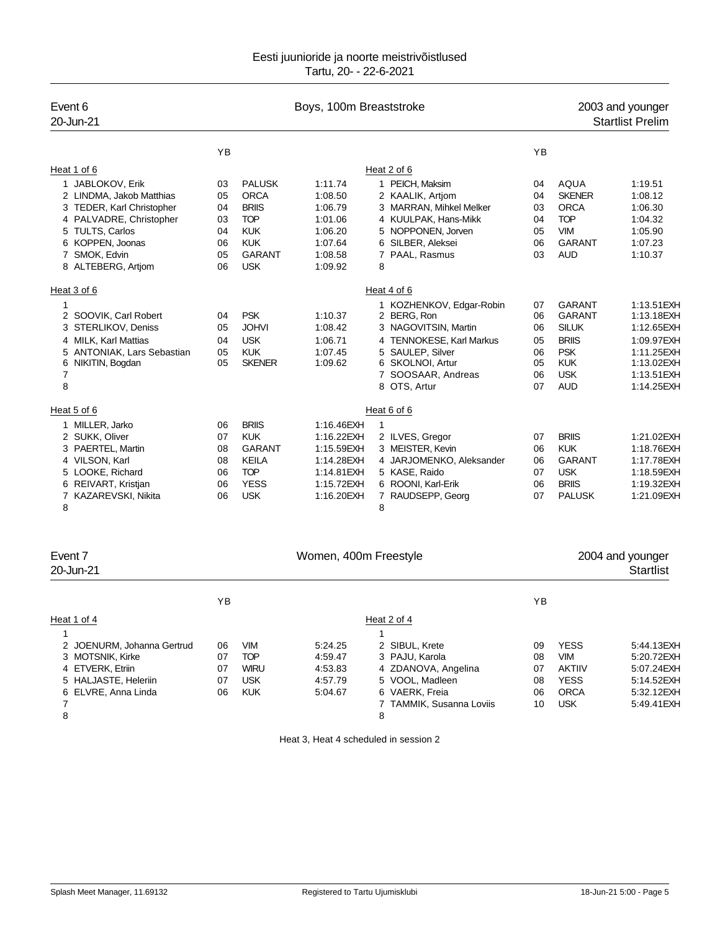| Event 6<br>20-Jun-21       |           |               | Boys, 100m Breaststroke |                                    |    | 2003 and younger<br><b>Startlist Prelim</b> |             |  |
|----------------------------|-----------|---------------|-------------------------|------------------------------------|----|---------------------------------------------|-------------|--|
|                            | <b>YB</b> |               |                         |                                    | YB |                                             |             |  |
| Heat 1 of 6                |           |               | Heat 2 of 6             |                                    |    |                                             |             |  |
| 1 JABLOKOV, Erik           | 03        | <b>PALUSK</b> | 1:11.74                 | 1 PEICH, Maksim                    | 04 | <b>AQUA</b>                                 | 1:19.51     |  |
| 2 LINDMA, Jakob Matthias   | 05        | <b>ORCA</b>   | 1:08.50                 | 2 KAALIK, Artjom                   | 04 | <b>SKENER</b>                               | 1:08.12     |  |
| 3 TEDER, Karl Christopher  | 04        | <b>BRIIS</b>  | 1:06.79                 | 3 MARRAN, Mihkel Melker            | 03 | <b>ORCA</b>                                 | 1:06.30     |  |
| 4 PALVADRE, Christopher    | 03        | <b>TOP</b>    | 1:01.06                 | 4 KUULPAK, Hans-Mikk               | 04 | <b>TOP</b>                                  | 1:04.32     |  |
| 5 TULTS, Carlos            | 04        | <b>KUK</b>    | 1:06.20                 | 5 NOPPONEN, Jorven                 | 05 | <b>VIM</b>                                  | 1:05.90     |  |
| 6 KOPPEN, Joonas           | 06        | <b>KUK</b>    | 1:07.64                 | 6 SILBER, Aleksei                  | 06 | <b>GARANT</b>                               | 1:07.23     |  |
| 7 SMOK, Edvin              | 05        | <b>GARANT</b> | 1:08.58                 | 7 PAAL, Rasmus                     | 03 | <b>AUD</b>                                  | 1:10.37     |  |
| 8 ALTEBERG, Artjom         | 06        | <b>USK</b>    | 1:09.92                 | 8                                  |    |                                             |             |  |
| Heat 3 of 6                |           |               |                         | Heat 4 of 6                        |    |                                             |             |  |
| 1                          |           |               |                         | 1 KOZHENKOV, Edgar-Robin           | 07 | <b>GARANT</b>                               | 1:13.51 EXH |  |
| 2 SOOVIK, Carl Robert      | 04        | <b>PSK</b>    | 1:10.37                 | 2 BERG, Ron                        | 06 | <b>GARANT</b>                               | 1:13.18EXH  |  |
| 3 STERLIKOV, Deniss        | 05        | <b>JOHVI</b>  | 1:08.42                 | 3 NAGOVITSIN, Martin               | 06 | <b>SILUK</b>                                | 1:12.65EXH  |  |
| 4 MILK, Karl Mattias       | 04        | <b>USK</b>    | 1:06.71                 | <b>TENNOKESE, Karl Markus</b><br>4 | 05 | <b>BRIIS</b>                                | 1:09.97EXH  |  |
| 5 ANTONIAK, Lars Sebastian | 05        | <b>KUK</b>    | 1:07.45                 | 5 SAULEP, Silver                   | 06 | <b>PSK</b>                                  | 1:11.25EXH  |  |
| 6 NIKITIN, Bogdan          | 05        | <b>SKENER</b> | 1:09.62                 | 6 SKOLNOI, Artur                   | 05 | <b>KUK</b>                                  | 1:13.02EXH  |  |
| 7                          |           |               |                         | 7 SOOSAAR, Andreas                 | 06 | <b>USK</b>                                  | 1:13.51 EXH |  |
| 8                          |           |               |                         | 8 OTS, Artur                       | 07 | <b>AUD</b>                                  | 1:14.25EXH  |  |
| Heat 5 of 6                |           |               |                         | Heat 6 of 6                        |    |                                             |             |  |
| 1 MILLER, Jarko            | 06        | <b>BRIIS</b>  | 1:16.46EXH              | $\mathbf{1}$                       |    |                                             |             |  |
| 2 SUKK, Oliver             | 07        | <b>KUK</b>    | 1:16.22EXH              | 2 ILVES, Gregor                    | 07 | <b>BRIIS</b>                                | 1:21.02EXH  |  |
| 3 PAERTEL, Martin          | 08        | <b>GARANT</b> | 1:15.59EXH              | 3 MEISTER, Kevin                   | 06 | <b>KUK</b>                                  | 1:18.76EXH  |  |
| 4 VILSON, Karl             | 08        | <b>KEILA</b>  | 1:14.28EXH              | 4 JARJOMENKO, Aleksander           | 06 | <b>GARANT</b>                               | 1:17.78EXH  |  |
| 5 LOOKE, Richard           | 06        | <b>TOP</b>    | 1:14.81 EXH             | 5 KASE, Raido                      | 07 | <b>USK</b>                                  | 1:18.59EXH  |  |
| 6 REIVART, Kristjan        | 06        | <b>YESS</b>   | 1:15.72EXH              | 6 ROONI, Karl-Erik                 | 06 | <b>BRIIS</b>                                | 1:19.32EXH  |  |
| 7 KAZAREVSKI, Nikita       | 06        | <b>USK</b>    | 1:16.20EXH              | RAUDSEPP, Georg<br>7               | 07 | <b>PALUSK</b>                               | 1:21.09EXH  |  |
| 8                          |           |               |                         | 8                                  |    |                                             |             |  |

| Event 7<br>20-Jun-21       |    |             | Women, 400m Freestyle |                          | 2004 and younger<br>Startlist |               |             |
|----------------------------|----|-------------|-----------------------|--------------------------|-------------------------------|---------------|-------------|
|                            | YB |             |                       |                          | ΥB                            |               |             |
| Heat 1 of 4                |    |             |                       | Heat 2 of 4              |                               |               |             |
|                            |    |             |                       |                          |                               |               |             |
| 2 JOENURM, Johanna Gertrud | 06 | <b>VIM</b>  | 5:24.25               | 2 SIBUL, Krete           | 09                            | <b>YESS</b>   | 5:44.13EXH  |
| 3 MOTSNIK, Kirke           | 07 | <b>TOP</b>  | 4:59.47               | 3 PAJU, Karola           | 08                            | <b>VIM</b>    | 5:20.72EXH  |
| 4 ETVERK, Etriin           | 07 | <b>WIRU</b> | 4:53.83               | 4 ZDANOVA, Angelina      | 07                            | <b>AKTIIV</b> | 5:07.24EXH  |
| 5 HALJASTE, Heleriin       | 07 | <b>USK</b>  | 4:57.79               | 5 VOOL, Madleen          | 08                            | <b>YESS</b>   | 5:14.52EXH  |
| 6 ELVRE, Anna Linda        | 06 | <b>KUK</b>  | 5:04.67               | 6 VAERK, Freia           | 06                            | <b>ORCA</b>   | 5:32.12EXH  |
|                            |    |             |                       | 7 TAMMIK, Susanna Loviis | 10                            | <b>USK</b>    | 5:49.41 EXH |
| 8                          |    |             |                       | 8                        |                               |               |             |

Heat 3, Heat 4 scheduled in session 2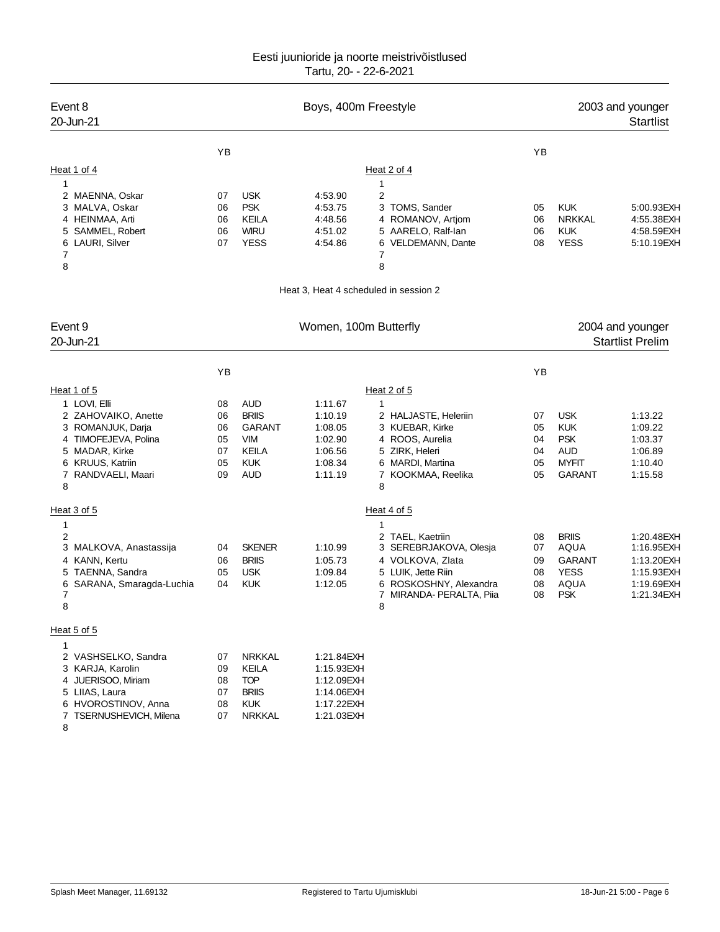| Event 8<br>20-Jun-21                                                                                                                                             |                                        |                                                                                                       | Boys, 400m Freestyle                                                             | 2003 and younger<br><b>Startlist</b>                                                                                                                                   |                                  |                                                                                          |                                                                                  |
|------------------------------------------------------------------------------------------------------------------------------------------------------------------|----------------------------------------|-------------------------------------------------------------------------------------------------------|----------------------------------------------------------------------------------|------------------------------------------------------------------------------------------------------------------------------------------------------------------------|----------------------------------|------------------------------------------------------------------------------------------|----------------------------------------------------------------------------------|
|                                                                                                                                                                  | YB                                     |                                                                                                       |                                                                                  |                                                                                                                                                                        | YB                               |                                                                                          |                                                                                  |
| Heat 1 of 4<br>$\mathbf{1}$<br>2 MAENNA, Oskar<br>3 MALVA, Oskar<br>4 HEINMAA, Arti<br>5 SAMMEL, Robert<br>6 LAURI, Silver<br>7<br>8                             | 07<br>06<br>06<br>06<br>07             | <b>USK</b><br><b>PSK</b><br><b>KEILA</b><br><b>WIRU</b><br><b>YESS</b>                                | 4:53.90<br>4:53.75<br>4:48.56<br>4:51.02<br>4:54.86                              | Heat 2 of 4<br>1<br>2<br>3<br>TOMS, Sander<br>4 ROMANOV, Artiom<br>5 AARELO, Ralf-lan<br>VELDEMANN, Dante<br>6<br>7<br>8<br>Heat 3, Heat 4 scheduled in session 2      | 05<br>06<br>06<br>08             | <b>KUK</b><br><b>NRKKAL</b><br><b>KUK</b><br><b>YESS</b>                                 | 5:00.93EXH<br>4:55.38EXH<br>4:58.59EXH<br>5:10.19EXH                             |
| Event 9<br>20-Jun-21                                                                                                                                             | Women, 100m Butterfly                  |                                                                                                       |                                                                                  |                                                                                                                                                                        |                                  |                                                                                          | 2004 and younger<br><b>Startlist Prelim</b>                                      |
|                                                                                                                                                                  | YB                                     |                                                                                                       |                                                                                  |                                                                                                                                                                        | YB                               |                                                                                          |                                                                                  |
| Heat 1 of 5<br>1 LOVI, Elli<br>2 ZAHOVAIKO, Anette<br>3 ROMANJUK, Darja<br>4 TIMOFEJEVA, Polina<br>5 MADAR, Kirke<br>6 KRUUS, Katriin<br>7 RANDVAELI, Maari<br>8 | 08<br>06<br>06<br>05<br>07<br>05<br>09 | <b>AUD</b><br><b>BRIIS</b><br><b>GARANT</b><br><b>VIM</b><br><b>KEILA</b><br><b>KUK</b><br><b>AUD</b> | 1:11.67<br>1:10.19<br>1:08.05<br>1:02.90<br>1:06.56<br>1:08.34<br>1:11.19        | Heat 2 of 5<br>1<br>2 HALJASTE, Heleriin<br>3 KUEBAR, Kirke<br>4 ROOS, Aurelia<br>5 ZIRK, Heleri<br>6 MARDI, Martina<br>KOOKMAA, Reelika<br>7<br>8                     | 07<br>05<br>04<br>04<br>05<br>05 | <b>USK</b><br><b>KUK</b><br><b>PSK</b><br><b>AUD</b><br><b>MYFIT</b><br><b>GARANT</b>    | 1:13.22<br>1:09.22<br>1:03.37<br>1:06.89<br>1:10.40<br>1:15.58                   |
| Heat 3 of 5<br>1<br>2<br>3 MALKOVA, Anastassija<br>4 KANN, Kertu<br>5 TAENNA, Sandra<br>6<br>SARANA, Smaragda-Luchia<br>7<br>8                                   | 04<br>06<br>05<br>04                   | <b>SKENER</b><br><b>BRIIS</b><br><b>USK</b><br><b>KUK</b>                                             | 1:10.99<br>1:05.73<br>1:09.84<br>1:12.05                                         | Heat 4 of 5<br>1<br>2 TAEL, Kaetriin<br>3 SEREBRJAKOVA, Olesja<br>4 VOLKOVA, Zlata<br>5 LUIK. Jette Riin<br>6 ROSKOSHNY, Alexandra<br>MIRANDA- PERALTA, Piia<br>7<br>8 | 08<br>07<br>09<br>08<br>08<br>08 | <b>BRIIS</b><br><b>AQUA</b><br><b>GARANT</b><br><b>YESS</b><br><b>AQUA</b><br><b>PSK</b> | 1:20.48EXH<br>1:16.95EXH<br>1:13.20EXH<br>1:15.93EXH<br>1:19.69EXH<br>1:21.34EXH |
| Heat 5 of 5<br>1<br>2 VASHSELKO, Sandra<br>3 KARJA, Karolin<br>4 JUERISOO, Miriam<br>5 LIIAS, Laura<br>6 HVOROSTINOV, Anna<br>7 TSERNUSHEVICH, Milena            | 07<br>09<br>08<br>07<br>08<br>07       | <b>NRKKAL</b><br><b>KEILA</b><br><b>TOP</b><br><b>BRIIS</b><br><b>KUK</b><br><b>NRKKAL</b>            | 1:21.84EXH<br>1:15.93EXH<br>1:12.09EXH<br>1:14.06EXH<br>1:17.22EXH<br>1:21.03EXH |                                                                                                                                                                        |                                  |                                                                                          |                                                                                  |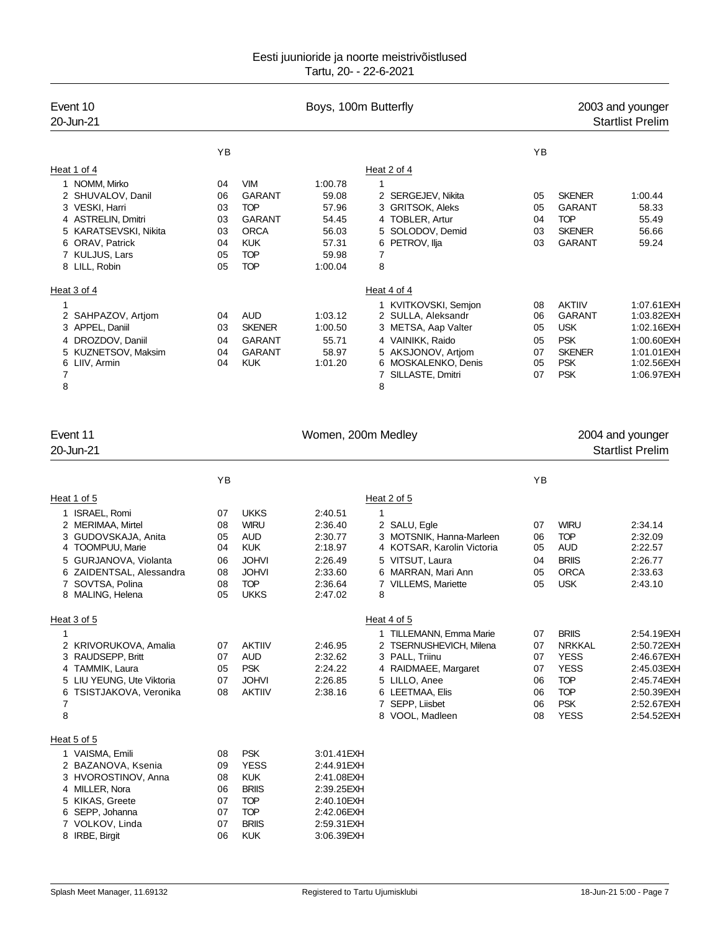| Event 10<br>20-Jun-21                        |          |                            | Boys, 100m Butterfly | 2003 and younger<br><b>Startlist Prelim</b> |          |                           |                                             |
|----------------------------------------------|----------|----------------------------|----------------------|---------------------------------------------|----------|---------------------------|---------------------------------------------|
|                                              | YB       |                            |                      |                                             | YB       |                           |                                             |
| Heat 1 of 4                                  |          |                            |                      | Heat 2 of 4                                 |          |                           |                                             |
| 1 NOMM, Mirko                                | 04       | <b>VIM</b>                 | 1:00.78              | 1                                           |          |                           |                                             |
| 2 SHUVALOV, Danil                            | 06       | <b>GARANT</b>              | 59.08                | 2 SERGEJEV, Nikita                          | 05       | <b>SKENER</b>             | 1:00.44                                     |
| 3 VESKI, Harri                               | 03       | <b>TOP</b>                 | 57.96                | 3 GRITSOK, Aleks                            | 05       | <b>GARANT</b>             | 58.33                                       |
| 4 ASTRELIN, Dmitri                           | 03       | <b>GARANT</b>              | 54.45                | 4 TOBLER, Artur                             | 04       | <b>TOP</b>                | 55.49                                       |
| 5 KARATSEVSKI, Nikita                        | 03       | <b>ORCA</b>                | 56.03                | 5 SOLODOV, Demid                            | 03       | <b>SKENER</b>             | 56.66                                       |
| 6 ORAV, Patrick                              | 04       | <b>KUK</b>                 | 57.31                | PETROV, Ilja<br>6                           | 03       | <b>GARANT</b>             | 59.24                                       |
| 7 KULJUS, Lars                               | 05       | <b>TOP</b>                 | 59.98                | $\overline{7}$                              |          |                           |                                             |
| 8 LILL, Robin                                | 05       | <b>TOP</b>                 | 1:00.04              | 8                                           |          |                           |                                             |
| Heat 3 of 4                                  |          |                            |                      | Heat 4 of 4                                 |          |                           |                                             |
| 1                                            |          |                            |                      | 1 KVITKOVSKI, Semjon                        | 08       | <b>AKTIIV</b>             | 1:07.61 EXH                                 |
| 2 SAHPAZOV, Artjom                           | 04       | <b>AUD</b>                 | 1:03.12              | 2 SULLA, Aleksandr                          | 06       | <b>GARANT</b>             | 1:03.82EXH                                  |
| 3 APPEL, Daniil                              | 03       | <b>SKENER</b>              | 1:00.50              | 3 METSA, Aap Valter                         | 05       | <b>USK</b>                | 1:02.16EXH                                  |
| 4 DROZDOV, Daniil                            | 04       | <b>GARANT</b>              | 55.71                | 4 VAINIKK, Raido                            | 05       | <b>PSK</b>                | 1:00.60EXH                                  |
| 5 KUZNETSOV, Maksim                          | 04       | <b>GARANT</b>              | 58.97                | 5 AKSJONOV, Artiom                          | 07       | <b>SKENER</b>             | 1:01.01EXH                                  |
| 6 LIIV, Armin<br>7                           | 04       | <b>KUK</b>                 | 1:01.20              | 6 MOSKALENKO, Denis<br>7 SILLASTE, Dmitri   | 05<br>07 | <b>PSK</b><br><b>PSK</b>  | 1:02.56EXH<br>1:06.97EXH                    |
| 8                                            |          |                            |                      | 8                                           |          |                           |                                             |
| Event 11<br>20-Jun-21                        |          |                            | Women, 200m Medley   |                                             |          |                           | 2004 and younger<br><b>Startlist Prelim</b> |
|                                              |          |                            |                      |                                             |          |                           |                                             |
|                                              | YB       |                            |                      |                                             | YB       |                           |                                             |
| Heat 1 of 5                                  |          |                            |                      | Heat 2 of 5                                 |          |                           |                                             |
| 1 ISRAEL, Romi                               | 07       | <b>UKKS</b>                | 2:40.51              | $\mathbf{1}$                                |          |                           |                                             |
| 2 MERIMAA, Mirtel                            | 08       | <b>WIRU</b>                | 2:36.40              | 2 SALU, Egle                                | 07       | <b>WIRU</b>               | 2:34.14                                     |
| 3 GUDOVSKAJA, Anita                          | 05       | <b>AUD</b>                 | 2:30.77              | 3 MOTSNIK, Hanna-Marleen                    | 06       | <b>TOP</b>                | 2:32.09                                     |
| 4 TOOMPUU, Marie                             | 04       | <b>KUK</b>                 | 2:18.97              | 4 KOTSAR, Karolin Victoria                  | 05       | <b>AUD</b>                | 2:22.57                                     |
| 5 GURJANOVA, Violanta                        | 06       | <b>JOHVI</b>               | 2:26.49              | 5 VITSUT, Laura                             | 04       | <b>BRIIS</b>              | 2:26.77                                     |
| 6 ZAIDENTSAL, Alessandra                     | 08       | <b>JOHVI</b>               | 2:33.60              | 6 MARRAN, Mari Ann                          | 05       | <b>ORCA</b>               | 2:33.63                                     |
| 7 SOVTSA, Polina<br>8 MALING, Helena         | 08<br>05 | <b>TOP</b><br><b>UKKS</b>  | 2:36.64<br>2:47.02   | <b>VILLEMS, Mariette</b><br>7<br>8          | 05       | <b>USK</b>                | 2:43.10                                     |
|                                              |          |                            |                      |                                             |          |                           |                                             |
| Heat 3 of 5                                  |          |                            |                      | Heat 4 of 5                                 |          |                           |                                             |
| 1                                            |          |                            |                      | 1 TILLEMANN, Emma Marie                     | 07       | <b>BRIIS</b>              | 2:54.19EXH                                  |
| 2 KRIVORUKOVA, Amalia                        | 07       | <b>AKTIIV</b>              | 2:46.95              | 2 TSERNUSHEVICH, Milena                     | 07       | <b>NRKKAL</b>             | 2:50.72EXH                                  |
| 3 RAUDSEPP, Britt                            | 07       | <b>AUD</b>                 | 2:32.62              | 3 PALL. Triinu                              | 07       | <b>YESS</b>               | 2:46.67EXH                                  |
| 4 TAMMIK, Laura<br>5 LIU YEUNG, Ute Viktoria | 05       | <b>PSK</b><br><b>JOHVI</b> | 2:24.22              | 4 RAIDMAEE, Margaret<br>5 LILLO, Anee       | 07       | <b>YESS</b><br><b>TOP</b> | 2:45.03EXH                                  |
| 6 TSISTJAKOVA, Veronika                      | 07<br>08 | <b>AKTIIV</b>              | 2:26.85<br>2:38.16   | 6 LEETMAA, Elis                             | 06<br>06 | <b>TOP</b>                | 2:45.74EXH<br>2:50.39EXH                    |
| 7                                            |          |                            |                      | 7 SEPP, Liisbet                             | 06       | <b>PSK</b>                | 2:52.67EXH                                  |
| 8                                            |          |                            |                      | 8 VOOL, Madleen                             | 08       | <b>YESS</b>               | 2:54.52EXH                                  |
| Heat 5 of 5                                  |          |                            |                      |                                             |          |                           |                                             |
| 1 VAISMA, Emili                              | 08       | <b>PSK</b>                 | 3:01.41 EXH          |                                             |          |                           |                                             |

| 1 VAISMA, Emili     | 08 | <b>PSK</b>   | 3:01.41 EXH |
|---------------------|----|--------------|-------------|
| 2 BAZANOVA, Ksenia  | 09 | <b>YESS</b>  | 2:44.91 EXH |
| 3 HVOROSTINOV, Anna | 08 | <b>KUK</b>   | 2:41.08EXH  |
| 4 MILLER, Nora      | 06 | <b>BRIIS</b> | 2:39.25EXH  |
| 5 KIKAS, Greete     | 07 | TOP          | 2:40.10EXH  |
| 6 SEPP, Johanna     | 07 | TOP          | 2:42.06EXH  |
| 7 VOLKOV, Linda     | 07 | <b>BRIIS</b> | 2:59.31 EXH |
| 8 IRBE, Birgit      | 06 | KI JK        | 3:06.39EXH  |
|                     |    |              |             |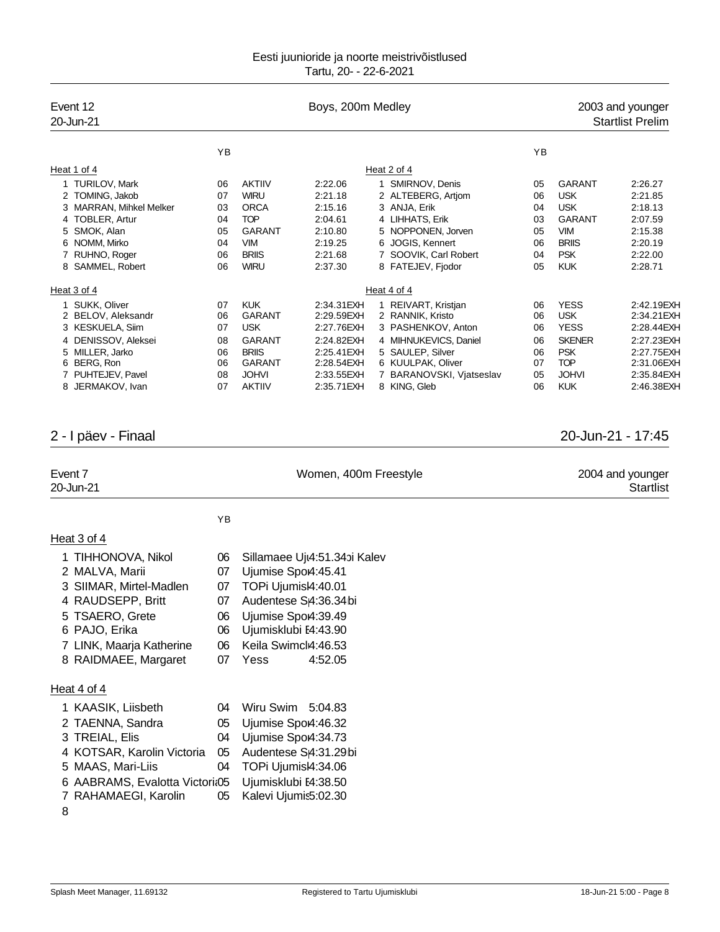| Event 12<br>20-Jun-21                                                                                                                                                                     |                                              | Boys, 200m Medley                                                                                                                    |                                                                                                                  |  |                                                                                                                                                                             |                                              |                                                                                                                     | 2003 and younger<br><b>Startlist Prelim</b>                                                                   |
|-------------------------------------------------------------------------------------------------------------------------------------------------------------------------------------------|----------------------------------------------|--------------------------------------------------------------------------------------------------------------------------------------|------------------------------------------------------------------------------------------------------------------|--|-----------------------------------------------------------------------------------------------------------------------------------------------------------------------------|----------------------------------------------|---------------------------------------------------------------------------------------------------------------------|---------------------------------------------------------------------------------------------------------------|
|                                                                                                                                                                                           | YB                                           |                                                                                                                                      |                                                                                                                  |  |                                                                                                                                                                             | YB                                           |                                                                                                                     |                                                                                                               |
| Heat 1 of 4                                                                                                                                                                               |                                              |                                                                                                                                      |                                                                                                                  |  | Heat $2$ of $4$                                                                                                                                                             |                                              |                                                                                                                     |                                                                                                               |
| 1 TURILOV, Mark<br>2 TOMING, Jakob<br>3 MARRAN, Mihkel Melker<br>4 TOBLER, Artur<br>5 SMOK, Alan<br>6 NOMM, Mirko<br>7 RUHNO, Roger                                                       | 06<br>07<br>03<br>04<br>05<br>04<br>06       | <b>AKTIIV</b><br><b>WIRU</b><br><b>ORCA</b><br><b>TOP</b><br><b>GARANT</b><br><b>VIM</b><br><b>BRIIS</b>                             | 2:22.06<br>2:21.18<br>2:15.16<br>2:04.61<br>2:10.80<br>2:19.25<br>2:21.68                                        |  | 1 SMIRNOV, Denis<br>2 ALTEBERG, Artjom<br>3 ANJA, Erik<br>4 LIHHATS, Erik<br>5 NOPPONEN, Jorven<br>6 JOGIS, Kennert<br>7 SOOVIK, Carl Robert                                | 05<br>06<br>04<br>03<br>05<br>06<br>04       | <b>GARANT</b><br><b>USK</b><br><b>USK</b><br><b>GARANT</b><br><b>VIM</b><br><b>BRIIS</b><br><b>PSK</b>              | 2:26.27<br>2:21.85<br>2:18.13<br>2:07.59<br>2:15.38<br>2:20.19<br>2:22.00                                     |
| 8 SAMMEL, Robert                                                                                                                                                                          | 06                                           | <b>WIRU</b>                                                                                                                          | 2:37.30                                                                                                          |  | 8 FATEJEV, Fjodor                                                                                                                                                           | 05                                           | <b>KUK</b>                                                                                                          | 2:28.71                                                                                                       |
| Heat 3 of 4                                                                                                                                                                               |                                              |                                                                                                                                      |                                                                                                                  |  | Heat 4 of 4                                                                                                                                                                 |                                              |                                                                                                                     |                                                                                                               |
| 1 SUKK, Oliver<br>2 BELOV, Aleksandr<br>3 KESKUELA, Siim<br>4 DENISSOV, Aleksei<br>5 MILLER, Jarko<br>6 BERG, Ron<br>7 PUHTEJEV, Pavel<br>8 JERMAKOV, Ivan                                | 07<br>06<br>07<br>08<br>06<br>06<br>08<br>07 | <b>KUK</b><br><b>GARANT</b><br><b>USK</b><br><b>GARANT</b><br><b>BRIIS</b><br><b>GARANT</b><br><b>JOHVI</b><br><b>AKTIIV</b>         | 2:34.31 EXH<br>2:29.59EXH<br>2:27.76EXH<br>2:24.82EXH<br>2:25.41 EXH<br>2:28.54EXH<br>2:33.55 EXH<br>2:35.71 EXH |  | 1 REIVART, Kristjan<br>2 RANNIK, Kristo<br>3 PASHENKOV, Anton<br>4 MIHNUKEVICS, Daniel<br>5 SAULEP, Silver<br>6 KUULPAK, Oliver<br>7 BARANOVSKI, Vjatseslav<br>8 KING, Gleb | 06<br>06<br>06<br>06<br>06<br>07<br>05<br>06 | <b>YESS</b><br><b>USK</b><br><b>YESS</b><br><b>SKENER</b><br><b>PSK</b><br><b>TOP</b><br><b>JOHVI</b><br><b>KUK</b> | 2:42.19EXH<br>2:34.21EXH<br>2:28.44 EXH<br>2:27.23EXH<br>2:27.75EXH<br>2:31.06EXH<br>2:35.84EXH<br>2:46.38EXH |
| 2 - I päev - Finaal                                                                                                                                                                       |                                              |                                                                                                                                      |                                                                                                                  |  |                                                                                                                                                                             |                                              |                                                                                                                     | 20-Jun-21 - 17:45                                                                                             |
| Event 7<br>20-Jun-21                                                                                                                                                                      |                                              | Women, 400m Freestyle                                                                                                                |                                                                                                                  |  |                                                                                                                                                                             |                                              |                                                                                                                     | 2004 and younger<br><b>Startlist</b>                                                                          |
|                                                                                                                                                                                           | YB                                           |                                                                                                                                      |                                                                                                                  |  |                                                                                                                                                                             |                                              |                                                                                                                     |                                                                                                               |
| Heat 3 of 4                                                                                                                                                                               |                                              |                                                                                                                                      |                                                                                                                  |  |                                                                                                                                                                             |                                              |                                                                                                                     |                                                                                                               |
| 1 TIHHONOVA, Nikol<br>2 MALVA, Marii<br>3 SIIMAR, Mirtel-Madlen<br>4 RAUDSEPP, Britt<br>5 TSAERO, Grete<br>6 PAJO, Erika<br>7 LINK, Maarja Katherine<br>8 RAIDMAEE, Margaret              | 06<br>07<br>07<br>07<br>06<br>06<br>06<br>07 | Ujumise Spo4:45.41<br>TOPi Ujumisl4:40.01<br>Ujumise Spo4:39.49<br>Ujumisklubi E4:43.90<br>Keila Swimcl4:46.53<br>Yess               | Sillamaee Uju4:51.34bi Kalev<br>Audentese S <sub>14</sub> :36.34bi<br>4:52.05                                    |  |                                                                                                                                                                             |                                              |                                                                                                                     |                                                                                                               |
| Heat 4 of 4<br>1 KAASIK, Liisbeth<br>2 TAENNA, Sandra<br>3 TREIAL, Elis<br>4 KOTSAR, Karolin Victoria<br>5 MAAS, Mari-Liis<br>6 AABRAMS, Evalotta Victori&05<br>7 RAHAMAEGI, Karolin<br>8 | 04<br>05<br>04<br>05<br>04<br>05             | Wiru Swim 5:04.83<br>Ujumise Spo4:46.32<br>Ujumise Spo4:34.73<br>TOPi Ujumisl4:34.06<br>Ujumisklubi E4:38.50<br>Kalevi Ujumis5:02.30 | Audentese SA:31.29bi                                                                                             |  |                                                                                                                                                                             |                                              |                                                                                                                     |                                                                                                               |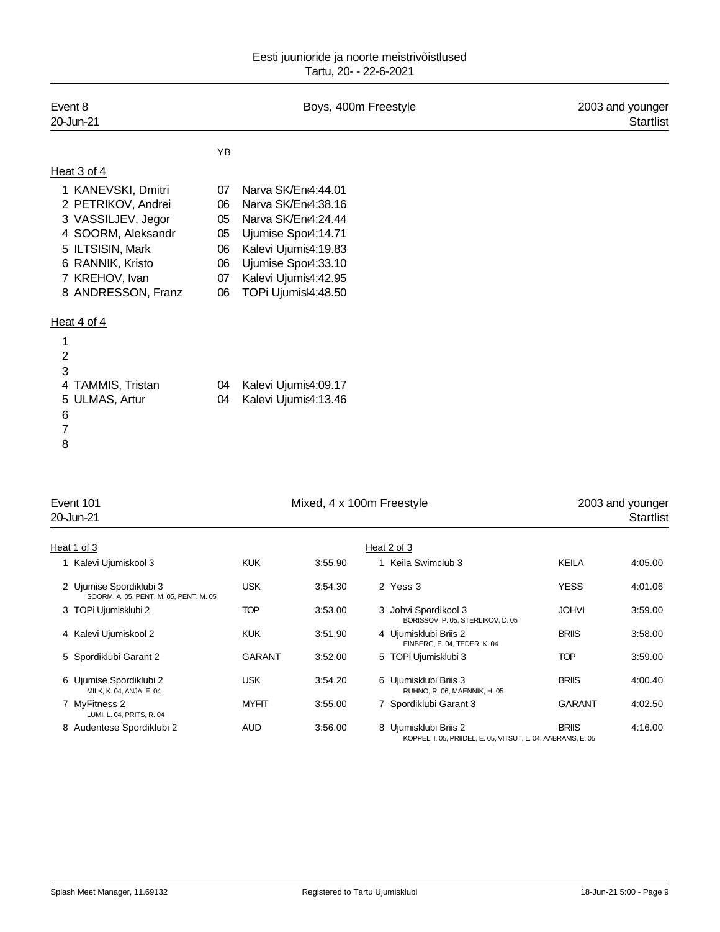| Event 8<br>20-Jun-21                                                                                                                                                 |                                              | Boys, 400m Freestyle                                                                                                                                                              | 2003 and younger<br><b>Startlist</b> |
|----------------------------------------------------------------------------------------------------------------------------------------------------------------------|----------------------------------------------|-----------------------------------------------------------------------------------------------------------------------------------------------------------------------------------|--------------------------------------|
|                                                                                                                                                                      | YB                                           |                                                                                                                                                                                   |                                      |
| Heat 3 of 4                                                                                                                                                          |                                              |                                                                                                                                                                                   |                                      |
| 1 KANEVSKI, Dmitri<br>2 PETRIKOV, Andrei<br>3 VASSILJEV, Jegor<br>4 SOORM, Aleksandr<br>5 ILTSISIN, Mark<br>6 RANNIK, Kristo<br>7 KREHOV, Ivan<br>8 ANDRESSON, Franz | 07<br>06<br>05<br>05<br>06<br>06<br>07<br>06 | Narva SK/En4:44.01<br>Narva SK/En4:38.16<br>Narva SK/En4:24.44<br>Ujumise Spo4:14.71<br>Kalevi Ujumis4:19.83<br>Ujumise Spo4:33.10<br>Kalevi Ujumis4:42.95<br>TOPi Ujumisl4:48.50 |                                      |
| Heat 4 of 4<br>1<br>$\overline{c}$<br>3<br>4 TAMMIS, Tristan<br>5 ULMAS, Artur<br>$\,6$<br>$\overline{7}$<br>8                                                       | 04<br>04                                     | Kalevi Ujumis4:09.17<br>Kalevi Ujumis4:13.46                                                                                                                                      |                                      |

| Event 101<br>20-Jun-21                                            |               | Mixed, 4 x 100m Freestyle |                                                           |                                                                              | 2003 and younger<br>Startlist |
|-------------------------------------------------------------------|---------------|---------------------------|-----------------------------------------------------------|------------------------------------------------------------------------------|-------------------------------|
| Heat 1 of 3                                                       |               |                           | Heat 2 of 3                                               |                                                                              |                               |
| 1 Kalevi Ujumiskool 3                                             | <b>KUK</b>    | 3:55.90                   | 1 Keila Swimclub 3                                        | <b>KEILA</b>                                                                 | 4:05.00                       |
| 2 Ujumise Spordiklubi 3<br>SOORM, A. 05, PENT, M. 05, PENT, M. 05 | <b>USK</b>    | 3:54.30                   | 2 Yess 3                                                  | <b>YESS</b>                                                                  | 4:01.06                       |
| 3 TOPi Ujumisklubi 2                                              | TOP           | 3:53.00                   | 3 Johvi Spordikool 3<br>BORISSOV, P. 05, STERLIKOV, D. 05 | <b>JOHVI</b>                                                                 | 3:59.00                       |
| 4 Kalevi Ujumiskool 2                                             | <b>KUK</b>    | 3:51.90                   | 4 Ujumisklubi Briis 2<br>EINBERG, E. 04, TEDER, K. 04     | <b>BRIIS</b>                                                                 | 3:58.00                       |
| 5 Spordiklubi Garant 2                                            | <b>GARANT</b> | 3:52.00                   | 5 TOPi Ujumisklubi 3                                      | <b>TOP</b>                                                                   | 3:59.00                       |
| 6 Ujumise Spordiklubi 2<br>MILK, K. 04, ANJA, E. 04               | <b>USK</b>    | 3:54.20                   | 6 Ujumisklubi Briis 3<br>RUHNO, R. 06, MAENNIK, H. 05     | <b>BRIIS</b>                                                                 | 4:00.40                       |
| 7 MyFitness 2<br>LUMI, L. 04, PRITS, R. 04                        | <b>MYFIT</b>  | 3:55.00                   | 7 Spordiklubi Garant 3                                    | <b>GARANT</b>                                                                | 4:02.50                       |
| 8 Audentese Spordiklubi 2                                         | AUD           | 3:56.00                   | 8 Ujumisklubi Briis 2                                     | <b>BRIIS</b><br>KOPPEL, I. 05, PRIIDEL, E. 05, VITSUT, L. 04, AABRAMS, E. 05 | 4:16.00                       |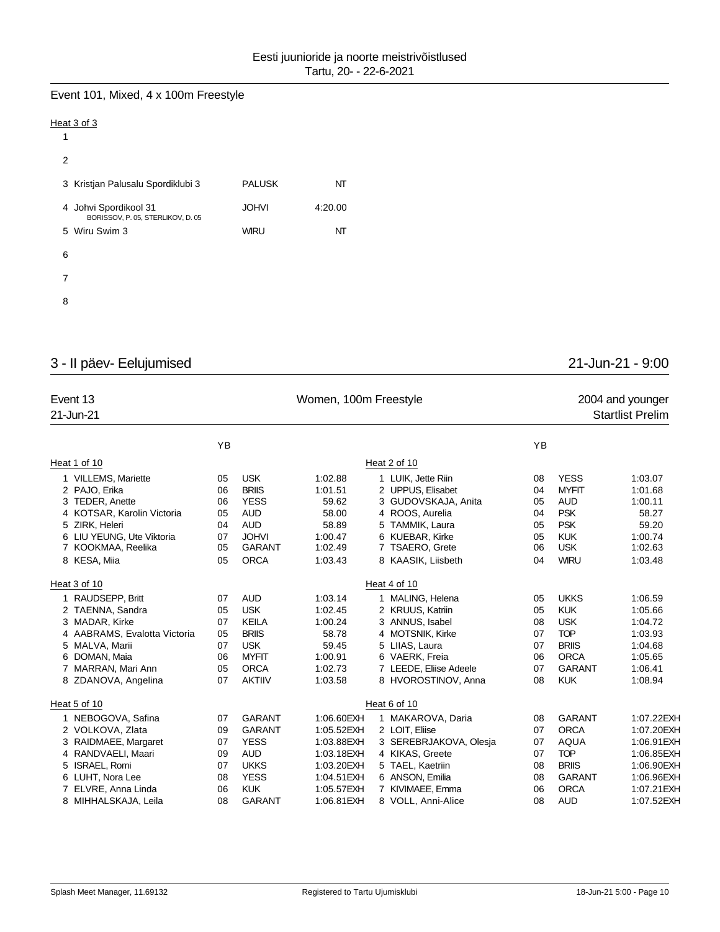# Event 101, Mixed, 4 x 100m Freestyle

### Heat 3 of 3

| 1                                                          |               |         |
|------------------------------------------------------------|---------------|---------|
| 2                                                          |               |         |
| 3 Kristjan Palusalu Spordiklubi 3                          | <b>PALUSK</b> | NT      |
| 4 Johvi Spordikool 31<br>BORISSOV, P. 05, STERLIKOV, D. 05 | <b>JOHVI</b>  | 4:20.00 |
| 5 Wiru Swim 3                                              | <b>WIRU</b>   | NT      |
| 6                                                          |               |         |
| 7                                                          |               |         |
| 8                                                          |               |         |

# 3 - II päev- Eelujumised 21-Jun-21 - 9:00

| Event 13<br>21-Jun-21        |    |               | Women, 100m Freestyle | 2004 and younger<br><b>Startlist Prelim</b> |    |               |            |
|------------------------------|----|---------------|-----------------------|---------------------------------------------|----|---------------|------------|
|                              | YB |               |                       |                                             | YB |               |            |
| Heat 1 of 10                 |    |               |                       | Heat 2 of 10                                |    |               |            |
| 1 VILLEMS, Mariette          | 05 | <b>USK</b>    | 1:02.88               | 1 LUIK, Jette Riin                          | 08 | <b>YESS</b>   | 1:03.07    |
| 2 PAJO, Erika                | 06 | <b>BRIIS</b>  | 1:01.51               | 2 UPPUS, Elisabet                           | 04 | <b>MYFIT</b>  | 1:01.68    |
| 3 TEDER, Anette              | 06 | <b>YESS</b>   | 59.62                 | 3 GUDOVSKAJA, Anita                         | 05 | <b>AUD</b>    | 1:00.11    |
| 4 KOTSAR, Karolin Victoria   | 05 | <b>AUD</b>    | 58.00                 | 4 ROOS, Aurelia                             | 04 | <b>PSK</b>    | 58.27      |
| 5 ZIRK, Heleri               | 04 | <b>AUD</b>    | 58.89                 | 5 TAMMIK, Laura                             | 05 | <b>PSK</b>    | 59.20      |
| 6 LIU YEUNG, Ute Viktoria    | 07 | <b>JOHVI</b>  | 1:00.47               | 6 KUEBAR, Kirke                             | 05 | <b>KUK</b>    | 1:00.74    |
| 7 KOOKMAA, Reelika           | 05 | <b>GARANT</b> | 1:02.49               | 7 TSAERO, Grete                             | 06 | <b>USK</b>    | 1:02.63    |
| 8 KESA, Miia                 | 05 | <b>ORCA</b>   | 1:03.43               | 8 KAASIK, Liisbeth                          | 04 | <b>WIRU</b>   | 1:03.48    |
| Heat 3 of 10                 |    |               |                       | Heat 4 of 10                                |    |               |            |
| 1 RAUDSEPP, Britt            | 07 | <b>AUD</b>    | 1:03.14               | 1 MALING, Helena                            | 05 | <b>UKKS</b>   | 1:06.59    |
| 2 TAENNA, Sandra             | 05 | <b>USK</b>    | 1:02.45               | 2 KRUUS, Katriin                            | 05 | <b>KUK</b>    | 1:05.66    |
| 3 MADAR, Kirke               | 07 | <b>KEILA</b>  | 1:00.24               | 3 ANNUS, Isabel                             | 08 | <b>USK</b>    | 1:04.72    |
| 4 AABRAMS, Evalotta Victoria | 05 | <b>BRIIS</b>  | 58.78                 | 4 MOTSNIK, Kirke                            | 07 | <b>TOP</b>    | 1:03.93    |
| 5 MALVA, Marii               | 07 | <b>USK</b>    | 59.45                 | 5 LIIAS, Laura                              | 07 | <b>BRIIS</b>  | 1:04.68    |
| 6 DOMAN, Maia                | 06 | <b>MYFIT</b>  | 1:00.91               | 6 VAERK, Freia                              | 06 | <b>ORCA</b>   | 1:05.65    |
| 7 MARRAN, Mari Ann           | 05 | <b>ORCA</b>   | 1:02.73               | 7 LEEDE, Eliise Adeele                      | 07 | <b>GARANT</b> | 1:06.41    |
| 8 ZDANOVA, Angelina          | 07 | <b>AKTIIV</b> | 1:03.58               | 8 HVOROSTINOV, Anna                         | 08 | <b>KUK</b>    | 1:08.94    |
| Heat 5 of 10                 |    |               |                       | Heat 6 of 10                                |    |               |            |
| 1 NEBOGOVA, Safina           | 07 | <b>GARANT</b> | 1:06.60EXH            | 1 MAKAROVA, Daria                           | 08 | <b>GARANT</b> | 1:07.22EXH |
| 2 VOLKOVA, Zlata             | 09 | <b>GARANT</b> | 1:05.52EXH            | 2 LOIT, Eliise                              | 07 | <b>ORCA</b>   | 1:07.20EXH |
| 3 RAIDMAEE, Margaret         | 07 | <b>YESS</b>   | 1:03.88EXH            | 3 SEREBRJAKOVA, Olesja                      | 07 | <b>AQUA</b>   | 1:06.91EXH |
| 4 RANDVAELI, Maari           | 09 | <b>AUD</b>    | 1:03.18EXH            | 4 KIKAS, Greete                             | 07 | <b>TOP</b>    | 1:06.85EXH |
| 5 ISRAEL, Romi               | 07 | <b>UKKS</b>   | 1:03.20EXH            | 5 TAEL, Kaetriin                            | 08 | <b>BRIIS</b>  | 1:06.90EXH |
| 6 LUHT, Nora Lee             | 08 | <b>YESS</b>   | 1:04.51 EXH           | 6 ANSON, Emilia                             | 08 | <b>GARANT</b> | 1:06.96EXH |
| 7 ELVRE, Anna Linda          | 06 | <b>KUK</b>    | 1:05.57EXH            | 7 KIVIMAEE, Emma                            | 06 | <b>ORCA</b>   | 1:07.21EXH |
| 8 MIHHALSKAJA, Leila         | 08 | <b>GARANT</b> | 1:06.81 EXH           | 8 VOLL, Anni-Alice                          | 08 | <b>AUD</b>    | 1:07.52EXH |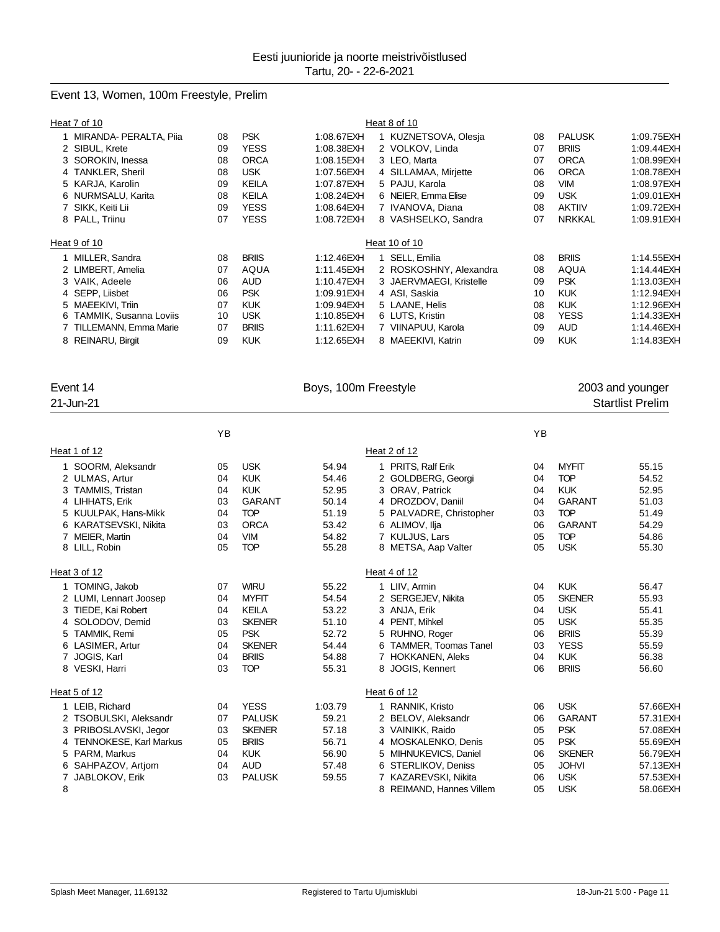### Event 13, Women, 100m Freestyle, Prelim

|   | Heat 7 of 10                  |    |              |             | Heat 8 of 10            |    |               |             |
|---|-------------------------------|----|--------------|-------------|-------------------------|----|---------------|-------------|
|   | MIRANDA- PERALTA, Piia        | 08 | <b>PSK</b>   | 1:08.67EXH  | 1 KUZNETSOVA, Olesja    | 08 | <b>PALUSK</b> | 1:09.75EXH  |
|   | 2 SIBUL, Krete                | 09 | <b>YESS</b>  | 1:08.38EXH  | 2 VOLKOV, Linda         | 07 | <b>BRIIS</b>  | 1:09.44EXH  |
|   | 3 SOROKIN, Inessa             | 08 | <b>ORCA</b>  | 1:08.15EXH  | 3 LEO, Marta            | 07 | <b>ORCA</b>   | 1:08.99EXH  |
|   | 4 TANKLER, Sheril             | 08 | <b>USK</b>   | 1:07.56EXH  | 4 SILLAMAA, Mirjette    | 06 | <b>ORCA</b>   | 1:08.78EXH  |
|   | 5 KARJA, Karolin              | 09 | <b>KEILA</b> | 1:07.87EXH  | 5 PAJU, Karola          | 08 | <b>VIM</b>    | 1:08.97EXH  |
|   | 6 NURMSALU, Karita            | 08 | <b>KEILA</b> | 1:08.24EXH  | 6 NEIER, Emma Elise     | 09 | <b>USK</b>    | 1:09.01 EXH |
|   | 7 SIKK, Keiti Lii             | 09 | <b>YESS</b>  | 1:08.64EXH  | 7 IVANOVA, Diana        | 08 | <b>AKTIIV</b> | 1:09.72EXH  |
|   | 8 PALL, Triinu                | 07 | <b>YESS</b>  | 1:08.72EXH  | 8 VASHSELKO, Sandra     | 07 | <b>NRKKAL</b> | 1:09.91 EXH |
|   | Heat 9 of 10                  |    |              |             | Heat 10 of 10           |    |               |             |
|   | MILLER, Sandra                | 08 | <b>BRIIS</b> | 1:12.46EXH  | 1 SELL, Emilia          | 08 | <b>BRIIS</b>  | 1:14.55EXH  |
|   | 2 LIMBERT, Amelia             | 07 | AQUA         | 1:11.45 EXH | 2 ROSKOSHNY, Alexandra  | 08 | AQUA          | 1:14.44 EXH |
|   | 3 VAIK, Adeele                | 06 | <b>AUD</b>   | 1:10.47EXH  | 3 JAERVMAEGI, Kristelle | 09 | <b>PSK</b>    | 1:13.03EXH  |
|   | 4 SEPP, Liisbet               | 06 | <b>PSK</b>   | 1:09.91 EXH | 4 ASI, Saskia           | 10 | <b>KUK</b>    | 1:12.94EXH  |
|   | 5 MAEEKIVI. Triin             | 07 | <b>KUK</b>   | 1:09.94EXH  | 5 LAANE, Helis          | 08 | <b>KUK</b>    | 1:12.96EXH  |
| 6 | <b>TAMMIK, Susanna Loviis</b> | 10 | <b>USK</b>   | 1:10.85EXH  | 6 LUTS, Kristin         | 08 | <b>YESS</b>   | 1:14.33EXH  |
|   | 7 TILLEMANN, Emma Marie       | 07 | <b>BRIIS</b> | 1:11.62EXH  | 7 VIINAPUU, Karola      | 09 | <b>AUD</b>    | 1:14.46EXH  |
|   | 8 REINARU, Birgit             | 09 | <b>KUK</b>   | 1:12.65EXH  | 8 MAEEKIVI, Katrin      | 09 | <b>KUK</b>    | 1:14.83EXH  |
|   |                               |    |              |             |                         |    |               |             |

Event 14 **Boys, 100m Freestyle** 2003 and younger

# 21-Jun-21 Startlist Prelim

|                                    | YB |               |         |                          | YB |               |           |
|------------------------------------|----|---------------|---------|--------------------------|----|---------------|-----------|
| Heat 1 of 12                       |    |               |         | Heat 2 of 12             |    |               |           |
| 1 SOORM, Aleksandr                 | 05 | <b>USK</b>    | 54.94   | PRITS. Ralf Erik<br>1.   | 04 | <b>MYFIT</b>  | 55.15     |
| 2 ULMAS, Artur                     | 04 | <b>KUK</b>    | 54.46   | 2 GOLDBERG, Georgi       | 04 | <b>TOP</b>    | 54.52     |
| 3 TAMMIS, Tristan                  | 04 | <b>KUK</b>    | 52.95   | 3 ORAV, Patrick          | 04 | <b>KUK</b>    | 52.95     |
| 4 LIHHATS, Erik                    | 03 | <b>GARANT</b> | 50.14   | 4 DROZDOV, Daniil        | 04 | <b>GARANT</b> | 51.03     |
| 5 KUULPAK, Hans-Mikk               | 04 | <b>TOP</b>    | 51.19   | 5 PALVADRE, Christopher  | 03 | <b>TOP</b>    | 51.49     |
| 6 KARATSEVSKI, Nikita              | 03 | <b>ORCA</b>   | 53.42   | 6 ALIMOV. Ilia           | 06 | <b>GARANT</b> | 54.29     |
| MEIER, Martin<br>7                 | 04 | <b>VIM</b>    | 54.82   | 7 KULJUS, Lars           | 05 | <b>TOP</b>    | 54.86     |
| 8 LILL, Robin                      | 05 | <b>TOP</b>    | 55.28   | 8 METSA, Aap Valter      | 05 | <b>USK</b>    | 55.30     |
| Heat 3 of 12                       |    |               |         | Heat 4 of 12             |    |               |           |
| 1 TOMING, Jakob                    | 07 | <b>WIRU</b>   | 55.22   | 1 LIIV. Armin            | 04 | <b>KUK</b>    | 56.47     |
| 2 LUMI, Lennart Joosep             | 04 | <b>MYFIT</b>  | 54.54   | 2 SERGEJEV, Nikita       | 05 | <b>SKENER</b> | 55.93     |
| 3 TIEDE, Kai Robert                | 04 | <b>KEILA</b>  | 53.22   | 3 ANJA, Erik             | 04 | <b>USK</b>    | 55.41     |
| 4 SOLODOV, Demid                   | 03 | <b>SKENER</b> | 51.10   | 4 PENT, Mihkel           | 05 | <b>USK</b>    | 55.35     |
| 5 TAMMIK, Remi                     | 05 | <b>PSK</b>    | 52.72   | 5 RUHNO, Roger           | 06 | <b>BRIIS</b>  | 55.39     |
| 6 LASIMER, Artur                   | 04 | <b>SKENER</b> | 54.44   | 6 TAMMER, Toomas Tanel   | 03 | <b>YESS</b>   | 55.59     |
| JOGIS, Karl                        | 04 | <b>BRIIS</b>  | 54.88   | 7 HOKKANEN, Aleks        | 04 | <b>KUK</b>    | 56.38     |
| 8 VESKI, Harri                     | 03 | <b>TOP</b>    | 55.31   | 8 JOGIS, Kennert         | 06 | <b>BRIIS</b>  | 56.60     |
| Heat 5 of 12                       |    |               |         | Heat 6 of 12             |    |               |           |
| 1 LEIB, Richard                    | 04 | <b>YESS</b>   | 1:03.79 | RANNIK, Kristo<br>1.     | 06 | <b>USK</b>    | 57.66EXH  |
| 2 TSOBULSKI, Aleksandr             | 07 | <b>PALUSK</b> | 59.21   | 2 BELOV, Aleksandr       | 06 | <b>GARANT</b> | 57.31 EXH |
| 3 PRIBOSLAVSKI, Jegor              | 03 | <b>SKENER</b> | 57.18   | 3 VAINIKK, Raido         | 05 | <b>PSK</b>    | 57.08EXH  |
| <b>TENNOKESE, Karl Markus</b><br>4 | 05 | <b>BRIIS</b>  | 56.71   | 4 MOSKALENKO, Denis      | 05 | <b>PSK</b>    | 55.69EXH  |
| 5 PARM, Markus                     | 04 | <b>KUK</b>    | 56.90   | 5 MIHNUKEVICS, Daniel    | 06 | <b>SKENER</b> | 56.79EXH  |
| SAHPAZOV, Artiom<br>6              | 04 | <b>AUD</b>    | 57.48   | 6 STERLIKOV, Deniss      | 05 | <b>JOHVI</b>  | 57.13EXH  |
| JABLOKOV, Erik<br>7                | 03 | <b>PALUSK</b> | 59.55   | 7 KAZAREVSKI, Nikita     | 06 | <b>USK</b>    | 57.53EXH  |
| 8                                  |    |               |         | 8 REIMAND, Hannes Villem | 05 | <b>USK</b>    | 58.06EXH  |
|                                    |    |               |         |                          |    |               |           |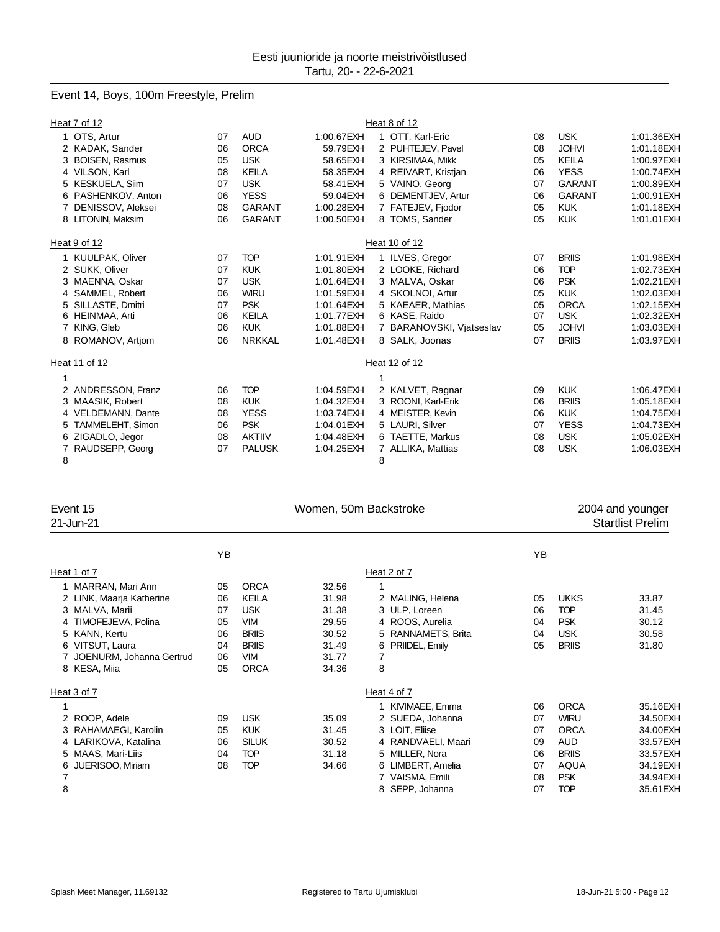# Event 14, Boys, 100m Freestyle, Prelim

|   | Heat 7 of 12            |    |               |             |   | Heat 8 of 12             |    |               |             |
|---|-------------------------|----|---------------|-------------|---|--------------------------|----|---------------|-------------|
|   | 1 OTS, Artur            | 07 | <b>AUD</b>    | 1:00.67EXH  |   | 1 OTT, Karl-Eric         | 08 | <b>USK</b>    | 1:01.36EXH  |
|   | 2 KADAK, Sander         | 06 | <b>ORCA</b>   | 59.79EXH    |   | 2 PUHTEJEV, Pavel        | 08 | <b>JOHVI</b>  | 1:01.18EXH  |
|   | <b>BOISEN, Rasmus</b>   | 05 | <b>USK</b>    | 58.65EXH    |   | 3 KIRSIMAA, Mikk         | 05 | <b>KEILA</b>  | 1:00.97EXH  |
|   | 4 VILSON, Karl          | 08 | <b>KEILA</b>  | 58.35EXH    |   | 4 REIVART, Kristjan      | 06 | <b>YESS</b>   | 1:00.74EXH  |
| 5 | <b>KESKUELA, Siim</b>   | 07 | <b>USK</b>    | 58.41 EXH   |   | 5 VAINO, Georg           | 07 | <b>GARANT</b> | 1:00.89EXH  |
| 6 | PASHENKOV, Anton        | 06 | <b>YESS</b>   | 59.04EXH    |   | 6 DEMENTJEV, Artur       | 06 | <b>GARANT</b> | 1:00.91EXH  |
|   | DENISSOV, Aleksei       | 08 | <b>GARANT</b> | 1:00.28EXH  |   | 7 FATEJEV, Fjodor        | 05 | <b>KUK</b>    | 1:01.18EXH  |
|   | 8 LITONIN, Maksim       | 06 | <b>GARANT</b> | 1:00.50EXH  |   | 8 TOMS, Sander           | 05 | <b>KUK</b>    | 1:01.01 EXH |
|   | Heat 9 of 12            |    |               |             |   | Heat 10 of 12            |    |               |             |
|   | 1 KUULPAK, Oliver       | 07 | <b>TOP</b>    | 1:01.91 EXH |   | 1 ILVES, Gregor          | 07 | <b>BRIIS</b>  | 1:01.98EXH  |
|   | 2 SUKK, Oliver          | 07 | <b>KUK</b>    | 1:01.80EXH  |   | 2 LOOKE, Richard         | 06 | <b>TOP</b>    | 1:02.73EXH  |
|   | MAENNA, Oskar           | 07 | <b>USK</b>    | 1:01.64EXH  |   | 3 MALVA, Oskar           | 06 | <b>PSK</b>    | 1:02.21 EXH |
| 4 | SAMMEL, Robert          | 06 | <b>WIRU</b>   | 1:01.59EXH  |   | 4 SKOLNOI, Artur         | 05 | <b>KUK</b>    | 1:02.03EXH  |
| 5 | SILLASTE, Dmitri        | 07 | <b>PSK</b>    | 1:01.64EXH  |   | 5 KAEAER, Mathias        | 05 | <b>ORCA</b>   | 1:02.15EXH  |
| 6 | HEINMAA, Arti           | 06 | <b>KEILA</b>  | 1:01.77EXH  |   | 6 KASE, Raido            | 07 | <b>USK</b>    | 1:02.32EXH  |
| 7 | KING, Gleb              | 06 | <b>KUK</b>    | 1:01.88EXH  |   | 7 BARANOVSKI, Vjatseslav | 05 | <b>JOHVI</b>  | 1:03.03EXH  |
|   | 8 ROMANOV, Artiom       | 06 | <b>NRKKAL</b> | 1:01.48EXH  |   | 8 SALK, Joonas           | 07 | <b>BRIIS</b>  | 1:03.97EXH  |
|   | Heat 11 of 12           |    |               |             |   | Heat 12 of 12            |    |               |             |
|   |                         |    |               |             |   |                          |    |               |             |
| 2 | ANDRESSON, Franz        | 06 | <b>TOP</b>    | 1:04.59EXH  |   | 2 KALVET, Ragnar         | 09 | <b>KUK</b>    | 1:06.47EXH  |
|   | MAASIK, Robert          | 08 | <b>KUK</b>    | 1:04.32EXH  |   | 3 ROONI, Karl-Erik       | 06 | <b>BRIIS</b>  | 1:05.18EXH  |
| 4 | <b>VELDEMANN, Dante</b> | 08 | <b>YESS</b>   | 1:03.74EXH  |   | 4 MEISTER, Kevin         | 06 | <b>KUK</b>    | 1:04.75EXH  |
| 5 | TAMMELEHT, Simon        | 06 | <b>PSK</b>    | 1:04.01EXH  |   | 5 LAURI, Silver          | 07 | <b>YESS</b>   | 1:04.73EXH  |
| 6 | ZIGADLO, Jegor          | 08 | <b>AKTIIV</b> | 1:04.48EXH  |   | 6 TAETTE, Markus         | 08 | <b>USK</b>    | 1:05.02EXH  |
|   | RAUDSEPP, Georg         | 07 | <b>PALUSK</b> | 1:04.25EXH  |   | 7 ALLIKA, Mattias        | 08 | <b>USK</b>    | 1:06.03EXH  |
| 8 |                         |    |               |             | 8 |                          |    |               |             |

| Event 15<br>21-Jun-21                                                                                                                                                    |                                              |                                                                                                                      | Women, 50m Backstroke                                                |                                                                                                                                                                    | 2004 and younger<br><b>Startlist Prelim</b>  |                                                                                                                    |                                                                                               |
|--------------------------------------------------------------------------------------------------------------------------------------------------------------------------|----------------------------------------------|----------------------------------------------------------------------------------------------------------------------|----------------------------------------------------------------------|--------------------------------------------------------------------------------------------------------------------------------------------------------------------|----------------------------------------------|--------------------------------------------------------------------------------------------------------------------|-----------------------------------------------------------------------------------------------|
|                                                                                                                                                                          | YB                                           |                                                                                                                      |                                                                      |                                                                                                                                                                    | ΥB                                           |                                                                                                                    |                                                                                               |
| Heat 1 of 7                                                                                                                                                              |                                              |                                                                                                                      |                                                                      | Heat 2 of 7                                                                                                                                                        |                                              |                                                                                                                    |                                                                                               |
| 1 MARRAN, Mari Ann<br>2 LINK, Maarja Katherine<br>3 MALVA, Marii<br>4 TIMOFEJEVA, Polina<br>5 KANN, Kertu<br>6 VITSUT, Laura<br>JOENURM, Johanna Gertrud<br>8 KESA, Miia | 05<br>06<br>07<br>05<br>06<br>04<br>06<br>05 | <b>ORCA</b><br><b>KEILA</b><br><b>USK</b><br><b>VIM</b><br><b>BRIIS</b><br><b>BRIIS</b><br><b>VIM</b><br><b>ORCA</b> | 32.56<br>31.98<br>31.38<br>29.55<br>30.52<br>31.49<br>31.77<br>34.36 | 2 MALING, Helena<br>3 ULP, Loreen<br>4 ROOS, Aurelia<br>RANNAMETS, Brita<br>5.<br>PRIIDEL, Emily<br>6<br>7<br>8                                                    | 05<br>06<br>04<br>04<br>05                   | <b>UKKS</b><br><b>TOP</b><br><b>PSK</b><br><b>USK</b><br><b>BRIIS</b>                                              | 33.87<br>31.45<br>30.12<br>30.58<br>31.80                                                     |
| Heat 3 of 7                                                                                                                                                              |                                              |                                                                                                                      |                                                                      | Heat 4 of 7                                                                                                                                                        |                                              |                                                                                                                    |                                                                                               |
| 2 ROOP, Adele<br>RAHAMAEGI, Karolin<br>4 LARIKOVA, Katalina<br>MAAS, Mari-Liis<br>5<br>JUERISOO, Miriam<br>6<br>7<br>8                                                   | 09<br>05<br>06<br>04<br>08                   | <b>USK</b><br><b>KUK</b><br><b>SILUK</b><br><b>TOP</b><br><b>TOP</b>                                                 | 35.09<br>31.45<br>30.52<br>31.18<br>34.66                            | 1 KIVIMAEE, Emma<br>2 SUEDA, Johanna<br>3 LOIT, Eliise<br>4 RANDVAELI, Maari<br>MILLER, Nora<br>5.<br>LIMBERT, Amelia<br>6<br>VAISMA, Emili<br>SEPP, Johanna<br>8. | 06<br>07<br>07<br>09<br>06<br>07<br>08<br>07 | <b>ORCA</b><br><b>WIRU</b><br><b>ORCA</b><br><b>AUD</b><br><b>BRIIS</b><br><b>AQUA</b><br><b>PSK</b><br><b>TOP</b> | 35.16EXH<br>34.50EXH<br>34.00EXH<br>33.57EXH<br>33.57EXH<br>34.19EXH<br>34.94EXH<br>35.61 EXH |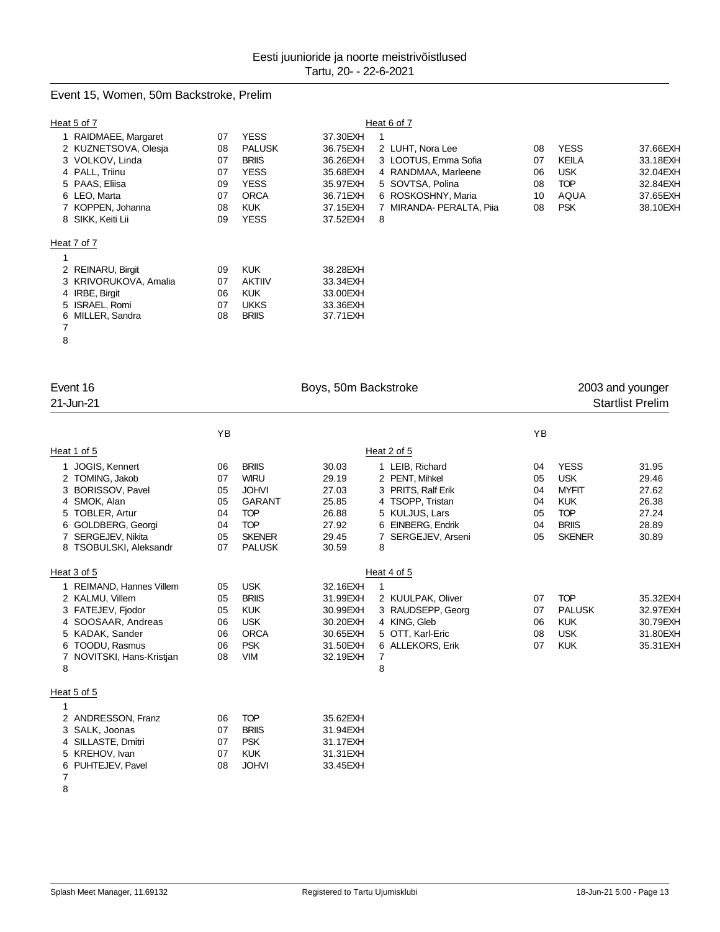# Event 15, Women, 50m Backstroke, Prelim

|   | Heat 5 of 7           | Heat 6 of 7 |               |           |                                                          |  |  |  |  |  |  |
|---|-----------------------|-------------|---------------|-----------|----------------------------------------------------------|--|--|--|--|--|--|
|   | 1 RAIDMAEE, Margaret  | 07          | <b>YESS</b>   | 37.30EXH  |                                                          |  |  |  |  |  |  |
|   | 2 KUZNETSOVA, Olesja  | 08          | <b>PALUSK</b> | 36.75EXH  | <b>YESS</b><br>2 LUHT, Nora Lee<br>08<br>37.66EXH        |  |  |  |  |  |  |
|   | 3 VOLKOV, Linda       | 07          | <b>BRIIS</b>  | 36.26EXH  | KEILA<br>3 LOOTUS, Emma Sofia<br>33.18EXH<br>07          |  |  |  |  |  |  |
|   | 4 PALL, Triinu        | 07          | <b>YESS</b>   | 35.68EXH  | <b>USK</b><br>4 RANDMAA, Marleene<br>32.04EXH<br>06      |  |  |  |  |  |  |
|   | 5 PAAS, Eliisa        | 09          | <b>YESS</b>   | 35.97EXH  | 5 SOVTSA, Polina<br><b>TOP</b><br>32.84EXH<br>08         |  |  |  |  |  |  |
|   | 6 LEO, Marta          | 07          | <b>ORCA</b>   | 36.71 EXH | 6 ROSKOSHNY, Maria<br><b>AQUA</b><br>37.65EXH<br>10      |  |  |  |  |  |  |
|   | 7 KOPPEN, Johanna     | 08          | <b>KUK</b>    | 37.15EXH  | 7 MIRANDA- PERALTA, Piia<br><b>PSK</b><br>38.10EXH<br>08 |  |  |  |  |  |  |
|   | 8 SIKK, Keiti Lii     | 09          | <b>YESS</b>   | 37.52EXH  | 8                                                        |  |  |  |  |  |  |
|   | Heat 7 of 7           |             |               |           |                                                          |  |  |  |  |  |  |
|   |                       |             |               |           |                                                          |  |  |  |  |  |  |
|   | 2 REINARU, Birgit     | 09          | <b>KUK</b>    | 38.28EXH  |                                                          |  |  |  |  |  |  |
|   | 3 KRIVORUKOVA, Amalia | 07          | <b>AKTIIV</b> | 33.34EXH  |                                                          |  |  |  |  |  |  |
|   | 4 IRBE, Birgit        | 06          | <b>KUK</b>    | 33.00EXH  |                                                          |  |  |  |  |  |  |
|   | 5 ISRAEL, Romi        | 07          | <b>UKKS</b>   | 33.36EXH  |                                                          |  |  |  |  |  |  |
| 6 | MILLER, Sandra        | 08          | <b>BRIIS</b>  | 37.71 EXH |                                                          |  |  |  |  |  |  |
| 7 |                       |             |               |           |                                                          |  |  |  |  |  |  |
| 8 |                       |             |               |           |                                                          |  |  |  |  |  |  |
|   |                       |             |               |           |                                                          |  |  |  |  |  |  |

| Event 16<br>21-Jun-21     |    |               | Boys, 50m Backstroke |                       |    | 2003 and younger<br><b>Startlist Prelim</b> |           |  |
|---------------------------|----|---------------|----------------------|-----------------------|----|---------------------------------------------|-----------|--|
|                           |    |               |                      |                       |    |                                             |           |  |
|                           | YB |               |                      |                       | YB |                                             |           |  |
| Heat 1 of 5               |    |               |                      | Heat 2 of 5           |    |                                             |           |  |
| 1 JOGIS, Kennert          | 06 | <b>BRIIS</b>  | 30.03                | LEIB, Richard<br>1    | 04 | <b>YESS</b>                                 | 31.95     |  |
| 2 TOMING, Jakob           | 07 | <b>WIRU</b>   | 29.19                | 2 PENT, Mihkel        | 05 | <b>USK</b>                                  | 29.46     |  |
| 3 BORISSOV, Pavel         | 05 | <b>JOHVI</b>  | 27.03                | 3 PRITS, Ralf Erik    | 04 | <b>MYFIT</b>                                | 27.62     |  |
| 4 SMOK, Alan              | 05 | <b>GARANT</b> | 25.85                | 4 TSOPP, Tristan      | 04 | <b>KUK</b>                                  | 26.38     |  |
| 5 TOBLER, Artur           | 04 | <b>TOP</b>    | 26.88                | 5 KULJUS, Lars        | 05 | <b>TOP</b>                                  | 27.24     |  |
| 6 GOLDBERG, Georgi        | 04 | <b>TOP</b>    | 27.92                | EINBERG, Endrik<br>6  | 04 | <b>BRIIS</b>                                | 28.89     |  |
| 7 SERGEJEV, Nikita        | 05 | <b>SKENER</b> | 29.45                | SERGEJEV, Arseni<br>7 | 05 | <b>SKENER</b>                               | 30.89     |  |
| 8 TSOBULSKI, Aleksandr    | 07 | <b>PALUSK</b> | 30.59                | 8                     |    |                                             |           |  |
| Heat 3 of 5               |    |               |                      | Heat 4 of 5           |    |                                             |           |  |
| 1 REIMAND, Hannes Villem  | 05 | <b>USK</b>    | 32.16EXH             | 1                     |    |                                             |           |  |
| 2 KALMU, Villem           | 05 | <b>BRIIS</b>  | 31.99EXH             | 2 KUULPAK, Oliver     | 07 | <b>TOP</b>                                  | 35.32EXH  |  |
| 3 FATEJEV, Fjodor         | 05 | <b>KUK</b>    | 30.99EXH             | 3 RAUDSEPP, Georg     | 07 | <b>PALUSK</b>                               | 32.97EXH  |  |
| 4 SOOSAAR, Andreas        | 06 | <b>USK</b>    | 30.20EXH             | 4 KING, Gleb          | 06 | <b>KUK</b>                                  | 30.79EXH  |  |
| 5 KADAK, Sander           | 06 | <b>ORCA</b>   | 30.65EXH             | 5 OTT, Karl-Eric      | 08 | <b>USK</b>                                  | 31.80EXH  |  |
| TOODU, Rasmus<br>6.       | 06 | <b>PSK</b>    | 31.50EXH             | 6 ALLEKORS, Erik      | 07 | <b>KUK</b>                                  | 35.31 EXH |  |
| 7 NOVITSKI, Hans-Kristjan | 08 | <b>VIM</b>    | 32.19EXH             | 7                     |    |                                             |           |  |
| 8                         |    |               |                      | 8                     |    |                                             |           |  |
| Heat 5 of 5               |    |               |                      |                       |    |                                             |           |  |
| 1                         |    |               |                      |                       |    |                                             |           |  |
| 2 ANDRESSON, Franz        | 06 | <b>TOP</b>    | 35.62EXH             |                       |    |                                             |           |  |
| 3 SALK, Joonas            | 07 | <b>BRIIS</b>  | 31.94EXH             |                       |    |                                             |           |  |
| 4 SILLASTE, Dmitri        | 07 | <b>PSK</b>    | 31.17EXH             |                       |    |                                             |           |  |
| 5 KREHOV, Ivan            | 07 | <b>KUK</b>    | 31.31 EXH            |                       |    |                                             |           |  |
| 6 PUHTEJEV, Pavel         | 08 | <b>JOHVI</b>  | 33.45EXH             |                       |    |                                             |           |  |
| 7                         |    |               |                      |                       |    |                                             |           |  |
| $\sim$                    |    |               |                      |                       |    |                                             |           |  |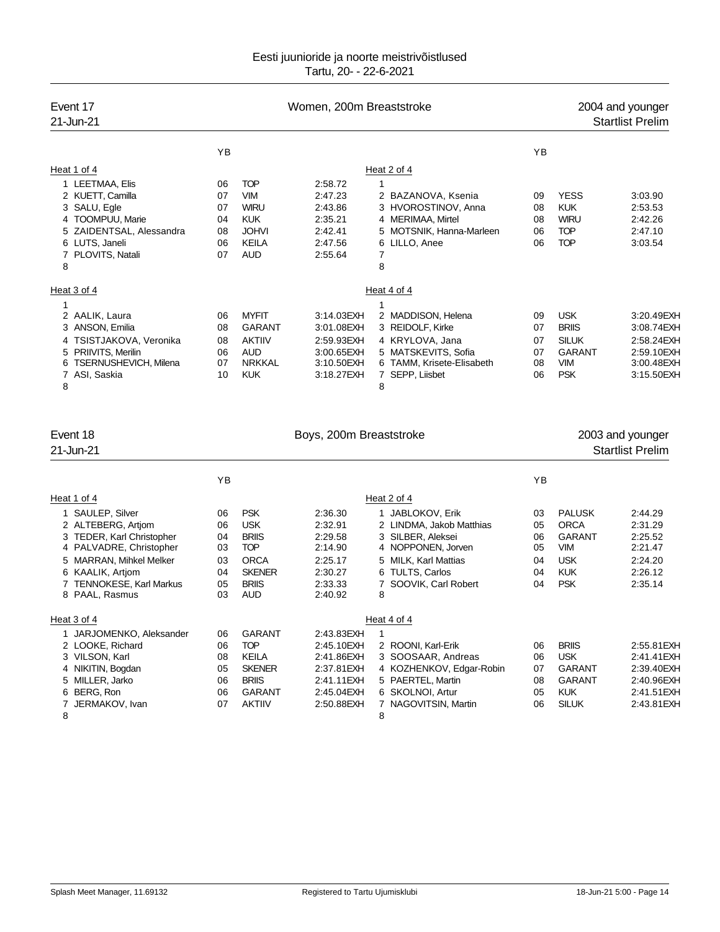| Event 17<br>21-Jun-21             |    | Women, 200m Breaststroke |            | 2004 and younger<br><b>Startlist Prelim</b> |    |               |            |
|-----------------------------------|----|--------------------------|------------|---------------------------------------------|----|---------------|------------|
|                                   | YB |                          |            |                                             | YB |               |            |
| Heat 1 of 4                       |    |                          |            | Heat 2 of 4                                 |    |               |            |
| 1 LEETMAA, Elis                   | 06 | <b>TOP</b>               | 2:58.72    |                                             |    |               |            |
| 2 KUETT, Camilla                  | 07 | <b>VIM</b>               | 2:47.23    | 2 BAZANOVA, Ksenia                          | 09 | <b>YESS</b>   | 3:03.90    |
| 3 SALU, Egle                      | 07 | <b>WIRU</b>              | 2:43.86    | 3 HVOROSTINOV, Anna                         | 08 | <b>KUK</b>    | 2:53.53    |
| 4 TOOMPUU, Marie                  | 04 | <b>KUK</b>               | 2:35.21    | 4 MERIMAA, Mirtel                           | 08 | <b>WIRU</b>   | 2:42.26    |
| 5 ZAIDENTSAL, Alessandra          | 08 | <b>JOHVI</b>             | 2:42.41    | 5 MOTSNIK, Hanna-Marleen                    | 06 | <b>TOP</b>    | 2:47.10    |
| 6 LUTS, Janeli                    | 06 | <b>KEILA</b>             | 2:47.56    | 6 LILLO, Anee                               | 06 | <b>TOP</b>    | 3:03.54    |
| 7 PLOVITS, Natali                 | 07 | <b>AUD</b>               | 2:55.64    | 7                                           |    |               |            |
| 8                                 |    |                          |            | 8                                           |    |               |            |
| Heat 3 of 4                       |    |                          |            | Heat 4 of 4                                 |    |               |            |
| 1                                 |    |                          |            |                                             |    |               |            |
| 2 AALIK, Laura                    | 06 | <b>MYFIT</b>             | 3:14.03EXH | 2 MADDISON, Helena                          | 09 | <b>USK</b>    | 3:20.49EXH |
| 3 ANSON, Emilia                   | 08 | <b>GARANT</b>            | 3:01.08EXH | 3 REIDOLF, Kirke                            | 07 | <b>BRIIS</b>  | 3:08.74EXH |
| 4 TSISTJAKOVA, Veronika           | 08 | <b>AKTIIV</b>            | 2:59.93EXH | 4 KRYLOVA, Jana                             | 07 | <b>SILUK</b>  | 2:58.24EXH |
| 5 PRIIVITS, Merilin               | 06 | <b>AUD</b>               | 3:00.65EXH | 5 MATSKEVITS, Sofia                         | 07 | <b>GARANT</b> | 2:59.10EXH |
| <b>TSERNUSHEVICH, Milena</b><br>6 | 07 | <b>NRKKAL</b>            | 3:10.50EXH | 6 TAMM, Krisete-Elisabeth                   | 08 | <b>VIM</b>    | 3:00.48EXH |
| 7 ASI, Saskia                     | 10 | <b>KUK</b>               | 3:18.27EXH | SEPP, Liisbet<br>7                          | 06 | <b>PSK</b>    | 3:15.50EXH |
| 8                                 |    |                          |            | 8                                           |    |               |            |
|                                   |    |                          |            |                                             |    |               |            |

| Event 18                                                                                                                                                                                         |                                              | Boys, 200m Breaststroke                                                                                              |                                                                                                  |                                                                                                                                                              | 2003 and younger                       |                                                                                                       |                                                                                      |
|--------------------------------------------------------------------------------------------------------------------------------------------------------------------------------------------------|----------------------------------------------|----------------------------------------------------------------------------------------------------------------------|--------------------------------------------------------------------------------------------------|--------------------------------------------------------------------------------------------------------------------------------------------------------------|----------------------------------------|-------------------------------------------------------------------------------------------------------|--------------------------------------------------------------------------------------|
| 21-Jun-21                                                                                                                                                                                        |                                              |                                                                                                                      |                                                                                                  |                                                                                                                                                              |                                        | <b>Startlist Prelim</b>                                                                               |                                                                                      |
|                                                                                                                                                                                                  | YB                                           |                                                                                                                      |                                                                                                  |                                                                                                                                                              | YB                                     |                                                                                                       |                                                                                      |
| Heat 1 of 4                                                                                                                                                                                      |                                              |                                                                                                                      |                                                                                                  | Heat 2 of 4                                                                                                                                                  |                                        |                                                                                                       |                                                                                      |
| 1 SAULEP, Silver<br>2 ALTEBERG, Artjom<br>3 TEDER, Karl Christopher<br>4 PALVADRE, Christopher<br>5 MARRAN, Mihkel Melker<br>6 KAALIK, Artjom<br><b>TENNOKESE, Karl Markus</b><br>8 PAAL, Rasmus | 06<br>06<br>04<br>03<br>03<br>04<br>05<br>03 | <b>PSK</b><br><b>USK</b><br><b>BRIIS</b><br><b>TOP</b><br><b>ORCA</b><br><b>SKENER</b><br><b>BRIIS</b><br><b>AUD</b> | 2:36.30<br>2:32.91<br>2:29.58<br>2:14.90<br>2:25.17<br>2:30.27<br>2.33.33<br>2:40.92             | JABLOKOV, Erik<br>2 LINDMA, Jakob Matthias<br>3 SILBER, Aleksei<br>4 NOPPONEN, Jorven<br>5 MILK, Karl Mattias<br>6 TULTS, Carlos<br>SOOVIK, Carl Robert<br>8 | 03<br>05<br>06<br>05<br>04<br>04<br>04 | <b>PALUSK</b><br><b>ORCA</b><br><b>GARANT</b><br><b>VIM</b><br><b>USK</b><br><b>KUK</b><br><b>PSK</b> | 2:44.29<br>2:31.29<br>2:25.52<br>2:21.47<br>2:24.20<br>2:26.12<br>2:35.14            |
| Heat 3 of 4                                                                                                                                                                                      |                                              |                                                                                                                      |                                                                                                  | Heat 4 of 4                                                                                                                                                  |                                        |                                                                                                       |                                                                                      |
| 1 JARJOMENKO, Aleksander<br>2 LOOKE, Richard<br>3 VILSON, Karl<br>4 NIKITIN, Bogdan<br>5 MILLER, Jarko<br>6 BERG, Ron<br>JERMAKOV, Ivan<br>8                                                     | 06<br>06<br>08<br>05<br>06<br>06<br>07       | <b>GARANT</b><br><b>TOP</b><br><b>KEILA</b><br><b>SKENER</b><br><b>BRIIS</b><br><b>GARANT</b><br><b>AKTIIV</b>       | 2:43.83EXH<br>2:45.10EXH<br>2:41.86EXH<br>2:37.81 EXH<br>2:41.11 EXH<br>2:45.04EXH<br>2:50.88EXH | 1<br>2 ROONI, Karl-Erik<br>3 SOOSAAR, Andreas<br>4 KOZHENKOV, Edgar-Robin<br>5 PAERTEL, Martin<br>6 SKOLNOI, Artur<br>NAGOVITSIN, Martin<br>8                | 06<br>06<br>07<br>08<br>05<br>06       | <b>BRIIS</b><br><b>USK</b><br><b>GARANT</b><br><b>GARANT</b><br><b>KUK</b><br><b>SILUK</b>            | 2:55.81 EXH<br>2:41.41 EXH<br>2:39.40EXH<br>2:40.96EXH<br>2:41.51 EXH<br>2:43.81 EXH |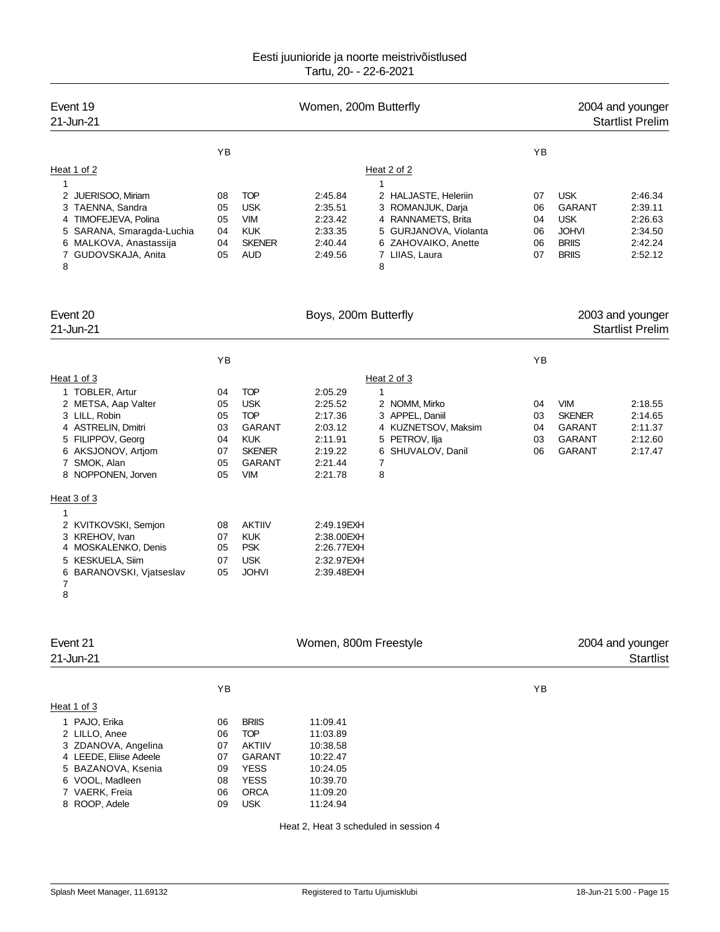| Event 19<br>21-Jun-21                                                                                                                                                                                                                                                                                                        |                                                                            |                                                                                                                                                                                                  | Women, 200m Butterfly                                                                                                                                      |                                                                                                                                                            |                                        |                                                                                           | 2004 and younger<br><b>Startlist Prelim</b>                    |
|------------------------------------------------------------------------------------------------------------------------------------------------------------------------------------------------------------------------------------------------------------------------------------------------------------------------------|----------------------------------------------------------------------------|--------------------------------------------------------------------------------------------------------------------------------------------------------------------------------------------------|------------------------------------------------------------------------------------------------------------------------------------------------------------|------------------------------------------------------------------------------------------------------------------------------------------------------------|----------------------------------------|-------------------------------------------------------------------------------------------|----------------------------------------------------------------|
| Heat 1 of 2<br>1<br>JUERISOO, Miriam<br>2<br>3 TAENNA, Sandra<br>4 TIMOFEJEVA, Polina<br>5 SARANA, Smaragda-Luchia<br>6 MALKOVA, Anastassija<br>7 GUDOVSKAJA, Anita<br>8                                                                                                                                                     | YB<br>08<br>05<br>05<br>04<br>04<br>05                                     | <b>TOP</b><br><b>USK</b><br><b>VIM</b><br><b>KUK</b><br><b>SKENER</b><br><b>AUD</b>                                                                                                              | 2:45.84<br>2:35.51<br>2:23.42<br>2:33.35<br>2:40.44<br>2:49.56                                                                                             | Heat 2 of 2<br>1<br>2 HALJASTE, Heleriin<br>3 ROMANJUK, Darja<br>4 RANNAMETS, Brita<br>5 GURJANOVA, Violanta<br>6 ZAHOVAIKO, Anette<br>7 LIIAS, Laura<br>8 | YB<br>07<br>06<br>04<br>06<br>06<br>07 | <b>USK</b><br><b>GARANT</b><br><b>USK</b><br><b>JOHVI</b><br><b>BRIIS</b><br><b>BRIIS</b> | 2:46.34<br>2:39.11<br>2:26.63<br>2:34.50<br>2:42.24<br>2:52.12 |
| Event 20<br>21-Jun-21                                                                                                                                                                                                                                                                                                        |                                                                            |                                                                                                                                                                                                  | Boys, 200m Butterfly                                                                                                                                       |                                                                                                                                                            |                                        |                                                                                           | 2003 and younger<br><b>Startlist Prelim</b>                    |
|                                                                                                                                                                                                                                                                                                                              | YB                                                                         |                                                                                                                                                                                                  |                                                                                                                                                            |                                                                                                                                                            | YB                                     |                                                                                           |                                                                |
| Heat 1 of 3<br>1 TOBLER, Artur<br>2 METSA, Aap Valter<br>3 LILL, Robin<br>4 ASTRELIN, Dmitri<br>5 FILIPPOV, Georg<br>6 AKSJONOV, Artjom<br>7 SMOK, Alan<br>8 NOPPONEN, Jorven<br>Heat 3 of 3<br>1<br>2 KVITKOVSKI, Semjon<br>3 KREHOV, Ivan<br>4 MOSKALENKO, Denis<br>5 KESKUELA, Siim<br>6 BARANOVSKI, Vjatseslav<br>7<br>8 | 04<br>05<br>05<br>03<br>04<br>07<br>05<br>05<br>08<br>07<br>05<br>07<br>05 | <b>TOP</b><br><b>USK</b><br><b>TOP</b><br><b>GARANT</b><br><b>KUK</b><br><b>SKENER</b><br><b>GARANT</b><br><b>VIM</b><br><b>AKTIIV</b><br><b>KUK</b><br><b>PSK</b><br><b>USK</b><br><b>JOHVI</b> | 2:05.29<br>2:25.52<br>2:17.36<br>2:03.12<br>2:11.91<br>2:19.22<br>2:21.44<br>2:21.78<br>2:49.19EXH<br>2:38.00EXH<br>2:26.77EXH<br>2:32.97EXH<br>2:39.48EXH | Heat 2 of 3<br>1<br>2 NOMM, Mirko<br>3 APPEL, Daniil<br>4 KUZNETSOV, Maksim<br>5 PETROV, Ilja<br>6 SHUVALOV, Danil<br>7<br>8                               | 04<br>03<br>04<br>03<br>06             | <b>VIM</b><br><b>SKENER</b><br><b>GARANT</b><br><b>GARANT</b><br><b>GARANT</b>            | 2:18.55<br>2:14.65<br>2:11.37<br>2:12.60<br>2:17.47            |
| Event 21<br>21-Jun-21                                                                                                                                                                                                                                                                                                        |                                                                            |                                                                                                                                                                                                  | Women, 800m Freestyle                                                                                                                                      |                                                                                                                                                            |                                        |                                                                                           | 2004 and younger<br><b>Startlist</b>                           |
| Heat 1 of 3<br>1 PAJO, Erika<br>2 LILLO, Anee<br>3 ZDANOVA, Angelina<br>4 LEEDE, Eliise Adeele<br>5 BAZANOVA, Ksenia<br>6 VOOL, Madleen<br>7 VAERK, Freia<br>8 ROOP, Adele                                                                                                                                                   | YB<br>06<br>06<br>07<br>07<br>09<br>08<br>06<br>09                         | <b>BRIIS</b><br><b>TOP</b><br><b>AKTIIV</b><br><b>GARANT</b><br><b>YESS</b><br><b>YESS</b><br><b>ORCA</b><br><b>USK</b>                                                                          | 11:09.41<br>11:03.89<br>10:38.58<br>10:22.47<br>10:24.05<br>10:39.70<br>11:09.20<br>11:24.94                                                               |                                                                                                                                                            | ΥB                                     |                                                                                           |                                                                |

Heat 2, Heat 3 scheduled in session 4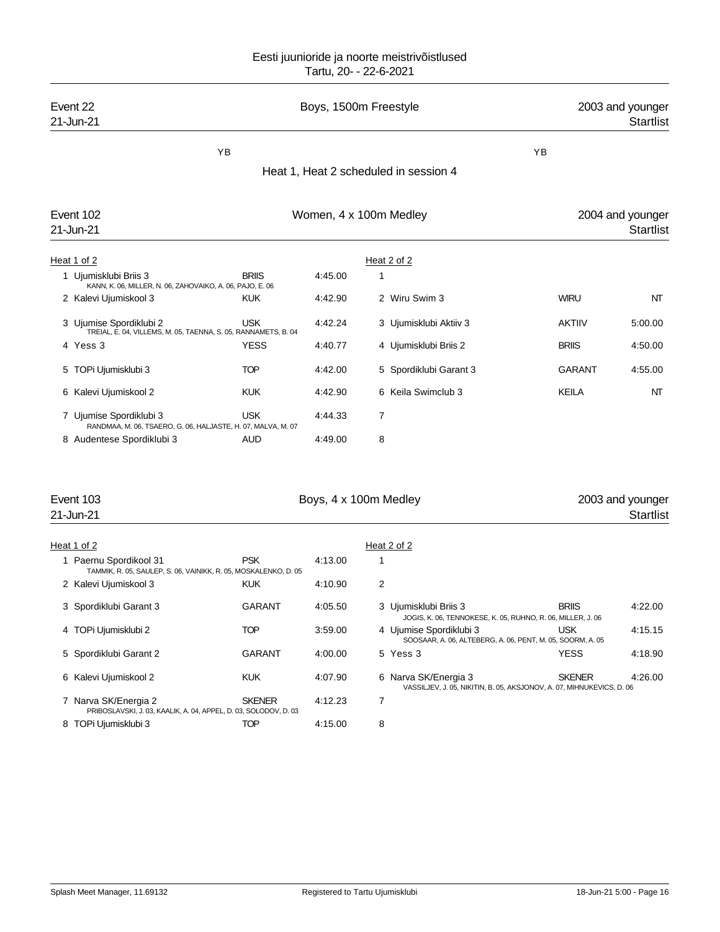| Event 22<br>21-Jun-21                                                                     |               |         | Boys, 1500m Freestyle                 |                                                                                        | 2003 and younger<br><b>Startlist</b> |
|-------------------------------------------------------------------------------------------|---------------|---------|---------------------------------------|----------------------------------------------------------------------------------------|--------------------------------------|
| YB                                                                                        |               |         |                                       | ΥB                                                                                     |                                      |
|                                                                                           |               |         | Heat 1, Heat 2 scheduled in session 4 |                                                                                        |                                      |
|                                                                                           |               |         |                                       |                                                                                        |                                      |
| Event 102                                                                                 |               |         | Women, 4 x 100m Medley                |                                                                                        | 2004 and younger                     |
| 21-Jun-21                                                                                 |               |         |                                       |                                                                                        | <b>Startlist</b>                     |
| Heat 1 of 2                                                                               |               |         | Heat 2 of 2                           |                                                                                        |                                      |
| 1 Ujumisklubi Briis 3<br>KANN, K. 06, MILLER, N. 06, ZAHOVAIKO, A. 06, PAJO, E. 06        | <b>BRIIS</b>  | 4:45.00 | 1                                     |                                                                                        |                                      |
| 2 Kalevi Ujumiskool 3                                                                     | <b>KUK</b>    | 4:42.90 | 2 Wiru Swim 3                         | <b>WIRU</b>                                                                            | NT                                   |
| 3 Ujumise Spordiklubi 2                                                                   | USK           | 4:42.24 | 3 Ujumisklubi Aktiiv 3                | <b>AKTIIV</b>                                                                          | 5:00.00                              |
| TREIAL, E. 04, VILLEMS, M. 05, TAENNA, S. 05, RANNAMETS, B. 04<br>4 Yess 3                | <b>YESS</b>   | 4:40.77 | 4 Ujumisklubi Briis 2                 | <b>BRIIS</b>                                                                           | 4:50.00                              |
| 5 TOPi Ujumisklubi 3                                                                      | <b>TOP</b>    | 4:42.00 | 5 Spordiklubi Garant 3                | <b>GARANT</b>                                                                          | 4:55.00                              |
| 6 Kalevi Ujumiskool 2                                                                     | <b>KUK</b>    | 4:42.90 | 6 Keila Swimclub 3                    | <b>KEILA</b>                                                                           | NT                                   |
| 7 Ujumise Spordiklubi 3                                                                   | <b>USK</b>    | 4:44.33 | 7                                     |                                                                                        |                                      |
| RANDMAA, M. 06, TSAERO, G. 06, HALJASTE, H. 07, MALVA, M. 07                              |               |         |                                       |                                                                                        |                                      |
| 8 Audentese Spordiklubi 3                                                                 | <b>AUD</b>    | 4:49.00 | 8                                     |                                                                                        |                                      |
| Event 103                                                                                 |               |         | Boys, 4 x 100m Medley                 |                                                                                        | 2003 and younger                     |
| 21-Jun-21                                                                                 |               |         |                                       |                                                                                        | <b>Startlist</b>                     |
| Heat 1 of 2                                                                               |               |         | Heat 2 of 2                           |                                                                                        |                                      |
| 1 Paernu Spordikool 31<br>TAMMIK, R. 05, SAULEP, S. 06, VAINIKK, R. 05, MOSKALENKO, D. 05 | <b>PSK</b>    | 4:13.00 | 1                                     |                                                                                        |                                      |
| 2 Kalevi Ujumiskool 3                                                                     | <b>KUK</b>    | 4:10.90 | 2                                     |                                                                                        |                                      |
| 3 Spordiklubi Garant 3                                                                    | <b>GARANT</b> | 4:05.50 | 3 Ujumisklubi Briis 3                 | <b>BRIIS</b><br>JOGIS, K. 06, TENNOKESE, K. 05, RUHNO, R. 06, MILLER, J. 06            | 4:22.00                              |
| 4 TOPi Ujumisklubi 2                                                                      | <b>TOP</b>    | 3:59.00 | 4 Ujumise Spordiklubi 3               | <b>USK</b><br>SOOSAAR, A. 06, ALTEBERG, A. 06, PENT, M. 05, SOORM, A. 05               | 4:15.15                              |
| 5 Spordiklubi Garant 2                                                                    | <b>GARANT</b> | 4:00.00 | 5 Yess 3                              | <b>YESS</b>                                                                            | 4:18.90                              |
| 6 Kalevi Ujumiskool 2                                                                     | <b>KUK</b>    | 4:07.90 | 6 Narva SK/Energia 3                  | <b>SKENER</b><br>VASSILJEV, J. 05, NIKITIN, B. 05, AKSJONOV, A. 07, MIHNUKEVICS, D. 06 | 4:26.00                              |
| 7 Narva SK/Energia 2<br>PRIBOSLAVSKI, J. 03, KAALIK, A. 04, APPEL, D. 03, SOLODOV, D. 03  | <b>SKENER</b> | 4:12.23 | $\overline{7}$                        |                                                                                        |                                      |
| 8 TOPi Ujumisklubi 3                                                                      | TOP           | 4:15.00 | 8                                     |                                                                                        |                                      |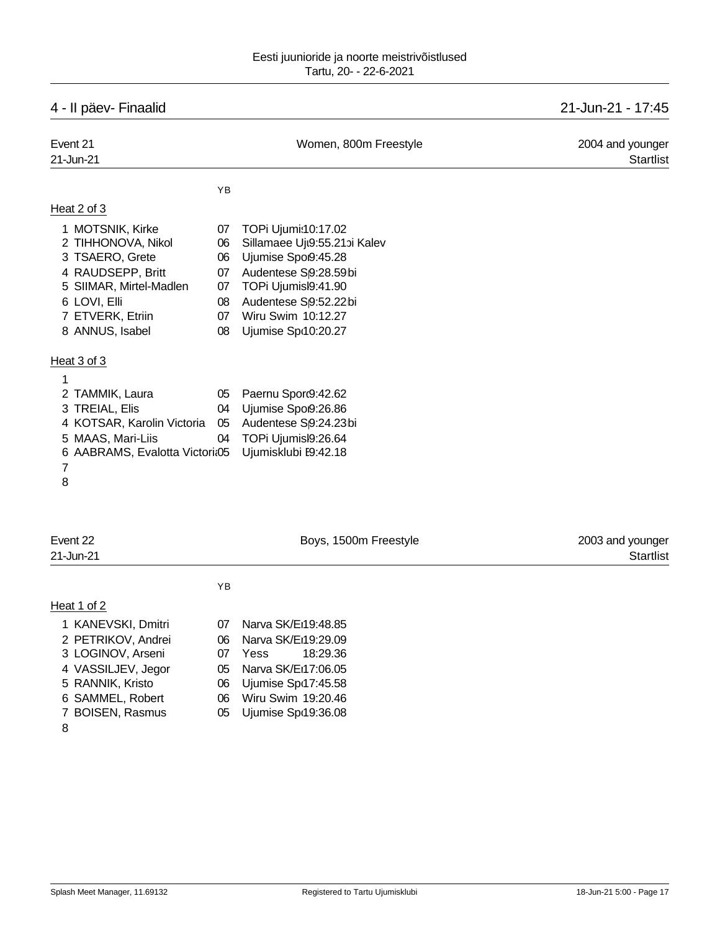# 4 - II päev- Finaalid 21-Jun-21 - 17:45

| Event 21<br>21-Jun-21                                                                                                                                            |                                              | Women, 800m Freestyle                                                                                                                                                                                                     | 2004 and younger<br><b>Startlist</b> |
|------------------------------------------------------------------------------------------------------------------------------------------------------------------|----------------------------------------------|---------------------------------------------------------------------------------------------------------------------------------------------------------------------------------------------------------------------------|--------------------------------------|
|                                                                                                                                                                  | ΥB                                           |                                                                                                                                                                                                                           |                                      |
| Heat 2 of 3                                                                                                                                                      |                                              |                                                                                                                                                                                                                           |                                      |
| 1 MOTSNIK, Kirke<br>2 TIHHONOVA, Nikol<br>3 TSAERO, Grete<br>4 RAUDSEPP, Britt<br>5 SIIMAR, Mirtel-Madlen<br>6 LOVI, Elli<br>7 ETVERK, Etriin<br>8 ANNUS, Isabel | 07<br>06<br>06<br>07<br>07<br>08<br>07<br>08 | TOPi Ujumi:10:17.02<br>Sillamaee Ujt9:55.21bi Kalev<br>Ujumise Spoi9:45.28<br>Audentese S <sub>9</sub> :28.59bi<br>TOPi Ujumisl9:41.90<br>Audentese S <sub>19:52.22</sub> bi<br>Wiru Swim 10:12.27<br>Ujumise Spr10:20.27 |                                      |
| Heat 3 of 3                                                                                                                                                      |                                              |                                                                                                                                                                                                                           |                                      |
| 1                                                                                                                                                                |                                              |                                                                                                                                                                                                                           |                                      |
| 2 TAMMIK, Laura                                                                                                                                                  | 05                                           | Paernu Sporc9:42.62                                                                                                                                                                                                       |                                      |
| 3 TREIAL, Elis                                                                                                                                                   | 04                                           | Ujumise Spoß:26.86                                                                                                                                                                                                        |                                      |
| 4 KOTSAR, Karolin Victoria                                                                                                                                       | 05                                           | Audentese S <sub>9</sub> :24.23bi                                                                                                                                                                                         |                                      |
| 5 MAAS, Mari-Liis<br>6 AABRAMS, Evalotta Victoria05<br>7<br>8                                                                                                    | 04                                           | TOPi Ujumisl9:26.64<br>Ujumisklubi E9:42.18                                                                                                                                                                               |                                      |
| Event 22<br>21-Jun-21                                                                                                                                            |                                              | Boys, 1500m Freestyle                                                                                                                                                                                                     | 2003 and younger<br><b>Startlist</b> |
|                                                                                                                                                                  | YB                                           |                                                                                                                                                                                                                           |                                      |
| Heat 1 of 2                                                                                                                                                      |                                              |                                                                                                                                                                                                                           |                                      |
| 1 KANEVSKI, Dmitri                                                                                                                                               | 07                                           | Narva SK/Eı19:48.85                                                                                                                                                                                                       |                                      |
| 2 PETRIKOV, Andrei                                                                                                                                               | 06                                           | Narva SK/Eı19:29.09                                                                                                                                                                                                       |                                      |
| 3 LOGINOV, Arseni                                                                                                                                                | 07                                           | 18:29.36<br>Yess                                                                                                                                                                                                          |                                      |
| 4 VASSILJEV, Jegor                                                                                                                                               | 05                                           | Narva SK/Eı17:06.05                                                                                                                                                                                                       |                                      |
| 5 RANNIK, Kristo                                                                                                                                                 | 06                                           | Ujumise Spr17:45.58                                                                                                                                                                                                       |                                      |

- 
- 
- 
- SAMMEL, Robert 06 Wiru Swim 19:20.46
- 7 BOISEN, Rasmus 05 Ujumise Spr19:36.08
	-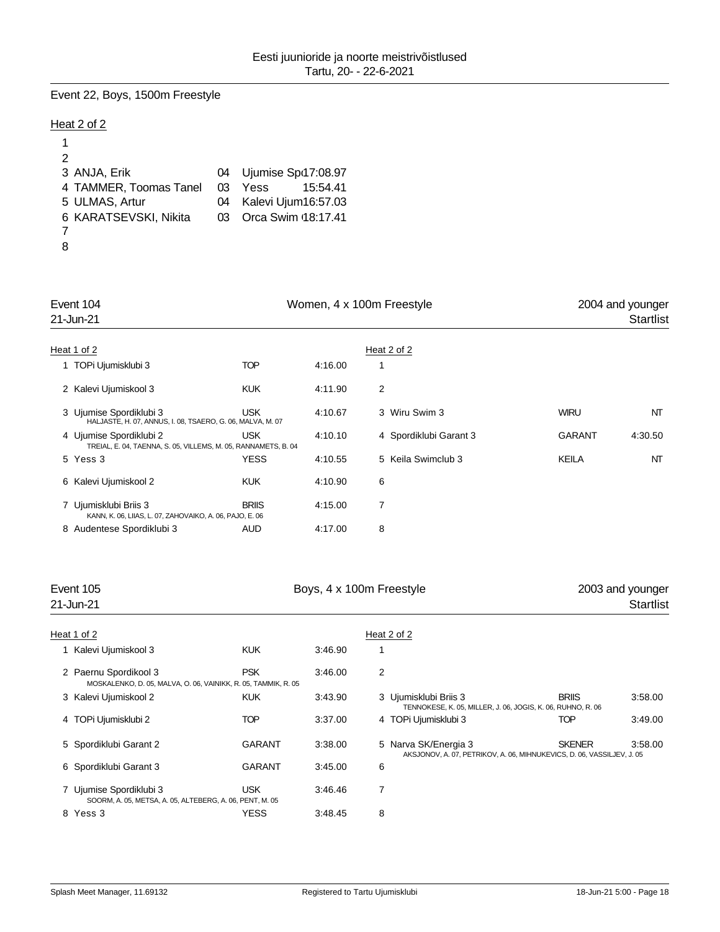### Event 22, Boys, 1500m Freestyle

### Heat 2 of 2

| 2                      |    |                      |
|------------------------|----|----------------------|
| 3 ANJA, Erik           | 04 | Ujumise Spd17:08.97  |
| 4 TAMMER, Toomas Tanel | 03 | Yess<br>15:54.41     |
| 5 ULMAS, Artur         | 04 | Kalevi Ujum16:57.03  |
| 6 KARATSEVSKI, Nikita  | 03 | Orca Swim (18:17.41) |
|                        |    |                      |
|                        |    |                      |

| Event 104 |                                                                                           |              | Women, 4 x 100m Freestyle | 2004 and younger       |               |           |
|-----------|-------------------------------------------------------------------------------------------|--------------|---------------------------|------------------------|---------------|-----------|
|           | 21-Jun-21                                                                                 |              |                           |                        |               | Startlist |
|           |                                                                                           |              |                           |                        |               |           |
|           | Heat 1 of 2                                                                               |              |                           | Heat 2 of 2            |               |           |
|           | 1 TOPi Ujumisklubi 3                                                                      | TOP          | 4:16.00                   |                        |               |           |
|           | 2 Kalevi Ujumiskool 3                                                                     | <b>KUK</b>   | 4:11.90                   | 2                      |               |           |
|           | 3 Ujumise Spordiklubi 3<br>HALJASTE, H. 07, ANNUS, I. 08, TSAERO, G. 06, MALVA, M. 07     | <b>USK</b>   | 4:10.67                   | 3 Wiru Swim 3          | <b>WIRU</b>   | NT        |
|           | 4 Ujumise Spordiklubi 2<br>TREIAL, E. 04, TAENNA, S. 05, VILLEMS, M. 05, RANNAMETS, B. 04 | <b>USK</b>   | 4:10.10                   | 4 Spordiklubi Garant 3 | <b>GARANT</b> | 4:30.50   |
|           | 5 Yess 3                                                                                  | <b>YESS</b>  | 4:10.55                   | 5 Keila Swimclub 3     | KEILA         | NT        |
|           | 6 Kalevi Ujumiskool 2                                                                     | <b>KUK</b>   | 4:10.90                   | 6                      |               |           |
|           | 7 Ujumisklubi Briis 3<br>KANN, K. 06, LIIAS, L. 07, ZAHOVAIKO, A. 06, PAJO, E. 06         | <b>BRIIS</b> | 4:15.00                   | 7                      |               |           |
|           | 8 Audentese Spordiklubi 3                                                                 | <b>AUD</b>   | 4:17.00                   | 8                      |               |           |

### Event 105 **Boys, 4 x 100m Freestyle** 2003 and younger

# 21-Jun-21 Startlist

| Heat 1 of 2                                                                             |               |         |   | Heat 2 of 2                                                                                    |               |         |
|-----------------------------------------------------------------------------------------|---------------|---------|---|------------------------------------------------------------------------------------------------|---------------|---------|
| Kalevi Ujumiskool 3                                                                     | <b>KUK</b>    | 3:46.90 |   |                                                                                                |               |         |
| 2 Paernu Spordikool 3<br>MOSKALENKO, D. 05, MALVA, O. 06, VAINIKK, R. 05, TAMMIK, R. 05 | <b>PSK</b>    | 3:46.00 | 2 |                                                                                                |               |         |
| 3 Kalevi Ujumiskool 2                                                                   | <b>KUK</b>    | 3:43.90 |   | 3 Ujumisklubi Briis 3<br>TENNOKESE, K. 05, MILLER, J. 06, JOGIS, K. 06, RUHNO, R. 06           | <b>BRIIS</b>  | 3:58.00 |
| 4 TOPi Ujumisklubi 2                                                                    | <b>TOP</b>    | 3:37.00 |   | 4 TOPi Ujumisklubi 3                                                                           | TOP           | 3:49.00 |
| 5 Spordiklubi Garant 2                                                                  | <b>GARANT</b> | 3:38.00 |   | 5 Narva SK/Energia 3<br>AKSJONOV, A. 07, PETRIKOV, A. 06, MIHNUKEVICS, D. 06, VASSILJEV, J. 05 | <b>SKENER</b> | 3:58.00 |
| 6 Spordiklubi Garant 3                                                                  | <b>GARANT</b> | 3.45.00 | 6 |                                                                                                |               |         |
| 7 Ujumise Spordiklubi 3<br>SOORM, A. 05, METSA, A. 05, ALTEBERG, A. 06, PENT, M. 05     | <b>USK</b>    | 3:46.46 | 7 |                                                                                                |               |         |
| 8 Yess 3                                                                                | <b>YESS</b>   | 3:48.45 | 8 |                                                                                                |               |         |
|                                                                                         |               |         |   |                                                                                                |               |         |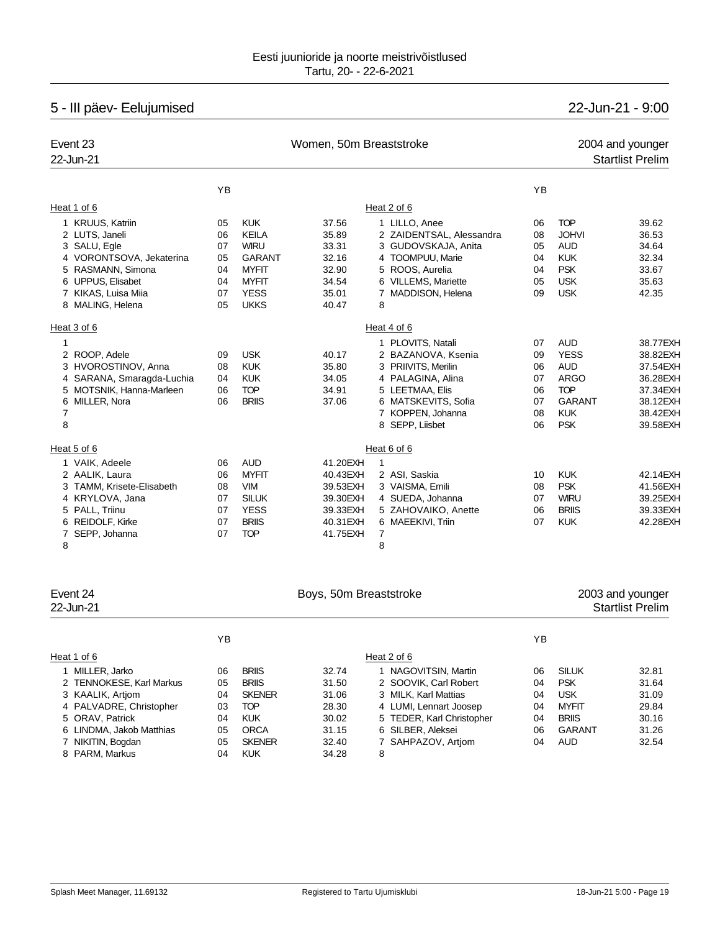# 5 - III päev- Eelujumised 22-Jun-21 - 9:00

| Event 23<br>22-Jun-21                                                                                                                                          |                                        | Women, 50m Breaststroke                                                                               | 2004 and younger<br><b>Startlist Prelim</b>                                       |                                                                                                                                                                       |                                              |                                                                                                                   |                                                                                              |
|----------------------------------------------------------------------------------------------------------------------------------------------------------------|----------------------------------------|-------------------------------------------------------------------------------------------------------|-----------------------------------------------------------------------------------|-----------------------------------------------------------------------------------------------------------------------------------------------------------------------|----------------------------------------------|-------------------------------------------------------------------------------------------------------------------|----------------------------------------------------------------------------------------------|
|                                                                                                                                                                | YB                                     |                                                                                                       |                                                                                   |                                                                                                                                                                       | YB                                           |                                                                                                                   |                                                                                              |
| Heat 1 of 6                                                                                                                                                    |                                        |                                                                                                       |                                                                                   | Heat 2 of 6                                                                                                                                                           |                                              |                                                                                                                   |                                                                                              |
| 1 KRUUS, Katriin<br>2 LUTS, Janeli<br>3 SALU, Egle<br>4 VORONTSOVA, Jekaterina<br>5 RASMANN, Simona                                                            | 05<br>06<br>07<br>05<br>04             | <b>KUK</b><br><b>KEILA</b><br><b>WIRU</b><br><b>GARANT</b><br><b>MYFIT</b>                            | 37.56<br>35.89<br>33.31<br>32.16<br>32.90                                         | 1 LILLO, Anee<br>2 ZAIDENTSAL, Alessandra<br>3 GUDOVSKAJA, Anita<br>4 TOOMPUU, Marie<br>5 ROOS, Aurelia                                                               | 06<br>08<br>05<br>04<br>04                   | <b>TOP</b><br><b>JOHVI</b><br><b>AUD</b><br><b>KUK</b><br><b>PSK</b>                                              | 39.62<br>36.53<br>34.64<br>32.34<br>33.67                                                    |
| 6 UPPUS, Elisabet<br>7 KIKAS, Luisa Miia<br>8 MALING, Helena                                                                                                   | 04<br>07<br>05                         | <b>MYFIT</b><br><b>YESS</b><br><b>UKKS</b>                                                            | 34.54<br>35.01<br>40.47                                                           | 6 VILLEMS, Mariette<br>7 MADDISON, Helena<br>8                                                                                                                        | 05<br>09                                     | <b>USK</b><br><b>USK</b>                                                                                          | 35.63<br>42.35                                                                               |
| Heat 3 of 6                                                                                                                                                    |                                        |                                                                                                       |                                                                                   | Heat 4 of 6                                                                                                                                                           |                                              |                                                                                                                   |                                                                                              |
| 1<br>2 ROOP, Adele<br>3 HVOROSTINOV, Anna<br>4 SARANA, Smaragda-Luchia<br>5 MOTSNIK, Hanna-Marleen<br>6 MILLER, Nora<br>7<br>8                                 | 09<br>08<br>04<br>06<br>06             | <b>USK</b><br><b>KUK</b><br><b>KUK</b><br><b>TOP</b><br><b>BRIIS</b>                                  | 40.17<br>35.80<br>34.05<br>34.91<br>37.06                                         | 1 PLOVITS, Natali<br>2 BAZANOVA, Ksenia<br>3 PRIIVITS, Merilin<br>4 PALAGINA, Alina<br>5 LEETMAA, Elis<br>6 MATSKEVITS, Sofia<br>7 KOPPEN, Johanna<br>8 SEPP, Liisbet | 07<br>09<br>06<br>07<br>06<br>07<br>08<br>06 | <b>AUD</b><br><b>YESS</b><br><b>AUD</b><br><b>ARGO</b><br><b>TOP</b><br><b>GARANT</b><br><b>KUK</b><br><b>PSK</b> | 38.77EXH<br>38.82EXH<br>37.54EXH<br>36.28EXH<br>37.34EXH<br>38.12EXH<br>38.42EXH<br>39.58EXH |
| Heat 5 of 6                                                                                                                                                    |                                        |                                                                                                       |                                                                                   | Heat 6 of 6                                                                                                                                                           |                                              |                                                                                                                   |                                                                                              |
| 1 VAIK, Adeele<br>2 AALIK, Laura<br>3 TAMM, Krisete-Elisabeth<br>4 KRYLOVA, Jana<br>5 PALL, Triinu<br>6 REIDOLF, Kirke<br>SEPP, Johanna<br>$\overline{7}$<br>8 | 06<br>06<br>08<br>07<br>07<br>07<br>07 | <b>AUD</b><br><b>MYFIT</b><br><b>VIM</b><br><b>SILUK</b><br><b>YESS</b><br><b>BRIIS</b><br><b>TOP</b> | 41.20EXH<br>40.43EXH<br>39.53EXH<br>39.30EXH<br>39.33EXH<br>40.31 EXH<br>41.75EXH | $\mathbf{1}$<br>2 ASI, Saskia<br>3 VAISMA, Emili<br>4 SUEDA, Johanna<br>5 ZAHOVAIKO, Anette<br>6 MAEEKIVI, Triin<br>7<br>8                                            | 10<br>08<br>07<br>06<br>07                   | <b>KUK</b><br><b>PSK</b><br><b>WIRU</b><br><b>BRIIS</b><br><b>KUK</b>                                             | 42.14EXH<br>41.56EXH<br>39.25EXH<br>39.33EXH<br>42.28EXH                                     |

| Event 24                 |    |               | Boys, 50m Breaststroke |                           |    | 2003 and younger |                         |  |
|--------------------------|----|---------------|------------------------|---------------------------|----|------------------|-------------------------|--|
| 22-Jun-21                |    |               |                        |                           |    |                  | <b>Startlist Prelim</b> |  |
|                          | YB |               |                        |                           | ΥB |                  |                         |  |
| Heat 1 of 6              |    |               |                        | Heat 2 of 6               |    |                  |                         |  |
| 1 MILLER, Jarko          | 06 | <b>BRIIS</b>  | 32.74                  | 1 NAGOVITSIN, Martin      | 06 | <b>SILUK</b>     | 32.81                   |  |
| 2 TENNOKESE, Karl Markus | 05 | <b>BRIIS</b>  | 31.50                  | 2 SOOVIK. Carl Robert     | 04 | <b>PSK</b>       | 31.64                   |  |
| 3 KAALIK, Artiom         | 04 | <b>SKENER</b> | 31.06                  | 3 MILK. Karl Mattias      | 04 | <b>USK</b>       | 31.09                   |  |
| 4 PALVADRE, Christopher  | 03 | <b>TOP</b>    | 28.30                  | 4 LUMI, Lennart Joosep    | 04 | <b>MYFIT</b>     | 29.84                   |  |
| 5 ORAV, Patrick          | 04 | <b>KUK</b>    | 30.02                  | 5 TEDER, Karl Christopher | 04 | <b>BRIIS</b>     | 30.16                   |  |
| 6 LINDMA, Jakob Matthias | 05 | <b>ORCA</b>   | 31.15                  | 6 SILBER, Aleksei         | 06 | GARANT           | 31.26                   |  |
| 7 NIKITIN, Bogdan        | 05 | <b>SKENER</b> | 32.40                  | 7 SAHPAZOV, Artiom        | 04 | <b>AUD</b>       | 32.54                   |  |
| 8 PARM, Markus           | 04 | <b>KUK</b>    | 34.28                  | 8                         |    |                  |                         |  |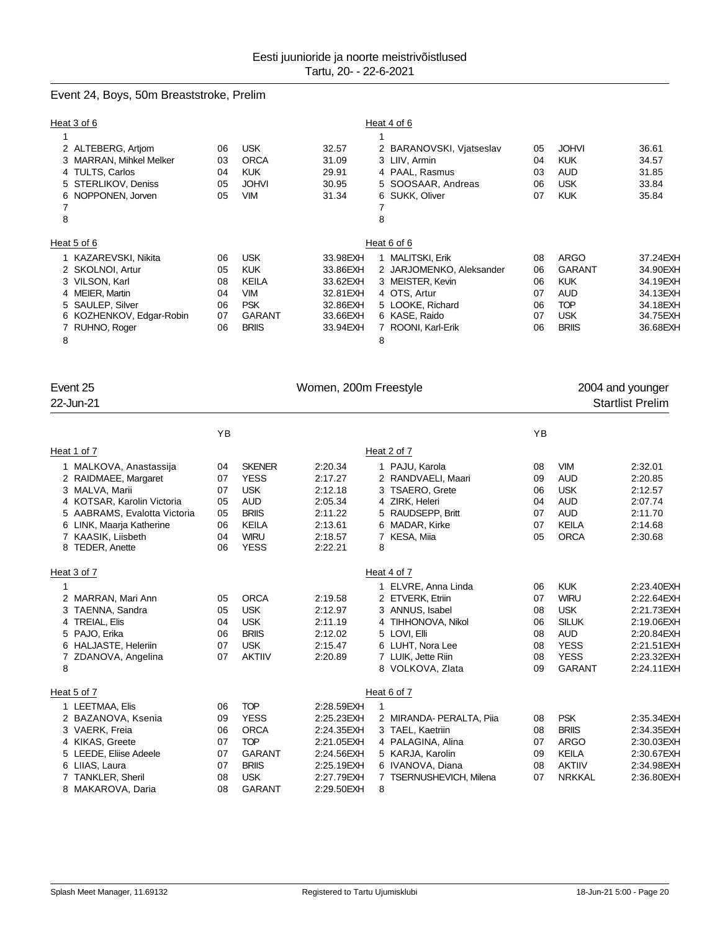### Event 24, Boys, 50m Breaststroke, Prelim

| Heat 3 of 6              |    |               |           | Heat 4 of 6              |    |               |          |
|--------------------------|----|---------------|-----------|--------------------------|----|---------------|----------|
|                          |    |               |           |                          |    |               |          |
| 2 ALTEBERG, Artjom       | 06 | <b>USK</b>    | 32.57     | 2 BARANOVSKI, Vjatseslav | 05 | <b>JOHVI</b>  | 36.61    |
| 3 MARRAN, Mihkel Melker  | 03 | <b>ORCA</b>   | 31.09     | 3 LIIV, Armin            | 04 | <b>KUK</b>    | 34.57    |
| 4 TULTS, Carlos          | 04 | <b>KUK</b>    | 29.91     | 4 PAAL, Rasmus           | 03 | <b>AUD</b>    | 31.85    |
| 5 STERLIKOV, Deniss      | 05 | <b>JOHVI</b>  | 30.95     | 5 SOOSAAR, Andreas       | 06 | <b>USK</b>    | 33.84    |
| 6 NOPPONEN, Jorven       | 05 | <b>VIM</b>    | 31.34     | 6 SUKK, Oliver           | 07 | <b>KUK</b>    | 35.84    |
|                          |    |               |           |                          |    |               |          |
| 8                        |    |               |           | 8                        |    |               |          |
| Heat 5 of 6              |    |               |           | Heat 6 of 6              |    |               |          |
| 1 KAZAREVSKI, Nikita     | 06 | <b>USK</b>    | 33.98EXH  | 1 MALITSKI, Erik         | 08 | <b>ARGO</b>   | 37.24EXH |
| 2 SKOLNOI, Artur         | 05 | <b>KUK</b>    | 33.86EXH  | 2 JARJOMENKO, Aleksander | 06 | <b>GARANT</b> | 34.90EXH |
| 3 VILSON, Karl           | 08 | <b>KEILA</b>  | 33.62EXH  | 3 MEISTER, Kevin         | 06 | <b>KUK</b>    | 34.19EXH |
| 4 MEIER, Martin          | 04 | <b>VIM</b>    | 32.81 EXH | 4 OTS, Artur             | 07 | <b>AUD</b>    | 34.13EXH |
| 5 SAULEP, Silver         | 06 | <b>PSK</b>    | 32.86EXH  | 5 LOOKE, Richard         | 06 | <b>TOP</b>    | 34.18EXH |
| 6 KOZHENKOV, Edgar-Robin | 07 | <b>GARANT</b> | 33.66EXH  | 6 KASE, Raido            | 07 | <b>USK</b>    | 34.75EXH |
| 7 RUHNO, Roger           | 06 | <b>BRIIS</b>  | 33.94EXH  | 7 ROONI, Karl-Erik       | 06 | <b>BRIIS</b>  | 36.68EXH |
| 8                        |    |               |           | 8                        |    |               |          |

| Event 25<br>22-Jun-21                                                                                                                                                            |                                        |                                                                                                  | Women, 200m Freestyle                                                            |                                                                                                                                                                | 2004 and younger<br><b>Startlist Prelim</b>  |                                                                                                                      |                                                                                                                |
|----------------------------------------------------------------------------------------------------------------------------------------------------------------------------------|----------------------------------------|--------------------------------------------------------------------------------------------------|----------------------------------------------------------------------------------|----------------------------------------------------------------------------------------------------------------------------------------------------------------|----------------------------------------------|----------------------------------------------------------------------------------------------------------------------|----------------------------------------------------------------------------------------------------------------|
|                                                                                                                                                                                  | YB                                     |                                                                                                  |                                                                                  |                                                                                                                                                                | YB                                           |                                                                                                                      |                                                                                                                |
| Heat 1 of 7                                                                                                                                                                      |                                        |                                                                                                  |                                                                                  | Heat 2 of 7                                                                                                                                                    |                                              |                                                                                                                      |                                                                                                                |
| 1 MALKOVA, Anastassija<br>2 RAIDMAEE, Margaret<br>3 MALVA, Marii<br>4 KOTSAR, Karolin Victoria<br>5 AABRAMS, Evalotta Victoria<br>6 LINK, Maarja Katherine<br>7 KAASIK, Liisbeth | 04<br>07<br>07<br>05<br>05<br>06<br>04 | <b>SKENER</b><br><b>YESS</b><br><b>USK</b><br><b>AUD</b><br><b>BRIIS</b><br>KEILA<br><b>WIRU</b> | 2:20.34<br>2:17.27<br>2:12.18<br>2:05.34<br>2:11.22<br>2:13.61<br>2:18.57        | 1 PAJU, Karola<br>2 RANDVAELI, Maari<br>3 TSAERO, Grete<br>4 ZIRK, Heleri<br>5 RAUDSEPP, Britt<br>6 MADAR, Kirke<br>7 KESA, Miia                               | 08<br>09<br>06<br>04<br>07<br>07<br>05       | <b>VIM</b><br><b>AUD</b><br><b>USK</b><br><b>AUD</b><br><b>AUD</b><br><b>KEILA</b><br><b>ORCA</b>                    | 2:32.01<br>2:20.85<br>2:12.57<br>2:07.74<br>2:11.70<br>2:14.68<br>2:30.68                                      |
| 8 TEDER, Anette                                                                                                                                                                  | 06                                     | <b>YESS</b>                                                                                      | 2:22.21                                                                          | 8                                                                                                                                                              |                                              |                                                                                                                      |                                                                                                                |
| Heat 3 of 7                                                                                                                                                                      |                                        |                                                                                                  |                                                                                  | Heat 4 of 7                                                                                                                                                    |                                              |                                                                                                                      |                                                                                                                |
| 1<br>2 MARRAN, Mari Ann<br>3 TAENNA, Sandra<br>4 TREIAL, Elis<br>5 PAJO, Erika<br>6 HALJASTE, Heleriin<br>ZDANOVA, Angelina<br>7<br>8                                            | 05<br>05<br>04<br>06<br>07<br>07       | <b>ORCA</b><br><b>USK</b><br><b>USK</b><br><b>BRIIS</b><br><b>USK</b><br><b>AKTIIV</b>           | 2:19.58<br>2:12.97<br>2:11.19<br>2:12.02<br>2:15.47<br>2:20.89                   | 1 ELVRE, Anna Linda<br>2 ETVERK, Etriin<br>3 ANNUS, Isabel<br>4 TIHHONOVA, Nikol<br>5 LOVI, Elli<br>6 LUHT, Nora Lee<br>7 LUIK, Jette Riin<br>8 VOLKOVA, Zlata | 06<br>07<br>08<br>06<br>08<br>08<br>08<br>09 | <b>KUK</b><br><b>WIRU</b><br><b>USK</b><br><b>SILUK</b><br><b>AUD</b><br><b>YESS</b><br><b>YESS</b><br><b>GARANT</b> | 2:23.40EXH<br>2:22.64EXH<br>2:21.73EXH<br>2:19.06EXH<br>2:20.84EXH<br>2:21.51 EXH<br>2:23.32EXH<br>2:24.11 EXH |
| Heat 5 of 7                                                                                                                                                                      |                                        |                                                                                                  |                                                                                  | Heat 6 of 7                                                                                                                                                    |                                              |                                                                                                                      |                                                                                                                |
| 1 LEETMAA, Elis<br>2 BAZANOVA, Ksenia<br>3 VAERK, Freia<br>4 KIKAS, Greete<br>5 LEEDE, Eliise Adeele<br>6 LIIAS, Laura                                                           | 06<br>09<br>06<br>07<br>07<br>07       | <b>TOP</b><br><b>YESS</b><br><b>ORCA</b><br><b>TOP</b><br><b>GARANT</b><br><b>BRIIS</b>          | 2:28.59EXH<br>2:25.23EXH<br>2:24.35EXH<br>2:21.05EXH<br>2:24.56EXH<br>2:25.19EXH | 1<br>2 MIRANDA- PERALTA, Pija<br>3 TAEL, Kaetriin<br>4 PALAGINA, Alina<br>5 KARJA, Karolin<br>6 IVANOVA, Diana                                                 | 08<br>08<br>07<br>09<br>08                   | <b>PSK</b><br><b>BRIIS</b><br><b>ARGO</b><br><b>KEILA</b><br><b>AKTIIV</b>                                           | 2:35.34EXH<br>2:34.35EXH<br>2:30.03EXH<br>2:30.67EXH<br>2:34.98EXH                                             |
| 7 TANKLER, Sheril                                                                                                                                                                | 08                                     | <b>USK</b>                                                                                       | 2:27.79EXH                                                                       | 7 TSERNUSHEVICH, Milena                                                                                                                                        | 07                                           | <b>NRKKAL</b>                                                                                                        | 2:36.80EXH                                                                                                     |

MAKAROVA, Daria 08 GARANT 2:29.50EXH 8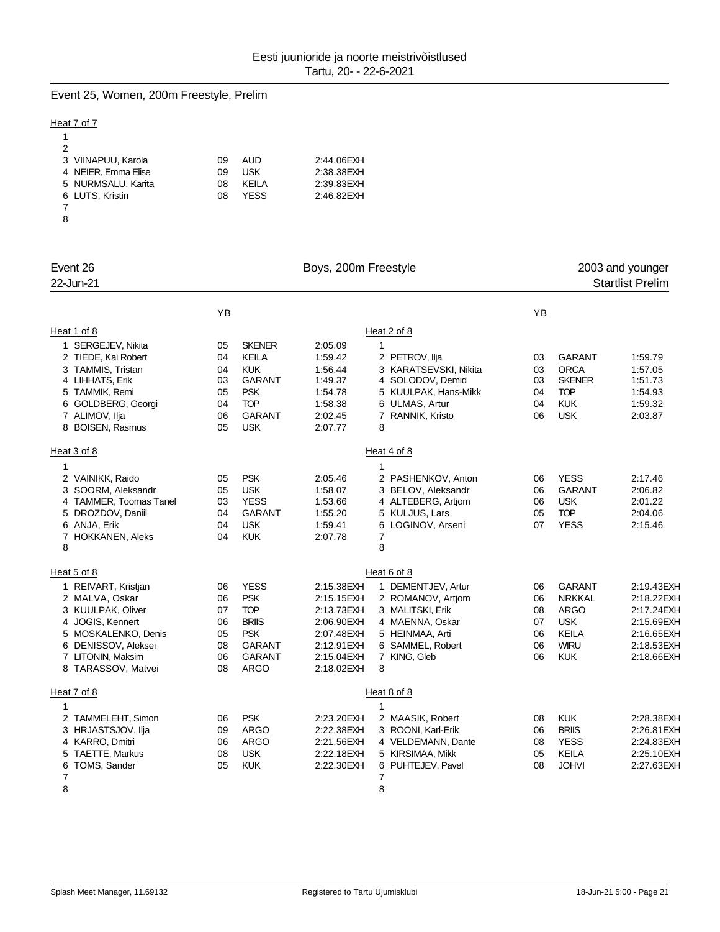# Event 25, Women, 200m Freestyle, Prelim

### Heat 7 of 7

| 2                   |    |             |            |
|---------------------|----|-------------|------------|
| 3 VIINAPUU, Karola  | 09 | AUD         | 2:44.06EXH |
| 4 NEIER, Emma Elise | 09 | <b>USK</b>  | 2:38.38EXH |
| 5 NURMSALU, Karita  | 08 | KFII A      | 2:39.83EXH |
| 6 LUTS, Kristin     | 08 | <b>YFSS</b> | 2:46.82EXH |
|                     |    |             |            |
| 8                   |    |             |            |

| Event 26               |    |               | Boys, 200m Freestyle | 2003 and younger      |    |               |                         |
|------------------------|----|---------------|----------------------|-----------------------|----|---------------|-------------------------|
| 22-Jun-21              |    |               |                      |                       |    |               | <b>Startlist Prelim</b> |
|                        | YB |               |                      |                       | YB |               |                         |
| Heat 1 of 8            |    |               |                      | Heat 2 of 8           |    |               |                         |
| 1 SERGEJEV, Nikita     | 05 | <b>SKENER</b> | 2:05.09              | $\mathbf{1}$          |    |               |                         |
| 2 TIEDE, Kai Robert    | 04 | <b>KEILA</b>  | 1:59.42              | 2 PETROV, Ilja        | 03 | <b>GARANT</b> | 1:59.79                 |
| 3 TAMMIS, Tristan      | 04 | <b>KUK</b>    | 1:56.44              | 3 KARATSEVSKI, Nikita | 03 | <b>ORCA</b>   | 1:57.05                 |
| 4 LIHHATS, Erik        | 03 | <b>GARANT</b> | 1:49.37              | 4 SOLODOV, Demid      | 03 | <b>SKENER</b> | 1:51.73                 |
| 5 TAMMIK, Remi         | 05 | <b>PSK</b>    | 1:54.78              | 5 KUULPAK, Hans-Mikk  | 04 | <b>TOP</b>    | 1:54.93                 |
| 6 GOLDBERG, Georgi     | 04 | <b>TOP</b>    | 1:58.38              | 6 ULMAS, Artur        | 04 | <b>KUK</b>    | 1:59.32                 |
| 7 ALIMOV, Ilja         | 06 | <b>GARANT</b> | 2:02.45              | 7 RANNIK, Kristo      | 06 | <b>USK</b>    | 2:03.87                 |
| 8 BOISEN, Rasmus       | 05 | <b>USK</b>    | 2:07.77              | 8                     |    |               |                         |
| Heat 3 of 8            |    |               |                      | Heat 4 of 8           |    |               |                         |
| 1                      |    |               |                      | $\mathbf{1}$          |    |               |                         |
| 2 VAINIKK, Raido       | 05 | <b>PSK</b>    | 2:05.46              | 2 PASHENKOV, Anton    | 06 | <b>YESS</b>   | 2:17.46                 |
| 3 SOORM, Aleksandr     | 05 | <b>USK</b>    | 1:58.07              | 3 BELOV, Aleksandr    | 06 | <b>GARANT</b> | 2:06.82                 |
| 4 TAMMER, Toomas Tanel | 03 | <b>YESS</b>   | 1:53.66              | 4 ALTEBERG, Artjom    | 06 | <b>USK</b>    | 2:01.22                 |
| 5 DROZDOV, Daniil      | 04 | <b>GARANT</b> | 1:55.20              | 5 KULJUS, Lars        | 05 | <b>TOP</b>    | 2:04.06                 |
| 6 ANJA, Erik           | 04 | <b>USK</b>    | 1:59.41              | 6 LOGINOV, Arseni     | 07 | <b>YESS</b>   | 2:15.46                 |
| 7 HOKKANEN, Aleks      | 04 | <b>KUK</b>    | 2:07.78              | 7                     |    |               |                         |
| 8                      |    |               |                      | 8                     |    |               |                         |
| Heat 5 of 8            |    |               |                      | Heat 6 of 8           |    |               |                         |
| 1 REIVART, Kristjan    | 06 | <b>YESS</b>   | 2:15.38EXH           | 1 DEMENTJEV, Artur    | 06 | <b>GARANT</b> | 2:19.43EXH              |
| 2 MALVA, Oskar         | 06 | <b>PSK</b>    | 2:15.15 EXH          | 2 ROMANOV, Artiom     | 06 | <b>NRKKAL</b> | 2:18.22EXH              |
| 3 KUULPAK, Oliver      | 07 | <b>TOP</b>    | 2:13.73EXH           | 3 MALITSKI, Erik      | 08 | <b>ARGO</b>   | 2:17.24EXH              |
| 4 JOGIS, Kennert       | 06 | <b>BRIIS</b>  | 2:06.90EXH           | 4 MAENNA, Oskar       | 07 | <b>USK</b>    | 2:15.69EXH              |
| 5 MOSKALENKO, Denis    | 05 | <b>PSK</b>    | 2:07.48EXH           | 5 HEINMAA, Arti       | 06 | KEILA         | 2:16.65EXH              |
| 6 DENISSOV, Aleksei    | 08 | GARANT        | 2:12.91 EXH          | 6 SAMMEL, Robert      | 06 | <b>WIRU</b>   | 2:18.53EXH              |
| 7 LITONIN, Maksim      | 06 | <b>GARANT</b> | 2:15.04EXH           | 7 KING, Gleb          | 06 | <b>KUK</b>    | 2:18.66EXH              |
| 8 TARASSOV, Matvei     | 08 | <b>ARGO</b>   | 2:18.02EXH           | 8                     |    |               |                         |
| Heat 7 of 8            |    |               |                      | Heat 8 of 8           |    |               |                         |
| 1                      |    |               |                      | $\mathbf{1}$          |    |               |                         |
| 2 TAMMELEHT, Simon     | 06 | <b>PSK</b>    | 2:23.20EXH           | 2 MAASIK, Robert      | 08 | <b>KUK</b>    | 2:28.38EXH              |
| 3 HRJASTSJOV, Ilja     | 09 | <b>ARGO</b>   | 2:22.38EXH           | 3 ROONI, Karl-Erik    | 06 | <b>BRIIS</b>  | 2:26.81 EXH             |
| 4 KARRO, Dmitri        | 06 | <b>ARGO</b>   | 2:21.56EXH           | 4 VELDEMANN, Dante    | 08 | <b>YESS</b>   | 2:24.83EXH              |
| TAETTE, Markus<br>5    | 08 | <b>USK</b>    | 2:22.18EXH           | 5 KIRSIMAA, Mikk      | 05 | <b>KEILA</b>  | 2:25.10EXH              |
| 6<br>TOMS, Sander      | 05 | <b>KUK</b>    | 2:22.30EXH           | 6 PUHTEJEV, Pavel     | 08 | <b>JOHVI</b>  | 2:27.63EXH              |
| 7                      |    |               |                      | 7                     |    |               |                         |
| 8                      |    |               |                      | 8                     |    |               |                         |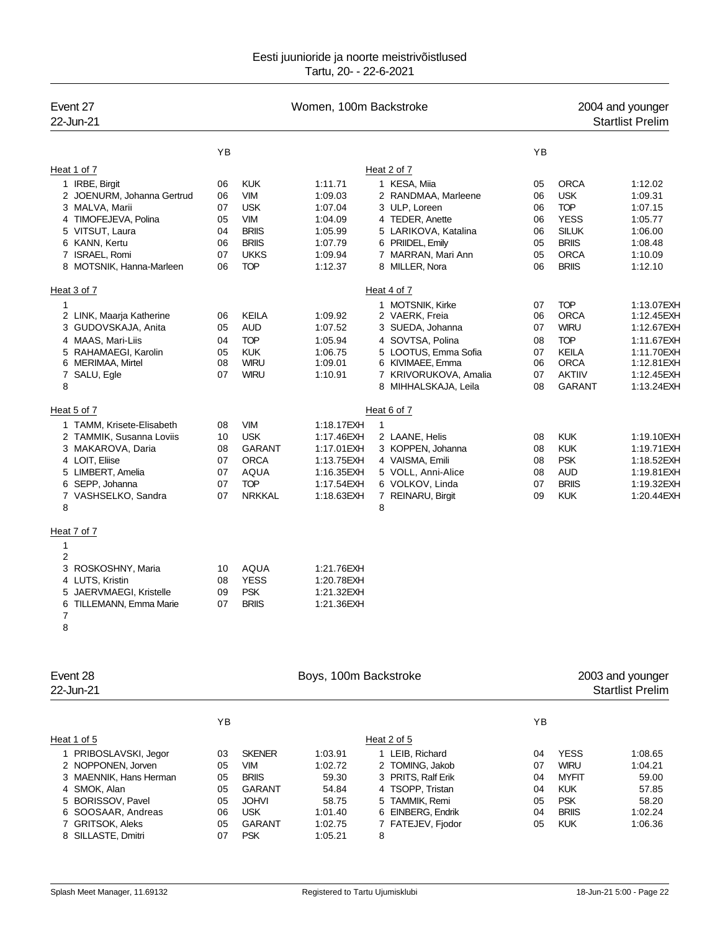| Event 27<br>22-Jun-21      |          |                            | Women, 100m Backstroke |                                               |          |                              | 2004 and younger<br><b>Startlist Prelim</b> |
|----------------------------|----------|----------------------------|------------------------|-----------------------------------------------|----------|------------------------------|---------------------------------------------|
|                            | YB       |                            |                        |                                               | YB       |                              |                                             |
| Heat 1 of 7                |          |                            |                        | Heat 2 of 7                                   |          |                              |                                             |
| 1 IRBE, Birgit             | 06       | <b>KUK</b>                 | 1:11.71                | 1 KESA, Miia                                  | 05       | <b>ORCA</b>                  | 1:12.02                                     |
| 2 JOENURM, Johanna Gertrud | 06       | <b>VIM</b>                 | 1:09.03                | 2 RANDMAA, Marleene                           | 06       | <b>USK</b>                   | 1:09.31                                     |
| 3 MALVA, Marii             | 07       | <b>USK</b>                 | 1:07.04                | 3 ULP, Loreen                                 | 06       | <b>TOP</b>                   | 1:07.15                                     |
| 4 TIMOFEJEVA, Polina       | 05       | <b>VIM</b>                 | 1:04.09                | 4 TEDER, Anette                               | 06       | <b>YESS</b>                  | 1:05.77                                     |
| 5 VITSUT, Laura            | 04       | <b>BRIIS</b>               | 1:05.99                | 5 LARIKOVA, Katalina                          | 06       | <b>SILUK</b>                 | 1:06.00                                     |
| 6 KANN, Kertu              | 06       | <b>BRIIS</b>               | 1:07.79                | 6 PRIIDEL, Emily                              | 05       | <b>BRIIS</b>                 | 1:08.48                                     |
| 7 ISRAEL, Romi             | 07       | <b>UKKS</b>                | 1:09.94                | 7 MARRAN, Mari Ann                            | 05       | <b>ORCA</b>                  | 1:10.09                                     |
| 8 MOTSNIK, Hanna-Marleen   | 06       | <b>TOP</b>                 | 1:12.37                | 8 MILLER, Nora                                | 06       | <b>BRIIS</b>                 | 1:12.10                                     |
| Heat 3 of 7                |          |                            |                        | Heat 4 of 7                                   |          |                              |                                             |
| $\mathbf{1}$               |          |                            |                        | 1 MOTSNIK, Kirke                              | 07       | <b>TOP</b>                   | 1:13.07EXH                                  |
| 2 LINK, Maarja Katherine   | 06       | KEILA                      | 1:09.92                | 2 VAERK, Freia                                | 06       | <b>ORCA</b>                  | 1:12.45 EXH                                 |
| 3 GUDOVSKAJA, Anita        | 05       | <b>AUD</b>                 | 1:07.52                | 3 SUEDA, Johanna                              | 07       | <b>WIRU</b>                  | 1:12.67EXH                                  |
| 4 MAAS, Mari-Liis          | 04       | <b>TOP</b>                 | 1:05.94                | 4 SOVTSA, Polina                              | 08       | <b>TOP</b>                   | 1:11.67EXH                                  |
| 5 RAHAMAEGI, Karolin       | 05       | <b>KUK</b>                 | 1:06.75                | 5 LOOTUS, Emma Sofia                          | 07       | KEILA                        | 1:11.70EXH                                  |
| 6 MERIMAA, Mirtel          | 08<br>07 | <b>WIRU</b><br><b>WIRU</b> | 1:09.01                | 6 KIVIMAEE, Emma                              | 06<br>07 | <b>ORCA</b><br><b>AKTIIV</b> | 1:12.81EXH<br>1:12.45EXH                    |
| 7 SALU, Egle<br>8          |          |                            | 1:10.91                | 7 KRIVORUKOVA, Amalia<br>8 MIHHALSKAJA, Leila | 08       | <b>GARANT</b>                | 1:13.24EXH                                  |
| Heat 5 of 7                |          |                            |                        | Heat 6 of 7                                   |          |                              |                                             |
| 1 TAMM, Krisete-Elisabeth  | 08       | <b>VIM</b>                 | 1:18.17EXH             | 1                                             |          |                              |                                             |
| 2 TAMMIK, Susanna Loviis   | 10       | <b>USK</b>                 | 1:17.46EXH             | 2 LAANE, Helis                                | 08       | <b>KUK</b>                   | 1:19.10EXH                                  |
| 3 MAKAROVA, Daria          | 08       | GARANT                     | 1:17.01 EXH            | 3 KOPPEN, Johanna                             | 08       | <b>KUK</b>                   | 1:19.71 EXH                                 |
| 4 LOIT, Eliise             | 07       | <b>ORCA</b>                | 1:13.75 EXH            | 4 VAISMA, Emili                               | 08       | <b>PSK</b>                   | 1:18.52EXH                                  |
| 5 LIMBERT, Amelia          | 07       | AQUA                       | 1:16.35EXH             | 5 VOLL, Anni-Alice                            | 08       | <b>AUD</b>                   | 1:19.81 EXH                                 |
| 6 SEPP, Johanna            | 07       | <b>TOP</b>                 | 1:17.54EXH             | 6 VOLKOV, Linda                               | 07       | <b>BRIIS</b>                 | 1:19.32EXH                                  |
| 7 VASHSELKO, Sandra        | 07       | <b>NRKKAL</b>              | 1:18.63EXH             | 7 REINARU, Birgit                             | 09       | <b>KUK</b>                   | 1:20.44EXH                                  |
| 8                          |          |                            |                        | 8                                             |          |                              |                                             |
| Heat 7 of 7                |          |                            |                        |                                               |          |                              |                                             |
| 1                          |          |                            |                        |                                               |          |                              |                                             |
| $\overline{\mathbf{c}}$    |          |                            |                        |                                               |          |                              |                                             |
| 3 ROSKOSHNY, Maria         | 10       | AQUA                       | 1:21.76EXH             |                                               |          |                              |                                             |
| 4 LUTS, Kristin            | 08       | <b>YESS</b>                | 1:20.78EXH             |                                               |          |                              |                                             |
| 5 JAERVMAEGI, Kristelle    | 09       | <b>PSK</b>                 | 1:21.32EXH             |                                               |          |                              |                                             |
| 6 TILLEMANN, Emma Marie    | 07       | <b>BRIIS</b>               | 1:21.36EXH             |                                               |          |                              |                                             |
| 7<br>8                     |          |                            |                        |                                               |          |                              |                                             |
| Event 28                   |          |                            | Boys, 100m Backstroke  |                                               |          |                              | 2003 and younger                            |
| 22-Jun-21                  |          |                            |                        |                                               |          |                              | <b>Startlist Prelim</b>                     |
|                            | YB       |                            |                        |                                               | YB       |                              |                                             |
| Heat 1 of 5                |          |                            |                        | Heat 2 of 5                                   |          |                              |                                             |
| 1 PRIBOSLAVSKI, Jegor      | 03       | <b>SKENER</b>              | 1:03.91                | 1 LEIB, Richard                               | 04       | <b>YESS</b>                  | 1:08.65                                     |
| 2 NOPPONEN, Jorven         | 05       | <b>VIM</b>                 | 1:02.72                | 2 TOMING, Jakob                               | 07       | <b>WIRU</b>                  | 1:04.21                                     |
| 3 MAENNIK, Hans Herman     | 05       | <b>BRIIS</b>               | 59.30                  | PRITS, Ralf Erik<br>3                         | 04       | <b>MYFIT</b>                 | 59.00                                       |
| 4 SMOK, Alan               | 05       | GARANT                     | 54.84                  | 4 TSOPP, Tristan                              | 04       | <b>KUK</b>                   | 57.85                                       |
| 5 BORISSOV, Pavel          | 05       | <b>JOHVI</b>               | 58.75                  | 5 TAMMIK, Remi                                | 05       | <b>PSK</b>                   | 58.20                                       |
| 6 SOOSAAR, Andreas         | 06       | <b>USK</b>                 | 1:01.40                | 6 EINBERG, Endrik                             | 04       | <b>BRIIS</b>                 | 1:02.24                                     |
| 7 GRITSOK, Aleks           | 05       | <b>GARANT</b>              | 1:02.75                | 7 FATEJEV, Fjodor                             | 05       | <b>KUK</b>                   | 1:06.36                                     |
| 8 SILLASTE, Dmitri         | 07       | <b>PSK</b>                 | 1:05.21                | 8                                             |          |                              |                                             |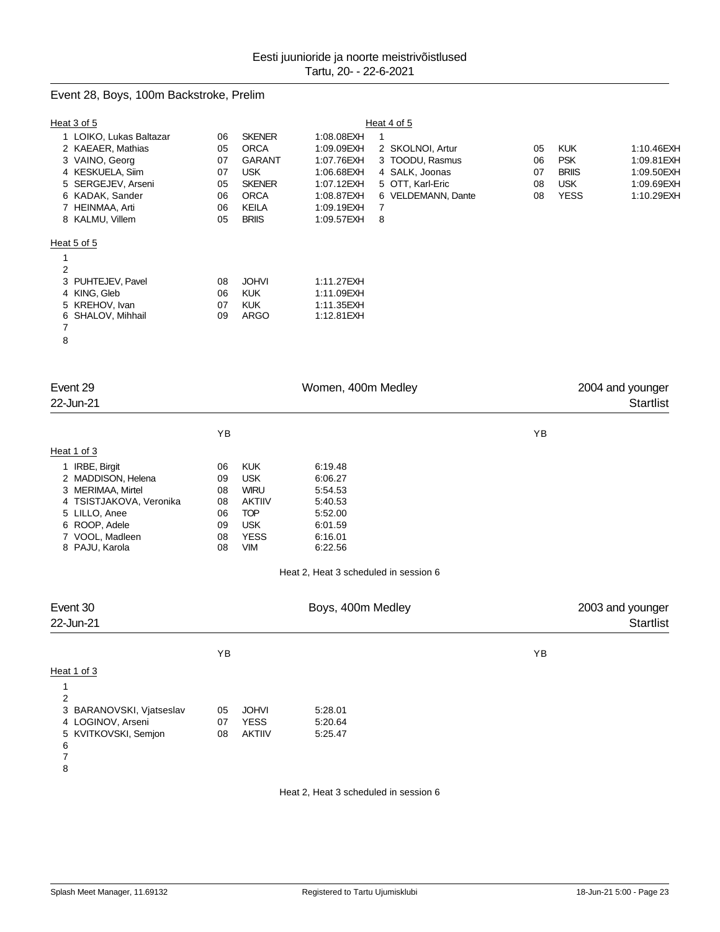### Event 28, Boys, 100m Backstroke, Prelim

| Heat 3 of 5                                   |          |                             |                                       | Heat 4 of 5        |    |              |                  |
|-----------------------------------------------|----------|-----------------------------|---------------------------------------|--------------------|----|--------------|------------------|
| 1 LOIKO, Lukas Baltazar                       | 06       | <b>SKENER</b>               | 1:08.08EXH                            | 1                  |    |              |                  |
| 2 KAEAER, Mathias                             | 05       | <b>ORCA</b>                 | 1:09.09EXH                            | 2 SKOLNOI, Artur   | 05 | <b>KUK</b>   | 1:10.46EXH       |
| 3 VAINO, Georg                                | 07       | <b>GARANT</b>               | 1:07.76EXH                            | 3 TOODU, Rasmus    | 06 | <b>PSK</b>   | 1:09.81 EXH      |
| 4 KESKUELA, Siim                              | 07       | <b>USK</b>                  | 1:06.68EXH                            | 4 SALK, Joonas     | 07 | <b>BRIIS</b> | 1:09.50EXH       |
| 5 SERGEJEV, Arseni                            | 05       | <b>SKENER</b>               | 1:07.12EXH                            | 5 OTT, Karl-Eric   | 08 | <b>USK</b>   | 1:09.69EXH       |
| 6 KADAK, Sander                               | 06       | <b>ORCA</b>                 | 1:08.87EXH                            | 6 VELDEMANN, Dante | 08 | <b>YESS</b>  | 1:10.29EXH       |
| 7 HEINMAA, Arti<br>8 KALMU, Villem            | 06<br>05 | KEILA<br><b>BRIIS</b>       | 1:09.19EXH<br>1:09.57EXH              | 7<br>8             |    |              |                  |
|                                               |          |                             |                                       |                    |    |              |                  |
| Heat 5 of 5                                   |          |                             |                                       |                    |    |              |                  |
| 1                                             |          |                             |                                       |                    |    |              |                  |
| 2                                             |          |                             |                                       |                    |    |              |                  |
| PUHTEJEV, Pavel<br>3<br>4 KING, Gleb          | 08<br>06 | <b>JOHVI</b><br><b>KUK</b>  | 1:11.27EXH<br>1:11.09EXH              |                    |    |              |                  |
| 5 KREHOV, Ivan                                | 07       | <b>KUK</b>                  | 1:11.35EXH                            |                    |    |              |                  |
| SHALOV, Mihhail<br>6                          | 09       | <b>ARGO</b>                 | 1:12.81 EXH                           |                    |    |              |                  |
| 7                                             |          |                             |                                       |                    |    |              |                  |
| 8                                             |          |                             |                                       |                    |    |              |                  |
|                                               |          |                             |                                       |                    |    |              |                  |
|                                               |          |                             |                                       |                    |    |              |                  |
| Event 29                                      |          |                             | Women, 400m Medley                    |                    |    |              | 2004 and younger |
| 22-Jun-21                                     |          |                             |                                       |                    |    |              | <b>Startlist</b> |
|                                               | ΥB       |                             |                                       |                    | YB |              |                  |
|                                               |          |                             |                                       |                    |    |              |                  |
| Heat 1 of 3                                   |          |                             |                                       |                    |    |              |                  |
| 1 IRBE, Birgit                                | 06       | <b>KUK</b>                  | 6:19.48                               |                    |    |              |                  |
| 2 MADDISON, Helena<br>3 MERIMAA, Mirtel       | 09<br>08 | <b>USK</b><br><b>WIRU</b>   | 6:06.27<br>5:54.53                    |                    |    |              |                  |
| 4 TSISTJAKOVA, Veronika                       | 08       | <b>AKTIIV</b>               | 5:40.53                               |                    |    |              |                  |
| 5 LILLO, Anee                                 | 06       | <b>TOP</b>                  | 5:52.00                               |                    |    |              |                  |
| 6 ROOP, Adele                                 | 09       | <b>USK</b>                  | 6:01.59                               |                    |    |              |                  |
| 7 VOOL, Madleen                               | 08       | <b>YESS</b>                 | 6:16.01                               |                    |    |              |                  |
| 8 PAJU, Karola                                | 08       | <b>VIM</b>                  | 6:22.56                               |                    |    |              |                  |
|                                               |          |                             | Heat 2, Heat 3 scheduled in session 6 |                    |    |              |                  |
|                                               |          |                             |                                       |                    |    |              |                  |
| Event 30                                      |          |                             | Boys, 400m Medley                     |                    |    |              | 2003 and younger |
| 22-Jun-21                                     |          |                             |                                       |                    |    |              | <b>Startlist</b> |
|                                               |          |                             |                                       |                    |    |              |                  |
|                                               | YB       |                             |                                       |                    | YB |              |                  |
| Heat 1 of 3                                   |          |                             |                                       |                    |    |              |                  |
| 1                                             |          |                             |                                       |                    |    |              |                  |
| 2                                             |          |                             |                                       |                    |    |              |                  |
| 3 BARANOVSKI, Vjatseslav<br>4 LOGINOV, Arseni | 05<br>07 | <b>JOHVI</b><br><b>YESS</b> | 5:28.01<br>5:20.64                    |                    |    |              |                  |
| 5 KVITKOVSKI, Semjon                          | 08       | <b>AKTIIV</b>               | 5:25.47                               |                    |    |              |                  |
| 6                                             |          |                             |                                       |                    |    |              |                  |
| 7                                             |          |                             |                                       |                    |    |              |                  |
| 8                                             |          |                             |                                       |                    |    |              |                  |
|                                               |          |                             |                                       |                    |    |              |                  |

Heat 2, Heat 3 scheduled in session 6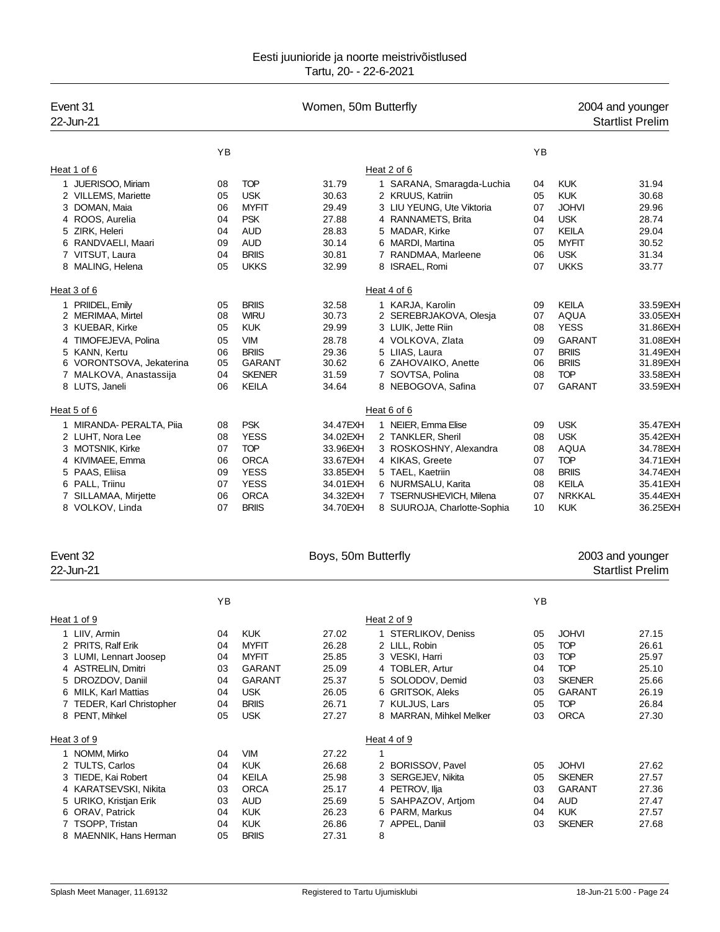| Event 31<br>22-Jun-21    |    |               | Women, 50m Butterfly |                             |    |               | 2004 and younger<br><b>Startlist Prelim</b> |
|--------------------------|----|---------------|----------------------|-----------------------------|----|---------------|---------------------------------------------|
|                          | YB |               |                      |                             | YB |               |                                             |
| Heat 1 of 6              |    |               |                      | Heat 2 of 6                 |    |               |                                             |
| 1 JUERISOO, Miriam       | 08 | <b>TOP</b>    | 31.79                | 1 SARANA, Smaragda-Luchia   | 04 | <b>KUK</b>    | 31.94                                       |
| 2 VILLEMS, Mariette      | 05 | <b>USK</b>    | 30.63                | 2 KRUUS, Katriin            | 05 | <b>KUK</b>    | 30.68                                       |
| 3 DOMAN, Maia            | 06 | <b>MYFIT</b>  | 29.49                | 3 LIU YEUNG, Ute Viktoria   | 07 | <b>JOHVI</b>  | 29.96                                       |
| 4 ROOS, Aurelia          | 04 | <b>PSK</b>    | 27.88                | 4 RANNAMETS, Brita          | 04 | <b>USK</b>    | 28.74                                       |
| 5 ZIRK, Heleri           | 04 | <b>AUD</b>    | 28.83                | 5 MADAR, Kirke              | 07 | <b>KEILA</b>  | 29.04                                       |
| 6 RANDVAELI, Maari       | 09 | <b>AUD</b>    | 30.14                | 6 MARDI, Martina            | 05 | <b>MYFIT</b>  | 30.52                                       |
| 7 VITSUT, Laura          | 04 | <b>BRIIS</b>  | 30.81                | 7 RANDMAA, Marleene         | 06 | <b>USK</b>    | 31.34                                       |
| 8 MALING, Helena         | 05 | <b>UKKS</b>   | 32.99                | 8 ISRAEL, Romi              | 07 | <b>UKKS</b>   | 33.77                                       |
| Heat 3 of 6              |    |               |                      | Heat 4 of 6                 |    |               |                                             |
| 1 PRIIDEL, Emily         | 05 | <b>BRIIS</b>  | 32.58                | 1 KARJA, Karolin            | 09 | <b>KEILA</b>  | 33.59EXH                                    |
| 2 MERIMAA, Mirtel        | 08 | <b>WIRU</b>   | 30.73                | 2 SEREBRJAKOVA, Olesja      | 07 | <b>AQUA</b>   | 33.05EXH                                    |
| 3 KUEBAR, Kirke          | 05 | <b>KUK</b>    | 29.99                | 3 LUIK, Jette Riin          | 08 | <b>YESS</b>   | 31.86EXH                                    |
| 4 TIMOFEJEVA, Polina     | 05 | <b>VIM</b>    | 28.78                | 4 VOLKOVA, Zlata            | 09 | <b>GARANT</b> | 31.08EXH                                    |
| 5 KANN, Kertu            | 06 | <b>BRIIS</b>  | 29.36                | 5 LIIAS, Laura              | 07 | <b>BRIIS</b>  | 31.49EXH                                    |
| 6 VORONTSOVA, Jekaterina | 05 | GARANT        | 30.62                | 6 ZAHOVAIKO, Anette         | 06 | <b>BRIIS</b>  | 31.89EXH                                    |
| 7 MALKOVA, Anastassija   | 04 | <b>SKENER</b> | 31.59                | 7 SOVTSA, Polina            | 08 | <b>TOP</b>    | 33.58EXH                                    |
| 8 LUTS, Janeli           | 06 | <b>KEILA</b>  | 34.64                | 8 NEBOGOVA, Safina          | 07 | <b>GARANT</b> | 33.59EXH                                    |
| Heat 5 of 6              |    |               |                      | Heat 6 of 6                 |    |               |                                             |
| 1 MIRANDA- PERALTA, Piia | 08 | <b>PSK</b>    | 34.47EXH             | 1 NEIER, Emma Elise         | 09 | <b>USK</b>    | 35.47EXH                                    |
| 2 LUHT, Nora Lee         | 08 | <b>YESS</b>   | 34.02EXH             | 2 TANKLER, Sheril           | 08 | <b>USK</b>    | 35.42EXH                                    |
| 3 MOTSNIK, Kirke         | 07 | <b>TOP</b>    | 33.96EXH             | 3 ROSKOSHNY, Alexandra      | 08 | <b>AQUA</b>   | 34.78EXH                                    |
| 4 KIVIMAEE, Emma         | 06 | <b>ORCA</b>   | 33.67EXH             | 4 KIKAS, Greete             | 07 | <b>TOP</b>    | 34.71 EXH                                   |
| 5 PAAS, Eliisa           | 09 | <b>YESS</b>   | 33.85 EXH            | 5 TAEL, Kaetriin            | 08 | <b>BRIIS</b>  | 34.74EXH                                    |
| 6 PALL, Triinu           | 07 | <b>YESS</b>   | 34.01EXH             | 6 NURMSALU, Karita          | 08 | <b>KEILA</b>  | 35.41 EXH                                   |
| 7 SILLAMAA, Mirjette     | 06 | <b>ORCA</b>   | 34.32EXH             | 7 TSERNUSHEVICH, Milena     | 07 | <b>NRKKAL</b> | 35.44EXH                                    |
| 8 VOLKOV, Linda          | 07 | <b>BRIIS</b>  | 34.70EXH             | 8 SUUROJA, Charlotte-Sophia | 10 | <b>KUK</b>    | 36.25EXH                                    |

| Event 32<br>22-Jun-21     |    |               | Boys, 50m Butterfly |                         |    |               | 2003 and younger<br><b>Startlist Prelim</b> |
|---------------------------|----|---------------|---------------------|-------------------------|----|---------------|---------------------------------------------|
|                           | ΥB |               |                     |                         | YB |               |                                             |
| Heat 1 of 9               |    |               |                     | Heat 2 of 9             |    |               |                                             |
| 1 LIIV, Armin             | 04 | <b>KUK</b>    | 27.02               | 1 STERLIKOV, Deniss     | 05 | <b>JOHVI</b>  | 27.15                                       |
| 2 PRITS, Ralf Erik        | 04 | <b>MYFIT</b>  | 26.28               | 2 LILL, Robin           | 05 | <b>TOP</b>    | 26.61                                       |
| 3 LUMI, Lennart Joosep    | 04 | <b>MYFIT</b>  | 25.85               | 3 VESKI, Harri          | 03 | <b>TOP</b>    | 25.97                                       |
| 4 ASTRELIN, Dmitri        | 03 | GARANT        | 25.09               | 4 TOBLER, Artur         | 04 | <b>TOP</b>    | 25.10                                       |
| 5 DROZDOV, Daniil         | 04 | <b>GARANT</b> | 25.37               | 5 SOLODOV, Demid        | 03 | <b>SKENER</b> | 25.66                                       |
| 6 MILK, Karl Mattias      | 04 | <b>USK</b>    | 26.05               | 6 GRITSOK, Aleks        | 05 | <b>GARANT</b> | 26.19                                       |
| 7 TEDER, Karl Christopher | 04 | <b>BRIIS</b>  | 26.71               | 7 KULJUS, Lars          | 05 | <b>TOP</b>    | 26.84                                       |
| 8 PENT, Mihkel            | 05 | <b>USK</b>    | 27.27               | 8 MARRAN, Mihkel Melker | 03 | <b>ORCA</b>   | 27.30                                       |
| Heat 3 of 9               |    |               |                     | Heat 4 of 9             |    |               |                                             |
| 1 NOMM, Mirko             | 04 | <b>VIM</b>    | 27.22               |                         |    |               |                                             |
| 2 TULTS, Carlos           | 04 | <b>KUK</b>    | 26.68               | 2 BORISSOV, Pavel       | 05 | <b>JOHVI</b>  | 27.62                                       |
| 3 TIEDE, Kai Robert       | 04 | <b>KEILA</b>  | 25.98               | 3 SERGEJEV, Nikita      | 05 | <b>SKENER</b> | 27.57                                       |
| KARATSEVSKI, Nikita<br>4  | 03 | <b>ORCA</b>   | 25.17               | 4 PETROV, Ilja          | 03 | <b>GARANT</b> | 27.36                                       |
| 5 URIKO, Kristjan Erik    | 03 | <b>AUD</b>    | 25.69               | 5 SAHPAZOV, Artiom      | 04 | <b>AUD</b>    | 27.47                                       |
| ORAV, Patrick<br>6        | 04 | <b>KUK</b>    | 26.23               | 6 PARM, Markus          | 04 | <b>KUK</b>    | 27.57                                       |
| 7 TSOPP, Tristan          | 04 | <b>KUK</b>    | 26.86               | 7 APPEL, Daniil         | 03 | <b>SKENER</b> | 27.68                                       |
| 8 MAENNIK, Hans Herman    | 05 | <b>BRIIS</b>  | 27.31               | 8                       |    |               |                                             |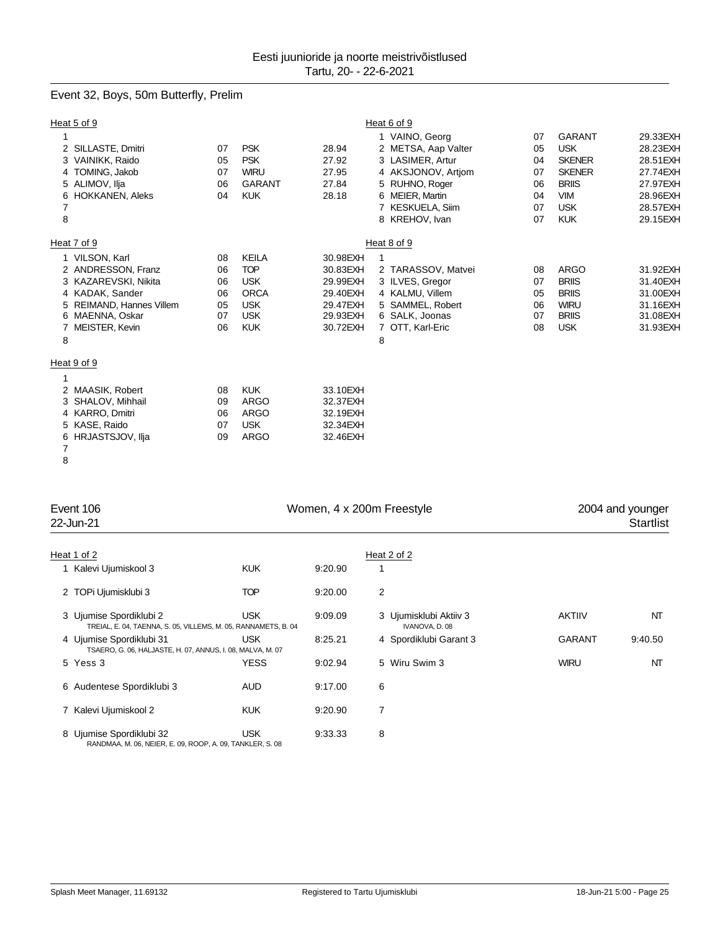# Event 32, Boys, 50m Butterfly, Prelim

|                               | Heat 5 of 9                                                                                                                                  |                                        |                                                                                                   |                                                                                  | Heat 6 of 9                                                                                                                                                |                                              |                                                                                                                         |                                                                                               |
|-------------------------------|----------------------------------------------------------------------------------------------------------------------------------------------|----------------------------------------|---------------------------------------------------------------------------------------------------|----------------------------------------------------------------------------------|------------------------------------------------------------------------------------------------------------------------------------------------------------|----------------------------------------------|-------------------------------------------------------------------------------------------------------------------------|-----------------------------------------------------------------------------------------------|
| 1<br>6<br>$\overline{7}$<br>8 | 2 SILLASTE, Dmitri<br>VAINIKK, Raido<br>4 TOMING, Jakob<br>5 ALIMOV, Ilja<br><b>HOKKANEN, Aleks</b>                                          | 07<br>05<br>07<br>06<br>04             | <b>PSK</b><br><b>PSK</b><br><b>WIRU</b><br><b>GARANT</b><br><b>KUK</b>                            | 28.94<br>27.92<br>27.95<br>27.84<br>28.18                                        | 1 VAINO, Georg<br>2 METSA, Aap Valter<br>3 LASIMER, Artur<br>4 AKSJONOV, Artiom<br>5 RUHNO, Roger<br>6 MEIER, Martin<br>7 KESKUELA, Siim<br>8 KREHOV, Ivan | 07<br>05<br>04<br>07<br>06<br>04<br>07<br>07 | <b>GARANT</b><br><b>USK</b><br><b>SKENER</b><br><b>SKENER</b><br><b>BRIIS</b><br><b>VIM</b><br><b>USK</b><br><b>KUK</b> | 29.33EXH<br>28.23EXH<br>28.51 EXH<br>27.74EXH<br>27.97EXH<br>28.96EXH<br>28.57EXH<br>29.15EXH |
|                               | Heat 7 of 9                                                                                                                                  |                                        |                                                                                                   |                                                                                  | Heat 8 of 9                                                                                                                                                |                                              |                                                                                                                         |                                                                                               |
| 8                             | 1 VILSON, Karl<br>2 ANDRESSON, Franz<br>3 KAZAREVSKI, Nikita<br>4 KADAK, Sander<br>REIMAND, Hannes Villem<br>MAENNA, Oskar<br>MEISTER, Kevin | 08<br>06<br>06<br>06<br>05<br>07<br>06 | <b>KEILA</b><br><b>TOP</b><br><b>USK</b><br><b>ORCA</b><br><b>USK</b><br><b>USK</b><br><b>KUK</b> | 30.98EXH<br>30.83EXH<br>29.99EXH<br>29.40EXH<br>29.47EXH<br>29.93EXH<br>30.72EXH | 2 TARASSOV, Matvei<br>3 ILVES, Gregor<br>4 KALMU, Villem<br>5 SAMMEL, Robert<br>6 SALK, Joonas<br>7 OTT, Karl-Eric<br>8                                    | 08<br>07<br>05<br>06<br>07<br>08             | <b>ARGO</b><br><b>BRIIS</b><br><b>BRIIS</b><br><b>WIRU</b><br><b>BRIIS</b><br><b>USK</b>                                | 31.92EXH<br>31.40EXH<br>31.00EXH<br>31.16EXH<br>31.08EXH<br>31.93EXH                          |
|                               | Heat 9 of 9                                                                                                                                  |                                        |                                                                                                   |                                                                                  |                                                                                                                                                            |                                              |                                                                                                                         |                                                                                               |
| 4<br>6<br>7<br>8              | 2 MAASIK, Robert<br>SHALOV, Mihhail<br>KARRO, Dmitri<br>KASE, Raido<br>HRJASTSJOV, Ilja                                                      | 08<br>09<br>06<br>07<br>09             | <b>KUK</b><br><b>ARGO</b><br><b>ARGO</b><br><b>USK</b><br><b>ARGO</b>                             | 33.10EXH<br>32.37EXH<br>32.19EXH<br>32.34EXH<br>32.46EXH                         |                                                                                                                                                            |                                              |                                                                                                                         |                                                                                               |

| Event 106<br>22-Jun-21                                                                    |             | Women, 4 x 200m Freestyle | 2004 and younger<br><b>Startlist</b>     |               |         |
|-------------------------------------------------------------------------------------------|-------------|---------------------------|------------------------------------------|---------------|---------|
| Heat 1 of 2                                                                               |             |                           | Heat 2 of 2                              |               |         |
| 1 Kalevi Ujumiskool 3                                                                     | <b>KUK</b>  | 9:20.90                   |                                          |               |         |
| 2 TOPi Ujumisklubi 3                                                                      | <b>TOP</b>  | 9:20.00                   | 2                                        |               |         |
| 3 Ujumise Spordiklubi 2<br>TREIAL, E. 04, TAENNA, S. 05, VILLEMS, M. 05, RANNAMETS, B. 04 | <b>USK</b>  | 9:09.09                   | 3 Ujumisklubi Aktiiv 3<br>IVANOVA, D. 08 | <b>AKTIIV</b> | NT      |
| 4 Ujumise Spordiklubi 31<br>TSAERO, G. 06, HALJASTE, H. 07, ANNUS, I. 08, MALVA, M. 07    | USK.        | 8:25.21                   | 4 Spordiklubi Garant 3                   | <b>GARANT</b> | 9:40.50 |
| 5 Yess 3                                                                                  | <b>YESS</b> | 9:02.94                   | 5 Wiru Swim 3                            | <b>WIRU</b>   | NT      |
| 6 Audentese Spordiklubi 3                                                                 | <b>AUD</b>  | 9:17.00                   | 6                                        |               |         |
| 7 Kalevi Ujumiskool 2                                                                     | <b>KUK</b>  | 9:20.90                   | 7                                        |               |         |
| 8 Ujumise Spordiklubi 32<br>RANDMAA, M. 06, NEIER, E. 09, ROOP, A. 09, TANKLER, S. 08     | <b>USK</b>  | 9:33.33                   | 8                                        |               |         |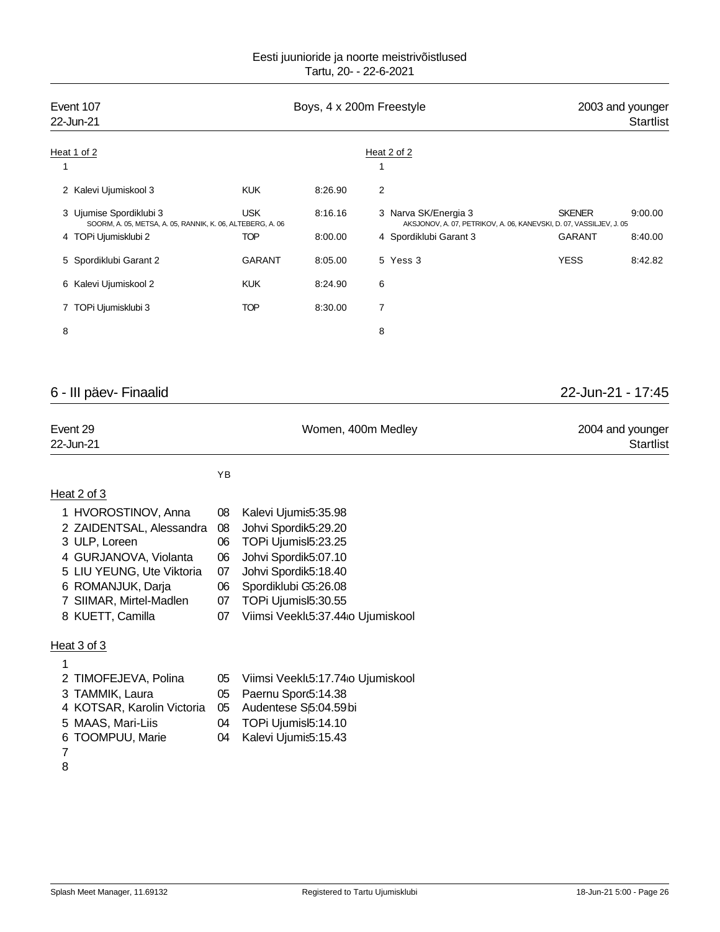| Event 107<br>22-Jun-21 |                                                                                       |               |         | Boys, 4 x 200m Freestyle | 2003 and younger<br><b>Startlist</b>                                                            |
|------------------------|---------------------------------------------------------------------------------------|---------------|---------|--------------------------|-------------------------------------------------------------------------------------------------|
|                        | Heat 1 of 2                                                                           |               |         | Heat 2 of 2              |                                                                                                 |
|                        |                                                                                       |               |         |                          |                                                                                                 |
|                        | 2 Kalevi Ujumiskool 3                                                                 | <b>KUK</b>    | 8:26.90 | 2                        |                                                                                                 |
|                        | 3 Ujumise Spordiklubi 3<br>SOORM, A. 05, METSA, A. 05, RANNIK, K. 06, ALTEBERG, A. 06 | <b>USK</b>    | 8:16.16 | 3 Narva SK/Energia 3     | <b>SKENER</b><br>9:00.00<br>AKSJONOV, A. 07, PETRIKOV, A. 06, KANEVSKI, D. 07, VASSILJEV, J. 05 |
|                        | 4 TOPi Ujumisklubi 2                                                                  | <b>TOP</b>    | 8:00.00 | 4 Spordiklubi Garant 3   | <b>GARANT</b><br>8:40.00                                                                        |
|                        | 5 Spordiklubi Garant 2                                                                | <b>GARANT</b> | 8:05.00 | 5 Yess 3                 | <b>YESS</b><br>8:42.82                                                                          |
|                        | 6 Kalevi Ujumiskool 2                                                                 | <b>KUK</b>    | 8:24.90 | 6                        |                                                                                                 |
|                        | 7 TOPi Ujumisklubi 3                                                                  | <b>TOP</b>    | 8:30.00 | 7                        |                                                                                                 |
| 8                      |                                                                                       |               |         | 8                        |                                                                                                 |
|                        |                                                                                       |               |         |                          |                                                                                                 |
|                        |                                                                                       |               |         |                          |                                                                                                 |

# 6 - III päev- Finaalid 22-Jun-21 - 17:45

| Event 29  | Women, 400m Medley | 2004 and younger |
|-----------|--------------------|------------------|
| 22-Jun-21 |                    | <b>Startlist</b> |
|           |                    |                  |

# Heat 2 of 3

| 1 HVOROSTINOV, Anna       |    | 08 Kalevi Ujumis5:35.98              |
|---------------------------|----|--------------------------------------|
| 2 ZAIDENTSAL, Alessandra  | 08 | Johvi Spordik5:29.20                 |
| 3 ULP, Loreen             | 06 | TOPi Ujumisl5:23.25                  |
| 4 GURJANOVA, Violanta     | 06 | Johvi Spordik5:07.10                 |
| 5 LIU YEUNG, Ute Viktoria |    | 07 Johvi Spordik5:18.40              |
| 6 ROMANJUK, Darja         | 06 | Spordiklubi G5:26.08                 |
| 7 SIIMAR, Mirtel-Madlen   |    | 07 TOPi Ujumisl5:30.55               |
| 8 KUETT, Camilla          |    | 07 Viimsi Veeklt5:37.44 o Ujumiskool |
|                           |    |                                      |

YB

# Heat 3 of 3

| 2 TIMOFEJEVA, Polina                               |    | 05 Viimsi Veeklt5:17.74 o Ujumiskool |
|----------------------------------------------------|----|--------------------------------------|
| 3 TAMMIK, Laura                                    |    | 05 Paernu Sporc5:14.38               |
| 4 KOTSAR, Karolin Victoria 05 Audentese Sp:04.59bi |    |                                      |
| 5 MAAS, Mari-Liis                                  | 04 | TOPi Ujumisl5:14.10                  |
| 6 TOOMPUU, Marie                                   | 04 | Kalevi Ujumis5:15.43                 |
|                                                    |    |                                      |